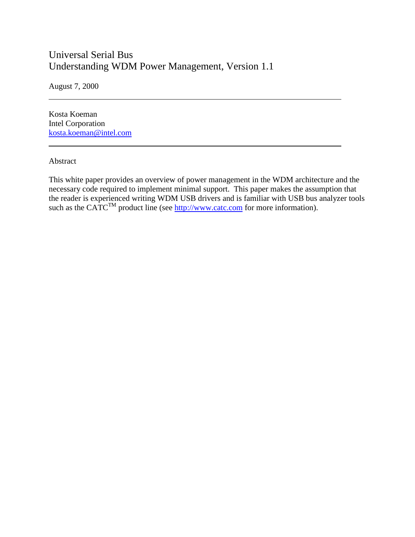# Universal Serial Bus Understanding WDM Power Management, Version 1.1

August 7, 2000

Kosta Koeman Intel Corporation kosta.koeman@intel.com

#### Abstract

 $\overline{a}$ 

l

This white paper provides an overview of power management in the WDM architecture and the necessary code required to implement minimal support. This paper makes the assumption that the reader is experienced writing WDM USB drivers and is familiar with USB bus analyzer tools such as the CATC<sup>TM</sup> product line (see http://www.catc.com for more information).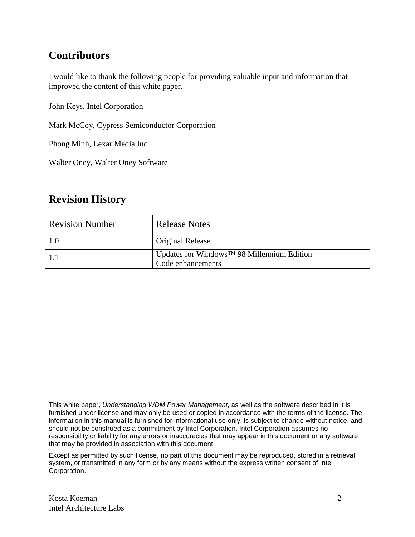# **Contributors**

I would like to thank the following people for providing valuable input and information that improved the content of this white paper.

John Keys, Intel Corporation

Mark McCoy, Cypress Semiconductor Corporation

Phong Minh, Lexar Media Inc.

Walter Oney, Walter Oney Software

# **Revision History**

| <b>Revision Number</b> | <b>Release Notes</b>                                            |
|------------------------|-----------------------------------------------------------------|
| 1.0                    | Original Release                                                |
|                        | Updates for Windows™ 98 Millennium Edition<br>Code enhancements |

This white paper, *Understanding WDM Power Management*, as well as the software described in it is furnished under license and may only be used or copied in accordance with the terms of the license. The information in this manual is furnished for informational use only, is subject to change without notice, and should not be construed as a commitment by Intel Corporation. Intel Corporation assumes no responsibility or liability for any errors or inaccuracies that may appear in this document or any software that may be provided in association with this document.

Except as permitted by such license, no part of this document may be reproduced, stored in a retrieval system, or transmitted in any form or by any means without the express written consent of Intel Corporation.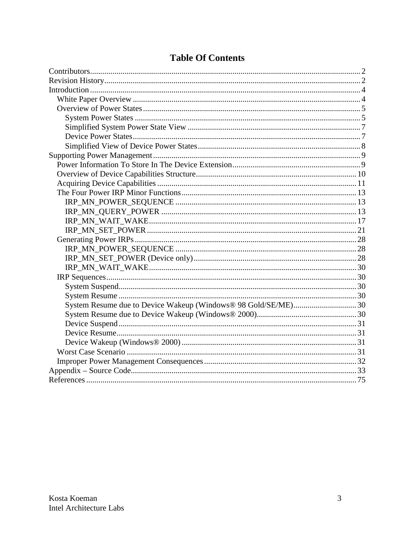# **Table Of Contents**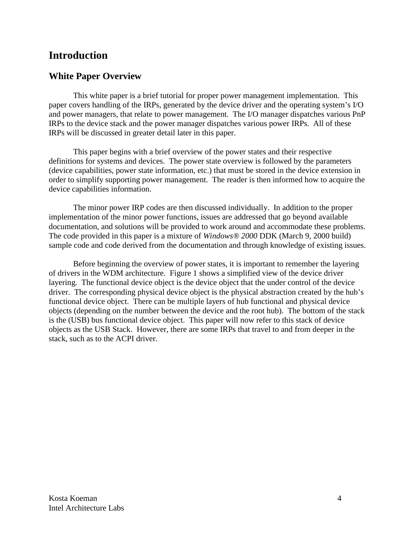# **Introduction**

# **White Paper Overview**

This white paper is a brief tutorial for proper power management implementation. This paper covers handling of the IRPs, generated by the device driver and the operating system's I/O and power managers, that relate to power management. The I/O manager dispatches various PnP IRPs to the device stack and the power manager dispatches various power IRPs. All of these IRPs will be discussed in greater detail later in this paper.

This paper begins with a brief overview of the power states and their respective definitions for systems and devices. The power state overview is followed by the parameters (device capabilities, power state information, etc.) that must be stored in the device extension in order to simplify supporting power management. The reader is then informed how to acquire the device capabilities information.

The minor power IRP codes are then discussed individually. In addition to the proper implementation of the minor power functions, issues are addressed that go beyond available documentation, and solutions will be provided to work around and accommodate these problems. The code provided in this paper is a mixture of *Windows® 2000* DDK (March 9, 2000 build) sample code and code derived from the documentation and through knowledge of existing issues.

Before beginning the overview of power states, it is important to remember the layering of drivers in the WDM architecture. Figure 1 shows a simplified view of the device driver layering. The functional device object is the device object that the under control of the device driver. The corresponding physical device object is the physical abstraction created by the hub's functional device object. There can be multiple layers of hub functional and physical device objects (depending on the number between the device and the root hub). The bottom of the stack is the (USB) bus functional device object. This paper will now refer to this stack of device objects as the USB Stack. However, there are some IRPs that travel to and from deeper in the stack, such as to the ACPI driver.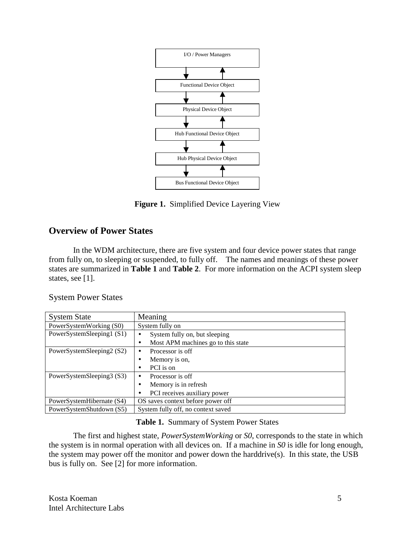

**Figure 1.** Simplified Device Layering View

# **Overview of Power States**

In the WDM architecture, there are five system and four device power states that range from fully on, to sleeping or suspended, to fully off. The names and meanings of these power states are summarized in **Table 1** and **Table 2**. For more information on the ACPI system sleep states, see [1].

System Power States

| <b>System State</b>       | Meaning                                 |
|---------------------------|-----------------------------------------|
| PowerSystemWorking (S0)   | System fully on                         |
| PowerSystemSleeping1 (S1) | System fully on, but sleeping<br>٠      |
|                           | Most APM machines go to this state<br>٠ |
| PowerSystemSleeping2 (S2) | Processor is off<br>$\bullet$           |
|                           | Memory is on,<br>$\bullet$              |
|                           | PCI is on<br>٠                          |
| PowerSystemSleeping3 (S3) | Processor is off<br>$\bullet$           |
|                           | Memory is in refresh                    |
|                           | PCI receives auxiliary power            |
| PowerSystemHibernate (S4) | OS saves context before power off       |
| PowerSystemShutdown (S5)  | System fully off, no context saved      |

### **Table 1.** Summary of System Power States

The first and highest state, *PowerSystemWorking* or *S0*, corresponds to the state in which the system is in normal operation with all devices on. If a machine in *S0* is idle for long enough, the system may power off the monitor and power down the harddrive(s). In this state, the USB bus is fully on. See [2] for more information.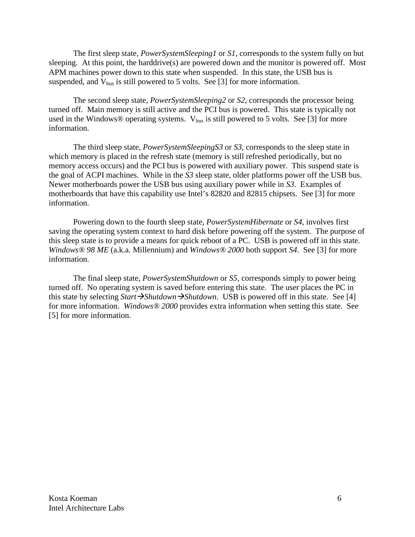The first sleep state, *PowerSystemSleeping1* or *S1*, corresponds to the system fully on but sleeping. At this point, the harddrive(s) are powered down and the monitor is powered off. Most APM machines power down to this state when suspended. In this state, the USB bus is suspended, and  $V_{bus}$  is still powered to 5 volts. See [3] for more information.

The second sleep state, *PowerSystemSleeping2* or *S2*, corresponds the processor being turned off. Main memory is still active and the PCI bus is powered. This state is typically not used in the Windows® operating systems.  $V_{bus}$  is still powered to 5 volts. See [3] for more information.

The third sleep state, *PowerSystemSleepingS3* or *S3*, corresponds to the sleep state in which memory is placed in the refresh state (memory is still refreshed periodically, but no memory access occurs) and the PCI bus is powered with auxiliary power. This suspend state is the goal of ACPI machines. While in the *S3* sleep state, older platforms power off the USB bus. Newer motherboards power the USB bus using auxiliary power while in *S3*. Examples of motherboards that have this capability use Intel's 82820 and 82815 chipsets. See [3] for more information.

Powering down to the fourth sleep state, *PowerSystemHibernate* or *S4*, involves first saving the operating system context to hard disk before powering off the system. The purpose of this sleep state is to provide a means for quick reboot of a PC. USB is powered off in this state. *Windows® 98 ME* (a.k.a. Millennium) and *Windows® 2000* both support *S4*. See [3] for more information.

The final sleep state, *PowerSystemShutdown* or *S5*, corresponds simply to power being turned off. No operating system is saved before entering this state. The user places the PC in this state by selecting *Start*  $\rightarrow$  *Shutdown*  $\rightarrow$  *Shutdown*. USB is powered off in this state. See [4] for more information. *Windows® 2000* provides extra information when setting this state. See [5] for more information.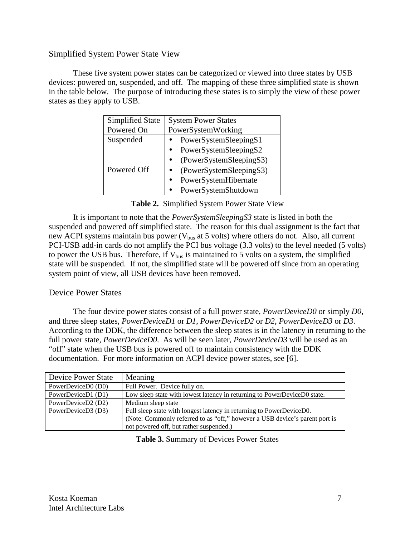## Simplified System Power State View

These five system power states can be categorized or viewed into three states by USB devices: powered on, suspended, and off. The mapping of these three simplified state is shown in the table below. The purpose of introducing these states is to simply the view of these power states as they apply to USB.

| <b>Simplified State</b> | <b>System Power States</b>           |  |  |
|-------------------------|--------------------------------------|--|--|
| Powered On              | PowerSystemWorking                   |  |  |
| Suspended               | PowerSystemSleepingS1                |  |  |
|                         | PowerSystemSleepingS2                |  |  |
|                         | (PowerSystemSleepingS3)<br>$\bullet$ |  |  |
| Powered Off             | (PowerSystemSleepingS3)              |  |  |
|                         | PowerSystemHibernate                 |  |  |
|                         | PowerSystemShutdown                  |  |  |

**Table 2.** Simplified System Power State View

It is important to note that the *PowerSystemSleepingS3* state is listed in both the suspended and powered off simplified state. The reason for this dual assignment is the fact that new ACPI systems maintain bus power ( $V_{bus}$  at 5 volts) where others do not. Also, all current PCI-USB add-in cards do not amplify the PCI bus voltage (3.3 volts) to the level needed (5 volts) to power the USB bus. Therefore, if  $V_{bus}$  is maintained to 5 volts on a system, the simplified state will be suspended. If not, the simplified state will be powered off since from an operating system point of view, all USB devices have been removed.

### Device Power States

The four device power states consist of a full power state, *PowerDeviceD0* or simply *D0*, and three sleep states, *PowerDeviceD1* or *D1*, *PowerDeviceD2* or *D2*, *PowerDeviceD3* or *D3*. According to the DDK, the difference between the sleep states is in the latency in returning to the full power state, *PowerDeviceD0*. As will be seen later, *PowerDeviceD3* will be used as an "off" state when the USB bus is powered off to maintain consistency with the DDK documentation. For more information on ACPI device power states, see [6].

| <b>Device Power State</b> | Meaning                                                                     |
|---------------------------|-----------------------------------------------------------------------------|
| PowerDeviceD0 (D0)        | Full Power. Device fully on.                                                |
| PowerDeviceD1 (D1)        | Low sleep state with lowest latency in returning to PowerDeviceD0 state.    |
| PowerDeviceD2 (D2)        | Medium sleep state                                                          |
| PowerDeviceD3 (D3)        | Full sleep state with longest latency in returning to PowerDeviceD0.        |
|                           | (Note: Commonly referred to as "off," however a USB device's parent port is |
|                           | not powered off, but rather suspended.)                                     |

**Table 3.** Summary of Devices Power States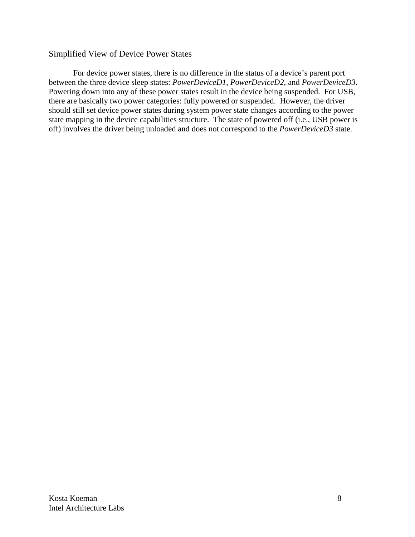### Simplified View of Device Power States

For device power states, there is no difference in the status of a device's parent port between the three device sleep states: *PowerDeviceD1*, *PowerDeviceD2*, and *PowerDeviceD3*. Powering down into any of these power states result in the device being suspended. For USB, there are basically two power categories: fully powered or suspended. However, the driver should still set device power states during system power state changes according to the power state mapping in the device capabilities structure. The state of powered off (i.e., USB power is off) involves the driver being unloaded and does not correspond to the *PowerDeviceD3* state.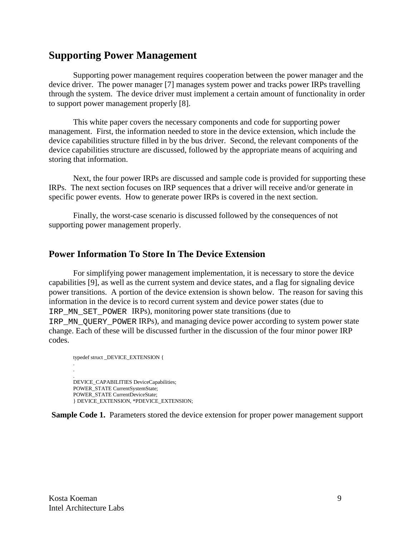# **Supporting Power Management**

Supporting power management requires cooperation between the power manager and the device driver. The power manager [7] manages system power and tracks power IRPs travelling through the system. The device driver must implement a certain amount of functionality in order to support power management properly [8].

This white paper covers the necessary components and code for supporting power management. First, the information needed to store in the device extension, which include the device capabilities structure filled in by the bus driver. Second, the relevant components of the device capabilities structure are discussed, followed by the appropriate means of acquiring and storing that information.

Next, the four power IRPs are discussed and sample code is provided for supporting these IRPs. The next section focuses on IRP sequences that a driver will receive and/or generate in specific power events. How to generate power IRPs is covered in the next section.

Finally, the worst-case scenario is discussed followed by the consequences of not supporting power management properly.

## **Power Information To Store In The Device Extension**

For simplifying power management implementation, it is necessary to store the device capabilities [9], as well as the current system and device states, and a flag for signaling device power transitions. A portion of the device extension is shown below. The reason for saving this information in the device is to record current system and device power states (due to IRP\_MN\_SET\_POWER IRPs), monitoring power state transitions (due to IRP MN QUERY POWER IRPs), and managing device power according to system power state change. Each of these will be discussed further in the discussion of the four minor power IRP codes.

```
typedef struct _DEVICE_EXTENSION {
.
.
.
DEVICE_CAPABILITIES DeviceCapabilities;
POWER_STATE CurrentSystemState;
POWER_STATE CurrentDeviceState;
} DEVICE_EXTENSION, *PDEVICE_EXTENSION;
```
**Sample Code 1.** Parameters stored the device extension for proper power management support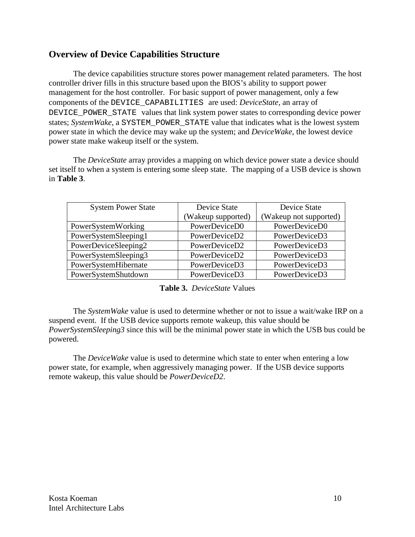# **Overview of Device Capabilities Structure**

The device capabilities structure stores power management related parameters. The host controller driver fills in this structure based upon the BIOS's ability to support power management for the host controller. For basic support of power management, only a few components of the DEVICE\_CAPABILITIES are used: *DeviceState*, an array of DEVICE\_POWER\_STATE values that link system power states to corresponding device power states; *SystemWake*, a SYSTEM\_POWER\_STATE value that indicates what is the lowest system power state in which the device may wake up the system; and *DeviceWake*, the lowest device power state make wakeup itself or the system.

The *DeviceState* array provides a mapping on which device power state a device should set itself to when a system is entering some sleep state. The mapping of a USB device is shown in **Table 3**.

| <b>System Power State</b> | Device State       | <b>Device State</b>    |  |
|---------------------------|--------------------|------------------------|--|
|                           | (Wakeup supported) | (Wakeup not supported) |  |
| PowerSystemWorking        | PowerDeviceD0      | PowerDeviceD0          |  |
| PowerSystemSleeping1      | PowerDeviceD2      | PowerDeviceD3          |  |
| PowerDeviceSleeping2      | PowerDeviceD2      | PowerDeviceD3          |  |
| PowerSystemSleeping3      | PowerDeviceD2      | PowerDeviceD3          |  |
| PowerSystemHibernate      | PowerDeviceD3      | PowerDeviceD3          |  |
| PowerSystemShutdown       | PowerDeviceD3      | PowerDeviceD3          |  |

**Table 3.** *DeviceState* Values

The *SystemWake* value is used to determine whether or not to issue a wait/wake IRP on a suspend event. If the USB device supports remote wakeup, this value should be *PowerSystemSleeping3* since this will be the minimal power state in which the USB bus could be powered.

The *DeviceWake* value is used to determine which state to enter when entering a low power state, for example, when aggressively managing power. If the USB device supports remote wakeup, this value should be *PowerDeviceD2*.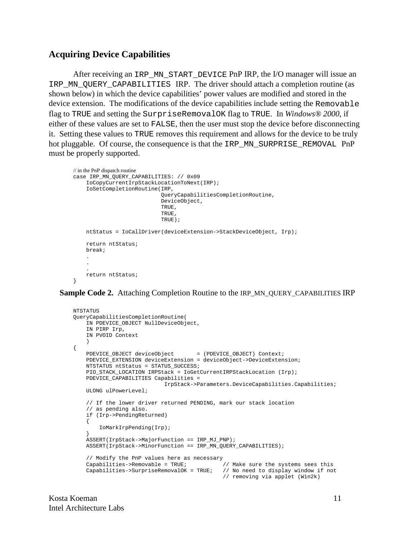### **Acquiring Device Capabilities**

After receiving an IRP\_MN\_START\_DEVICE PnP IRP, the I/O manager will issue an IRP\_MN\_QUERY\_CAPABILITIES IRP. The driver should attach a completion routine (as shown below) in which the device capabilities' power values are modified and stored in the device extension. The modifications of the device capabilities include setting the Removable flag to TRUE and setting the SurpriseRemovalOK flag to TRUE. In *Windows® 2000*, if either of these values are set to FALSE, then the user must stop the device before disconnecting it. Setting these values to TRUE removes this requirement and allows for the device to be truly hot pluggable. Of course, the consequence is that the IRP\_MN\_SURPRISE\_REMOVAL PnP must be properly supported.

```
// in the PnP dispatch routine
case IRP_MN_QUERY_CAPABILITIES: // 0x09
     IoCopyCurrentIrpStackLocationToNext(IRP);
     IoSetCompletionRoutine(IRP,
                              QueryCapabilitiesCompletionRoutine,
                              DeviceObject,
                              TRUE,
                              TRUE,
                              TRUE);
     ntStatus = IoCallDriver(deviceExtension->StackDeviceObject, Irp);
     return ntStatus;
     break;
 .
 .
 .
     return ntStatus;
}
```
**Sample Code 2.** Attaching Completion Routine to the IRP\_MN\_QUERY\_CAPABILITIES IRP

```
NTSTATUS
QueryCapabilitiesCompletionRoutine(
     IN PDEVICE_OBJECT NullDeviceObject,
     IN PIRP Irp,
     IN PVOID Context
\overline{\phantom{a}}{
    PDEVICE_OBJECT deviceObject = (PDEVICE_OBJECT) Context;
    PDEVICE EXTENSION deviceExtension = deviceObject->DeviceExtension;
     NTSTATUS ntStatus = STATUS_SUCCESS;
     PIO_STACK_LOCATION IRPStack = IoGetCurrentIRPStackLocation (Irp);
     PDEVICE_CAPABILITIES Capabilities =
                               IrpStack->Parameters.DeviceCapabilities.Capabilities;
     ULONG ulPowerLevel;
     // If the lower driver returned PENDING, mark our stack location
     // as pending also.
     if (Irp->PendingReturned)
\{ IoMarkIrpPending(Irp);
 }
     ASSERT(IrpStack->MajorFunction == IRP_MJ_PNP);
     ASSERT(IrpStack->MinorFunction == IRP_MN_QUERY_CAPABILITIES);
     // Modify the PnP values here as necessary
    Capabilities->Removable = TRUE; // Make sure the systems sees this Capabilities->SurpriseRemovalOK = TRUE; // No need to display window if not
    Capabilities->SurpriseRemovalOK = TRUE; // removing via applet (Win2k)
```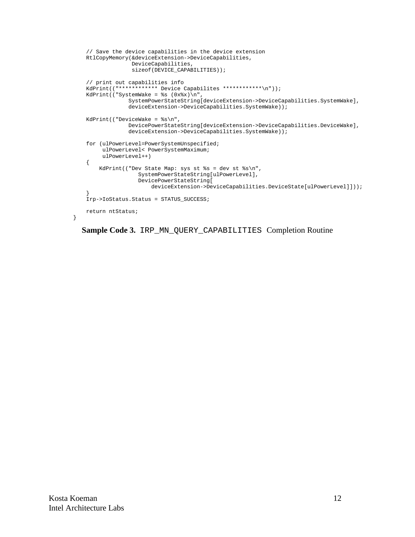```
 // Save the device capabilities in the device extension
    RtlCopyMemory(&deviceExtension->DeviceCapabilities,
                  DeviceCapabilities,
                 sizeof(DEVICE CAPABILITIES));
    // print out capabilities info
    KdPrint(("************ Device Capabilites ************\n"));
    KdPrint(("SystemWake = %s (0x%x)\n",
                 SystemPowerStateString[deviceExtension->DeviceCapabilities.SystemWake],
                  deviceExtension->DeviceCapabilities.SystemWake));
    KdPrint(("DeviceWake = %s\n",
                 DevicePowerStateString[deviceExtension->DeviceCapabilities.DeviceWake],
                 deviceExtension->DeviceCapabilities.SystemWake));
    for (ulPowerLevel=PowerSystemUnspecified;
         ulPowerLevel< PowerSystemMaximum;
         ulPowerLevel++)
    {
       KdPrint(("Dev State Map: sys st s = dev st s\n\n\n",
                    SystemPowerStateString[ulPowerLevel],
                    DevicePowerStateString[
                         deviceExtension->DeviceCapabilities.DeviceState[ulPowerLevel]]));
 }
    Irp->IoStatus.Status = STATUS_SUCCESS;
    return ntStatus;
```
**Sample Code 3.** IRP\_MN\_QUERY\_CAPABILITIES Completion Routine

}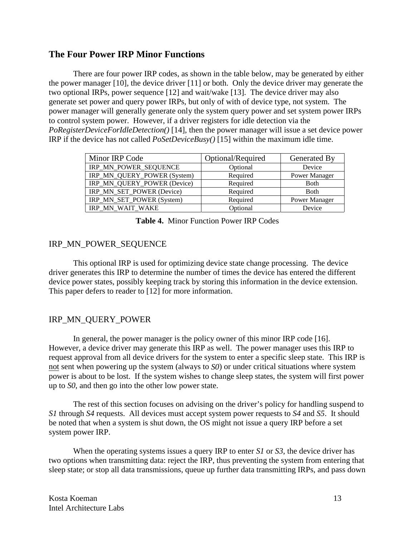## **The Four Power IRP Minor Functions**

There are four power IRP codes, as shown in the table below, may be generated by either the power manager [10], the device driver [11] or both. Only the device driver may generate the two optional IRPs, power sequence [12] and wait/wake [13]. The device driver may also generate set power and query power IRPs, but only of with of device type, not system. The power manager will generally generate only the system query power and set system power IRPs to control system power. However, if a driver registers for idle detection via the *PoRegisterDeviceForIdleDetection()* [14], then the power manager will issue a set device power IRP if the device has not called *PoSetDeviceBusy()* [15] within the maximum idle time.

| Minor IRP Code              | Optional/Required | Generated By         |
|-----------------------------|-------------------|----------------------|
| IRP_MN_POWER_SEQUENCE       | Optional          | Device               |
| IRP_MN_QUERY_POWER (System) | Required          | Power Manager        |
| IRP_MN_QUERY_POWER (Device) | Required          | <b>B</b> oth         |
| IRP_MN_SET_POWER (Device)   | Required          | <b>B</b> oth         |
| IRP_MN_SET_POWER (System)   | Required          | <b>Power Manager</b> |
| IRP MN WAIT WAKE            | Optional          | Device               |

#### **Table 4.** Minor Function Power IRP Codes

### IRP\_MN\_POWER\_SEQUENCE

This optional IRP is used for optimizing device state change processing. The device driver generates this IRP to determine the number of times the device has entered the different device power states, possibly keeping track by storing this information in the device extension. This paper defers to reader to [12] for more information.

### IRP\_MN\_QUERY\_POWER

In general, the power manager is the policy owner of this minor IRP code [16]. However, a device driver may generate this IRP as well. The power manager uses this IRP to request approval from all device drivers for the system to enter a specific sleep state. This IRP is not sent when powering up the system (always to *S0*) or under critical situations where system power is about to be lost. If the system wishes to change sleep states, the system will first power up to *S0*, and then go into the other low power state.

The rest of this section focuses on advising on the driver's policy for handling suspend to *S1* through *S4* requests. All devices must accept system power requests to *S4* and *S5*. It should be noted that when a system is shut down, the OS might not issue a query IRP before a set system power IRP.

When the operating systems issues a query IRP to enter *S1* or *S3*, the device driver has two options when transmitting data: reject the IRP, thus preventing the system from entering that sleep state; or stop all data transmissions, queue up further data transmitting IRPs, and pass down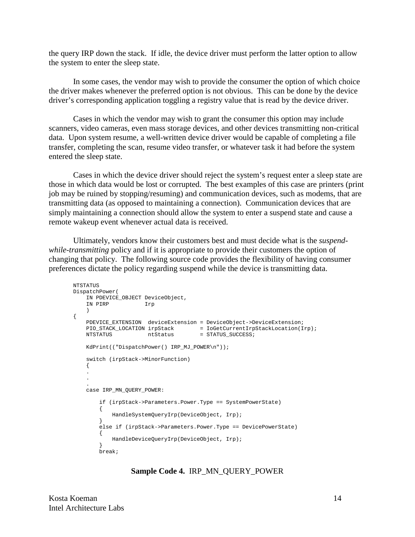the query IRP down the stack. If idle, the device driver must perform the latter option to allow the system to enter the sleep state.

In some cases, the vendor may wish to provide the consumer the option of which choice the driver makes whenever the preferred option is not obvious. This can be done by the device driver's corresponding application toggling a registry value that is read by the device driver.

Cases in which the vendor may wish to grant the consumer this option may include scanners, video cameras, even mass storage devices, and other devices transmitting non-critical data. Upon system resume, a well-written device driver would be capable of completing a file transfer, completing the scan, resume video transfer, or whatever task it had before the system entered the sleep state.

Cases in which the device driver should reject the system's request enter a sleep state are those in which data would be lost or corrupted. The best examples of this case are printers (print job may be ruined by stopping/resuming) and communication devices, such as modems, that are transmitting data (as opposed to maintaining a connection). Communication devices that are simply maintaining a connection should allow the system to enter a suspend state and cause a remote wakeup event whenever actual data is received.

Ultimately, vendors know their customers best and must decide what is the *suspendwhile-transmitting* policy and if it is appropriate to provide their customers the option of changing that policy. The following source code provides the flexibility of having consumer preferences dictate the policy regarding suspend while the device is transmitting data.

```
NTSTATUS
DispatchPower(
    IN PDEVICE_OBJECT DeviceObject,
    IN PIRP Irp
    )
{
    PDEVICE_EXTENSION deviceExtension = DeviceObject->DeviceExtension;
PIO_STACK_LOCATION irpStack = IoGetCurrentIrpStackLocation(Irp);
NTSTATUS htStatus = STATUS_SUCCESS;
    KdPrint(("DispatchPower() IRP_MJ_POWER\n"));
    switch (irpStack->MinorFunction)
    {
 .
 .
 .
    case IRP_MN_QUERY_POWER:
        if (irpStack->Parameters.Power.Type == SystemPowerState)
        {
            HandleSystemQueryIrp(DeviceObject, Irp);
        }
        else if (irpStack->Parameters.Power.Type == DevicePowerState)
        {
            HandleDeviceQueryIrp(DeviceObject, Irp);
 }
        break;
```
#### **Sample Code 4.** IRP\_MN\_QUERY\_POWER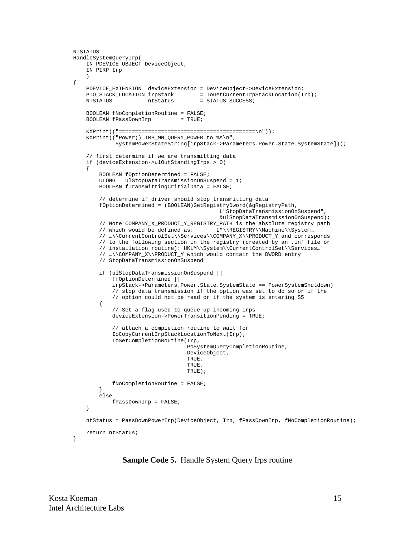```
NTSTATUS
HandleSystemQueryIrp(
     IN PDEVICE_OBJECT DeviceObject,
     IN PIRP Irp
     )
{
     PDEVICE_EXTENSION deviceExtension = DeviceObject->DeviceExtension;
    PIO_STACK_LOCATION irpStack = IoGetCurrentIrpStackLocation(Irp);
   \verb|NTSTATUS| = \verb|STATUS_SUCCESS| = \verb|1| BOOLEAN fNoCompletionRoutine = FALSE;
    BOOLEAN fPassDownIrp = TRUE;
     KdPrint(("==========================================\n"));
     KdPrint(("Power() IRP_MN_QUERY_POWER to %s\n",
              SystemPowerStateString[irpStack->Parameters.Power.State.SystemState]));
     // first determine if we are transmitting data
     if (deviceExtension->ulOutStandingIrps > 0)
     {
         BOOLEAN fOptionDetermined = FALSE;
         ULONG ulStopDataTransmissionOnSuspend = 1;
         BOOLEAN fTransmittingCritialData = FALSE;
         // determine if driver should stop transmitting data
         fOptionDetermined = (BOOLEAN)GetRegistryDword(&gRegistryPath,
                                              L"StopDataTransmissionOnSuspend",
                                              &ulStopDataTransmissionOnSuspend);
         // Note COMPANY_X_PRODUCT_Y_REGISTRY_PATH is the absolute registry path
        // which would be defined as: L"\\REGISTRY\\Machine\\System...
         // …\\CurrentControlSet\\Services\\COMPANY_X\\PRODUCT_Y and corresponds
         // to the following section in the registry (created by an .inf file or
         // installation routine): HKLM\\System\\CurrentControlSet\\Services…
         // …\\COMPANY_X\\PRODUCT_Y which would contain the DWORD entry
         // StopDataTransmissionOnSuspend
         if (ulStopDataTransmissionOnSuspend ||
             !fOptionDetermined ||
             irpStack->Parameters.Power.State.SystemState == PowerSystemShutdown)
             // stop data transmission if the option was set to do so or if the
             // option could not be read or if the system is entering S5
         {
             // Set a flag used to queue up incoming irps
             deviceExtension->PowerTransitionPending = TRUE;
             // attach a completion routine to wait for
             IoCopyCurrentIrpStackLocationToNext(Irp);
             IoSetCompletionRoutine(Irp,
                                    PoSystemQueryCompletionRoutine,
                                    DeviceObject,
\sqrt{1-\frac{1}{2}} . TRUE ,
\sqrt{1-\frac{1}{2}} . TRUE ,
                                    TRUE);
             fNoCompletionRoutine = FALSE;
 }
         else
             fPassDownIrp = FALSE;
     }
     ntStatus = PassDownPowerIrp(DeviceObject, Irp, fPassDownIrp, fNoCompletionRoutine);
     return ntStatus;
}
```
**Sample Code 5.** Handle System Query Irps routine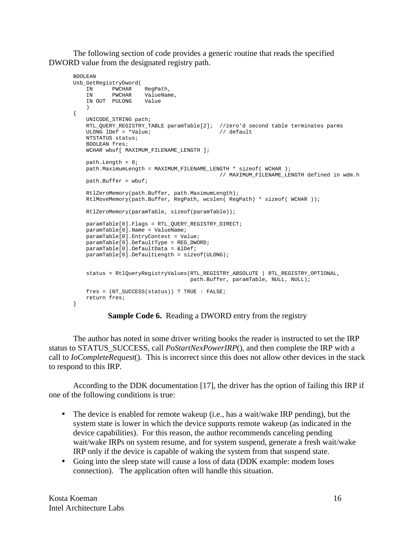The following section of code provides a generic routine that reads the specified DWORD value from the designated registry path.

```
BOOLEAN
Usb_GetRegistryDword(
 IN PWCHAR RegPath,
 IN PWCHAR ValueName,
    IN OUT PULONG Value
\overline{\phantom{a}}{
    UNICODE_STRING path;
    RTL_QUERY_REGISTRY_TABLE paramTable[2]; //zero'd second table terminates parms
    ULONG lDef = *Value; // default
    NTSTATUS status;
    BOOLEAN fres;
   WCHAR wbuf[ MAXIMUM FILENAME LENGTH ];
    path.Length = 0;
    path.MaximumLength = MAXIMUM_FILENAME_LENGTH * sizeof( WCHAR );
                                            // MAXIMUM_FILENAME_LENGTH defined in wdm.h
   path.Buffer = whuff; RtlZeroMemory(path.Buffer, path.MaximumLength);
    RtlMoveMemory(path.Buffer, RegPath, wcslen( RegPath) * sizeof( WCHAR ));
    RtlZeroMemory(paramTable, sizeof(paramTable));
    paramTable[0].Flags = RTL_QUERY_REGISTRY_DIRECT;
    paramTable[0].Name = ValueName;
    paramTable[0].EntryContext = Value;
    paramTable[0].DefaultType = REG_DWORD;
    paramTable[0].DefaultData = &lDef;
    paramTable[0].DefaultLength = sizeof(ULONG);
    status = RtlQueryRegistryValues(RTL_REGISTRY_ABSOLUTE | RTL_REGISTRY_OPTIONAL,
                                  path.Buffer, paramTable, NULL, NULL);
    fres = (NT_SUCCESS(status)) ? TRUE : FALSE;
    return fres;
}
```


The author has noted in some driver writing books the reader is instructed to set the IRP status to STATUS\_SUCCESS, call *PoStartNexPowerIRP*(), and then complete the IRP with a call to *IoCompleteRequest*(). This is incorrect since this does not allow other devices in the stack to respond to this IRP.

According to the DDK documentation [17], the driver has the option of failing this IRP if one of the following conditions is true:

- The device is enabled for remote wakeup (i.e., has a wait/wake IRP pending), but the system state is lower in which the device supports remote wakeup (as indicated in the device capabilities). For this reason, the author recommends canceling pending wait/wake IRPs on system resume, and for system suspend, generate a fresh wait/wake IRP only if the device is capable of waking the system from that suspend state.
- Going into the sleep state will cause a loss of data (DDK example: modem loses connection). The application often will handle this situation.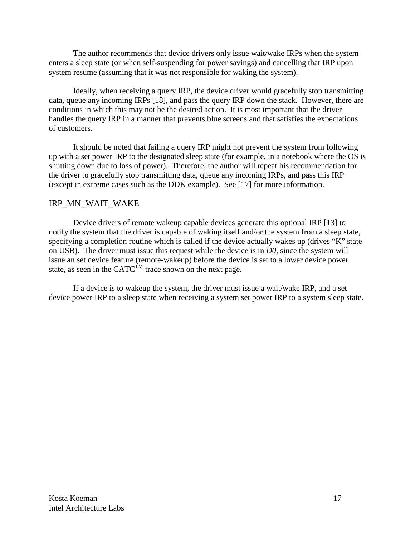The author recommends that device drivers only issue wait/wake IRPs when the system enters a sleep state (or when self-suspending for power savings) and cancelling that IRP upon system resume (assuming that it was not responsible for waking the system).

Ideally, when receiving a query IRP, the device driver would gracefully stop transmitting data, queue any incoming IRPs [18], and pass the query IRP down the stack. However, there are conditions in which this may not be the desired action. It is most important that the driver handles the query IRP in a manner that prevents blue screens and that satisfies the expectations of customers.

It should be noted that failing a query IRP might not prevent the system from following up with a set power IRP to the designated sleep state (for example, in a notebook where the OS is shutting down due to loss of power). Therefore, the author will repeat his recommendation for the driver to gracefully stop transmitting data, queue any incoming IRPs, and pass this IRP (except in extreme cases such as the DDK example). See [17] for more information.

## IRP\_MN\_WAIT\_WAKE

Device drivers of remote wakeup capable devices generate this optional IRP [13] to notify the system that the driver is capable of waking itself and/or the system from a sleep state, specifying a completion routine which is called if the device actually wakes up (drives "K" state on USB). The driver must issue this request while the device is in *D0*, since the system will issue an set device feature (remote-wakeup) before the device is set to a lower device power state, as seen in the CATC<sup>TM</sup> trace shown on the next page.

If a device is to wakeup the system, the driver must issue a wait/wake IRP, and a set device power IRP to a sleep state when receiving a system set power IRP to a system sleep state.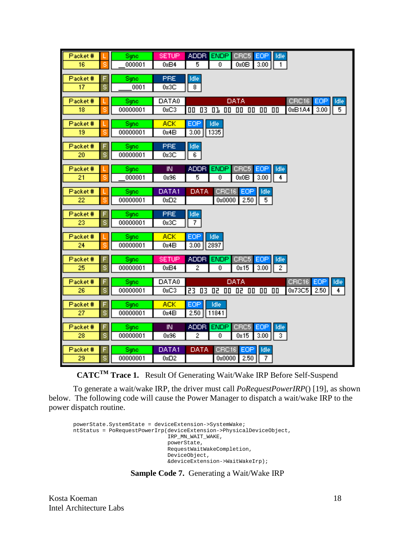| Packet#                               |   | Sync             | <b>SETUP</b><br><b>ADDR</b><br><b>ENDP</b><br>CRC5<br>EOP<br>Idle                                              |
|---------------------------------------|---|------------------|----------------------------------------------------------------------------------------------------------------|
| 16                                    |   | 000001           | 0xB4<br>5<br>0x0B<br>3.00<br>1<br>0                                                                            |
| Packet#                               |   | Sync             | <b>PRE</b><br>Idle                                                                                             |
| 17                                    | š | 0001             | 8<br>0x3C                                                                                                      |
|                                       |   |                  |                                                                                                                |
| Packet#<br>$\overline{18}$            |   | Sync<br>00000001 | DATA0<br>CRC16<br>DATA<br>EOP<br>Idle<br>0xC3<br>$5^{-}$<br>OD 03 01<br>00<br>00 00 00<br>0xB1A4<br>3.00<br>00 |
|                                       |   |                  |                                                                                                                |
| Packet#                               |   | Sync             | <b>ACK</b><br>EOP<br>Idle                                                                                      |
| 19                                    |   | 00000001         | 0x4B<br>3.00<br>1335                                                                                           |
| Packet#                               |   | Sync             | PRE<br>Idle                                                                                                    |
| 20                                    | s | 00000001         | 0x3C<br>6.                                                                                                     |
| Packet#                               |   | Sync.            | IN.<br><b>ADDR</b><br><b>ENDP</b><br>CRC5<br>EOP<br>Idle                                                       |
| 21                                    | ς | 000001           | 4<br>0x96<br>5<br>0<br>0x0B<br>3.00                                                                            |
|                                       |   |                  |                                                                                                                |
| Packet#<br>22                         |   | Sync<br>00000001 | DATA1<br>DATA<br>CRC16<br>EOP<br>Idle<br>0x0000<br>0xD2<br>2.50<br>5                                           |
|                                       |   |                  |                                                                                                                |
| Packet#                               |   | Sync             | PRE<br>Idle                                                                                                    |
| 23.                                   | s | 00000001         | 7<br>0x3C                                                                                                      |
| Packet#                               |   | Sync             | EOP<br><b>ACK</b><br>Idle                                                                                      |
| 24                                    | s | 00000001         | 3.00<br>0x4B<br>2897                                                                                           |
| Packet#                               |   | Sync             | <b>SETUP</b><br><b>ADDR</b><br><b>ENDP</b><br>CRC5<br>EOP<br>Idle                                              |
| 25                                    | s | 00000001         | 0xB4<br>$\overline{c}$<br>2<br>0s15<br>3.00<br>0                                                               |
|                                       |   |                  | DATA0<br>DATA                                                                                                  |
| Packet#<br>26                         | s | Sync<br>00000001 | EOP<br>Idle<br>CRC16<br>0xC3<br>23<br>03<br>50<br>02 00 00<br>00<br>0x73C5<br>2.50<br>00<br>4                  |
|                                       |   |                  |                                                                                                                |
|                                       |   | Sync.            |                                                                                                                |
|                                       |   |                  |                                                                                                                |
| Packet#                               |   | Sync             | IN.<br><b>ADDR</b><br><b>ENDP</b><br>CRC5<br>EOP<br>Idle                                                       |
| 28                                    | s | 00000001         | 2<br>3<br>0x96<br>0<br>0x15<br>3.00                                                                            |
|                                       |   |                  |                                                                                                                |
| 29                                    | s | 00000001         | 7<br>2.50<br>0xD2<br>0x0000                                                                                    |
| Packet#<br>$\overline{27}$<br>Packet# | s | 00000001<br>Sync | <b>ACK</b><br>EOP<br>Idle<br>2.50<br>11841<br>0x4B<br>DATA1<br>DATA<br>CRC16<br>EOP<br>Idle                    |

**CATCTM Trace 1.** Result Of Generating Wait/Wake IRP Before Self-Suspend

To generate a wait/wake IRP, the driver must call *PoRequestPowerIRP*() [19], as shown below. The following code will cause the Power Manager to dispatch a wait/wake IRP to the power dispatch routine.

```
powerState.SystemState = deviceExtension->SystemWake;
ntStatus = PoRequestPowerIrp(deviceExtension->PhysicalDeviceObject,
                              IRP_MN_WAIT_WAKE,
                               powerState,
                              RequestWaitWakeCompletion,
                              DeviceObject,
                               &deviceExtension->WaitWakeIrp);
```
### **Sample Code 7.** Generating a Wait/Wake IRP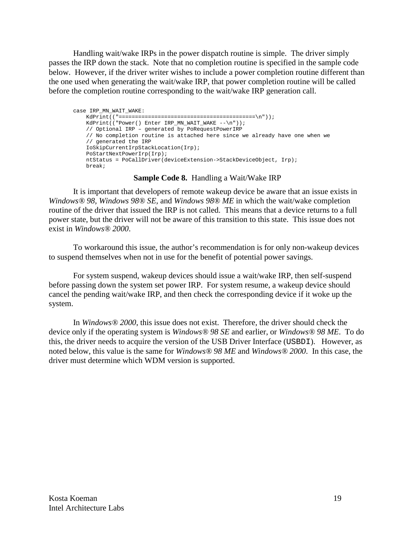Handling wait/wake IRPs in the power dispatch routine is simple. The driver simply passes the IRP down the stack. Note that no completion routine is specified in the sample code below. However, if the driver writer wishes to include a power completion routine different than the one used when generating the wait/wake IRP, that power completion routine will be called before the completion routine corresponding to the wait/wake IRP generation call.

```
case IRP_MN_WAIT_WAKE:
    KdPrint(("==========================================\n"));
   KdPrint(("Power() Enter IRP_MN_WAIT_WAKE --\n"));
    // Optional IRP – generated by PoRequestPowerIRP
    // No completion routine is attached here since we already have one when we
    // generated the IRP
    IoSkipCurrentIrpStackLocation(Irp);
    PoStartNextPowerIrp(Irp);
    ntStatus = PoCallDriver(deviceExtension->StackDeviceObject, Irp);
    break;
```
#### **Sample Code 8.** Handling a Wait/Wake IRP

It is important that developers of remote wakeup device be aware that an issue exists in *Windows® 98, Windows 98® SE,* and *Windows 98® ME* in which the wait/wake completion routine of the driver that issued the IRP is not called. This means that a device returns to a full power state, but the driver will not be aware of this transition to this state. This issue does not exist in *Windows® 2000*.

To workaround this issue, the author's recommendation is for only non-wakeup devices to suspend themselves when not in use for the benefit of potential power savings.

For system suspend, wakeup devices should issue a wait/wake IRP, then self-suspend before passing down the system set power IRP. For system resume, a wakeup device should cancel the pending wait/wake IRP, and then check the corresponding device if it woke up the system.

In *Windows® 2000*, this issue does not exist. Therefore, the driver should check the device only if the operating system is *Windows® 98 SE* and earlier, or *Windows® 98 ME*. To do this, the driver needs to acquire the version of the USB Driver Interface (USBDI). However, as noted below, this value is the same for *Windows® 98 ME* and *Windows® 2000*. In this case, the driver must determine which WDM version is supported.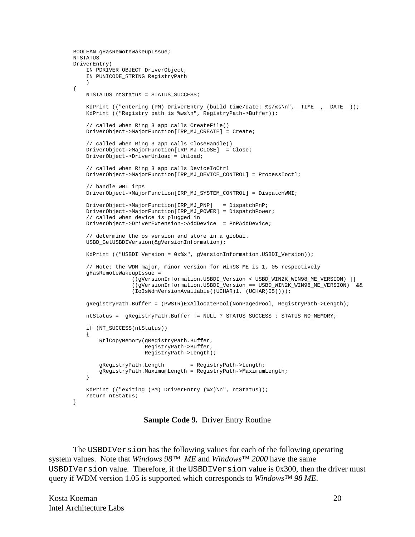```
BOOLEAN gHasRemoteWakeupIssue;
NTSTATUS
DriverEntry(
    IN PDRIVER_OBJECT DriverObject,
     IN PUNICODE_STRING RegistryPath
\overline{\phantom{a}}{
    NTSTATUS ntStatus = STATUS_SUCCESS;
    KdPrint (("entering (PM) DriverEntry (build time/date: %s/%s\n", _TIME__, _DATE__));
     KdPrint (("Registry path is %ws\n", RegistryPath->Buffer));
     // called when Ring 3 app calls CreateFile()
     DriverObject->MajorFunction[IRP_MJ_CREATE] = Create;
     // called when Ring 3 app calls CloseHandle()
     DriverObject->MajorFunction[IRP_MJ_CLOSE] = Close;
     DriverObject->DriverUnload = Unload;
     // called when Ring 3 app calls DeviceIoCtrl
     DriverObject->MajorFunction[IRP_MJ_DEVICE_CONTROL] = ProcessIoctl;
     // handle WMI irps
     DriverObject->MajorFunction[IRP_MJ_SYSTEM_CONTROL] = DispatchWMI;
     DriverObject->MajorFunction[IRP_MJ_PNP] = DispatchPnP;
     DriverObject->MajorFunction[IRP_MJ_POWER] = DispatchPower;
     // called when device is plugged in
     DriverObject->DriverExtension->AddDevice = PnPAddDevice;
     // determine the os version and store in a global.
     USBD_GetUSBDIVersion(&gVersionInformation);
    KdPrint (("USBDI Version = 0x%x", gVersionInformation.USBDI_Version));
     // Note: the WDM major, minor version for Win98 ME is 1, 05 respectively
     gHasRemoteWakeupIssue =
                   ((gVersionInformation.USBDI_Version < USBD_WIN2K_WIN98_ME_VERSION) ||
                  ((qVersionInformation.USBDI\_Version == USBD_WIN2K_WW98_ME_VERSION) &&
                   (IoIsWdmVersionAvailable((UCHAR)1, (UCHAR)05))));
     gRegistryPath.Buffer = (PWSTR)ExAllocatePool(NonPagedPool, RegistryPath->Length);
     ntStatus = gRegistryPath.Buffer != NULL ? STATUS_SUCCESS : STATUS_NO_MEMORY;
     if (NT_SUCCESS(ntStatus))
    \left\{ \right. RtlCopyMemory(gRegistryPath.Buffer,
                       RegistryPath->Buffer,
                       RegistryPath->Length);
         gRegistryPath.Length = RegistryPath->Length;
         gRegistryPath.MaximumLength = RegistryPath->MaximumLength;
     }
     KdPrint (("exiting (PM) DriverEntry (%x)\n", ntStatus));
     return ntStatus;
}
```
**Sample Code 9.** Driver Entry Routine

The USBDIVersion has the following values for each of the following operating system values. Note that *Windows 98™ ME* and *Windows™ 2000* have the same USBDIVersion value. Therefore, if the USBDIVersion value is 0x300, then the driver must query if WDM version 1.05 is supported which corresponds to *Windows™ 98 ME*.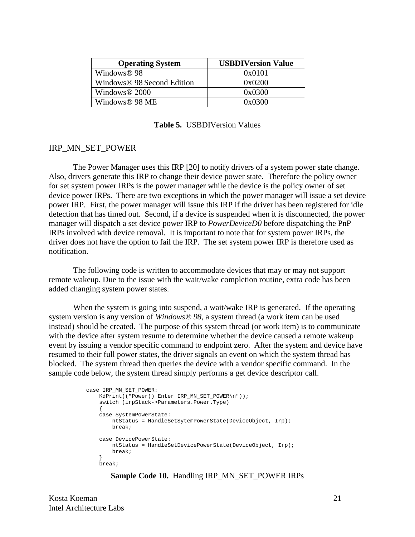| <b>Operating System</b>                | <b>USBDIVersion Value</b> |
|----------------------------------------|---------------------------|
| Windows <sup>®</sup> 98                | 0x0101                    |
| Windows <sup>®</sup> 98 Second Edition | 0x0200                    |
| Windows <sup>®</sup> 2000              | 0x0300                    |
| Windows <sup>®</sup> 98 ME             | 0x0300                    |

**Table 5.** USBDIVersion Values

#### IRP\_MN\_SET\_POWER

The Power Manager uses this IRP [20] to notify drivers of a system power state change. Also, drivers generate this IRP to change their device power state. Therefore the policy owner for set system power IRPs is the power manager while the device is the policy owner of set device power IRPs. There are two exceptions in which the power manager will issue a set device power IRP. First, the power manager will issue this IRP if the driver has been registered for idle detection that has timed out. Second, if a device is suspended when it is disconnected, the power manager will dispatch a set device power IRP to *PowerDeviceD0* before dispatching the PnP IRPs involved with device removal. It is important to note that for system power IRPs, the driver does not have the option to fail the IRP. The set system power IRP is therefore used as notification.

The following code is written to accommodate devices that may or may not support remote wakeup. Due to the issue with the wait/wake completion routine, extra code has been added changing system power states.

When the system is going into suspend, a wait/wake IRP is generated. If the operating system version is any version of *Windows® 98*, a system thread (a work item can be used instead) should be created. The purpose of this system thread (or work item) is to communicate with the device after system resume to determine whether the device caused a remote wakeup event by issuing a vendor specific command to endpoint zero. After the system and device have resumed to their full power states, the driver signals an event on which the system thread has blocked. The system thread then queries the device with a vendor specific command. In the sample code below, the system thread simply performs a get device descriptor call.

```
 case IRP_MN_SET_POWER:
        KdPrint(("Power() Enter IRP_MN_SET_POWER\n"));
        switch (irpStack->Parameters.Power.Type)
\{ case SystemPowerState:
           ntStatus = HandleSetSytemPowerState(DeviceObject, Irp);
            break;
        case DevicePowerState:
            ntStatus = HandleSetDevicePowerState(DeviceObject, Irp);
       break;
 }
        break;
```
#### **Sample Code 10.** Handling IRP\_MN\_SET\_POWER IRPs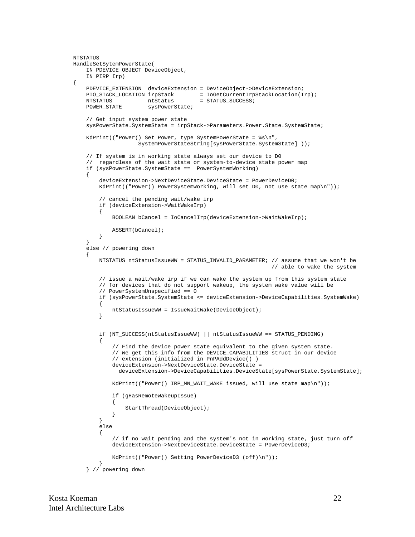```
NTSTATUS
HandleSetSytemPowerState(
    IN PDEVICE OBJECT DeviceObject,
     IN PIRP Irp)
{
     PDEVICE_EXTENSION deviceExtension = DeviceObject->DeviceExtension;
    PIO_STACK_LOCATION irpStack = IoGetCurrentIrpStackLocation(Irp);<br>NTSTATUS ntStatus = STATUS_SUCCESS;
    NTSTATUS ntStatus = STATUS_SUCCESS;<br>POWER_STATE sysPowerState;
                           sysPowerState;
     // Get input system power state
    sysPowerState.SystemState = irpStack->Parameters.Power.State.SystemState;
     KdPrint(("Power() Set Power, type SystemPowerState = %s\n",
                       SystemPowerStateString[sysPowerState.SystemState] ));
     // If system is in working state always set our device to D0
     // regardless of the wait state or system-to-device state power map
     if (sysPowerState.SystemState == PowerSystemWorking)
     {
          deviceExtension->NextDeviceState.DeviceState = PowerDeviceD0;
         KdPrint(("Power() PowerSystemWorking, will set D0, not use state map\n"));
          // cancel the pending wait/wake irp
          if (deviceExtension->WaitWakeIrp)
          {
               BOOLEAN bCancel = IoCancelIrp(deviceExtension->WaitWakeIrp);
               ASSERT(bCancel);
          }
     }
     else // powering down
     {
          NTSTATUS ntStatusIssueWW = STATUS_INVALID_PARAMETER; // assume that we won't be
                                                                          // able to wake the system
          // issue a wait/wake irp if we can wake the system up from this system state
          // for devices that do not support wakeup, the system wake value will be
          // PowerSystemUnspecified == 0
          if (sysPowerState.SystemState <= deviceExtension->DeviceCapabilities.SystemWake)
          {
               ntStatusIssueWW = IssueWaitWake(DeviceObject);
          }
          if (NT_SUCCESS(ntStatusIssueWW) || ntStatusIssueWW == STATUS_PENDING)
\left\{ \begin{array}{c} \end{array} \right. // Find the device power state equivalent to the given system state.
               // We get this info from the DEVICE_CAPABILITIES struct in our device
               // extension (initialized in PnPAddDevice() )
               deviceExtension->NextDeviceState.DeviceState =
                deviceExtension->DeviceCapabilities.DeviceState[sysPowerState.SystemState];
               KdPrint(("Power() IRP_MN_WAIT_WAKE issued, will use state map\n"));
               if (gHasRemoteWakeupIssue)
\left\{ \begin{array}{ccc} 0 & 0 & 0 \\ 0 & 0 & 0 \\ 0 & 0 & 0 \\ 0 & 0 & 0 \\ 0 & 0 & 0 \\ 0 & 0 & 0 \\ 0 & 0 & 0 \\ 0 & 0 & 0 \\ 0 & 0 & 0 \\ 0 & 0 & 0 \\ 0 & 0 & 0 \\ 0 & 0 & 0 \\ 0 & 0 & 0 \\ 0 & 0 & 0 & 0 \\ 0 & 0 & 0 & 0 \\ 0 & 0 & 0 & 0 \\ 0 & 0 & 0 & 0 & 0 \\ 0 & 0 & 0 & 0 & 0 \\ 0 & 0 & 0 & 0 & 0 \\ 0 & 0 & 0 & 0StartThread(DeviceObject);
 }
          }
          else
\{ // if no wait pending and the system's not in working state, just turn off
               deviceExtension->NextDeviceState.DeviceState = PowerDeviceD3;
               KdPrint(("Power() Setting PowerDeviceD3 (off)\n"));
          }
     } // powering down
```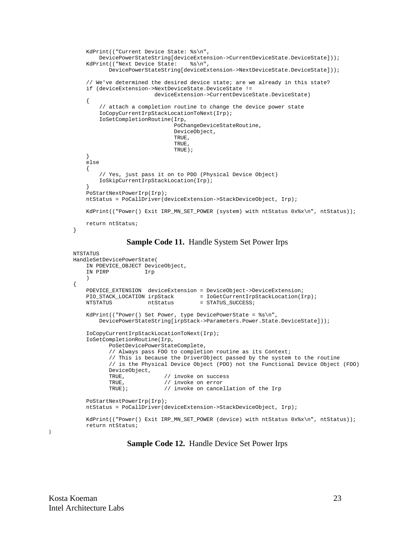```
 KdPrint(("Current Device State: %s\n",
        DevicePowerStateString[deviceExtension->CurrentDeviceState.DeviceState]));
    KdPrint(("Next Device State: %s\n",
            DevicePowerStateString[deviceExtension->NextDeviceState.DeviceState]));
    // We've determined the desired device state; are we already in this state?
    if (deviceExtension->NextDeviceState.DeviceState !=
                          deviceExtension->CurrentDeviceState.DeviceState)
    {
         // attach a completion routine to change the device power state
         IoCopyCurrentIrpStackLocationToNext(Irp);
         IoSetCompletionRoutine(Irp,
                                 PoChangeDeviceStateRoutine,
                                 DeviceObject,
                                 TRUE,
                                 TRUE,
                                 TRUE);
    }
    else
   \left\{ \right. // Yes, just pass it on to PDO (Physical Device Object)
         IoSkipCurrentIrpStackLocation(Irp);
 }
    PoStartNextPowerIrp(Irp);
    ntStatus = PoCallDriver(deviceExtension->StackDeviceObject, Irp);
   KdPrint(("Power() Exit IRP_MN_SET_POWER (system) with ntStatus 0x%x\n", ntStatus));
    return ntStatus;
```
#### **Sample Code 11.** Handle System Set Power Irps

```
NTSTATUS
HandleSetDevicePowerState(
    IN PDEVICE_OBJECT DeviceObject,
     IN PIRP Irp
\qquad \qquad{
     PDEVICE_EXTENSION deviceExtension = DeviceObject->DeviceExtension;
   PIO_STACK_LOCATION irpStack = IoGetCurrentIrpStackLocation(Irp);<br>NTSTATUS ntStatus = STATUS_SUCCESS;
                     ntStatus = STATUS_SUCCESS;
    KdPrint(("Power() Set Power, type DevicePowerState = <math>\$s\n</math> DevicePowerStateString[irpStack->Parameters.Power.State.DeviceState]));
     IoCopyCurrentIrpStackLocationToNext(Irp);
     IoSetCompletionRoutine(Irp,
            PoSetDevicePowerStateComplete,
            // Always pass FDO to completion routine as its Context;
            // This is because the DriverObject passed by the system to the routine
            // is the Physical Device Object (PDO) not the Functional Device Object (FDO)
            DeviceObject,
           TRUE, \frac{1}{2} // invoke on success
           TRUE, \frac{1}{2} // invoke on error
            TRUE); // invoke on cancellation of the Irp
     PoStartNextPowerIrp(Irp);
     ntStatus = PoCallDriver(deviceExtension->StackDeviceObject, Irp);
    KdPrint(("Power() Exit IRP_MN_SET_POWER (device) with ntStatus 0x%x\n", ntStatus));
     return ntStatus;
```
}

}

**Sample Code 12.** Handle Device Set Power Irps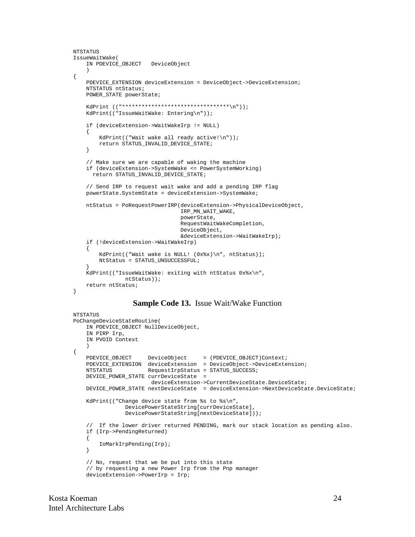```
NTSTATUS
IssueWaitWake(
     IN PDEVICE_OBJECT DeviceObject
    \rightarrow{
     PDEVICE_EXTENSION deviceExtension = DeviceObject->DeviceExtension;
     NTSTATUS ntStatus;
     POWER_STATE powerState;
     KdPrint (("*********************************\n"));
     KdPrint(("IssueWaitWake: Entering\n"));
     if (deviceExtension->WaitWakeIrp != NULL)
    \{ KdPrint(("Wait wake all ready active!\n"));
         return STATUS_INVALID_DEVICE_STATE;
     }
     // Make sure we are capable of waking the machine
     if (deviceExtension->SystemWake <= PowerSystemWorking)
       return STATUS_INVALID_DEVICE_STATE;
     // Send IRP to request wait wake and add a pending IRP flag
     powerState.SystemState = deviceExtension->SystemWake;
     ntStatus = PoRequestPowerIRP(deviceExtension->PhysicalDeviceObject,
                                    IRP_MN_WAIT_WAKE,
                                    powerState,
                                    RequestWaitWakeCompletion,
                                    DeviceObject,
                                    &deviceExtension->WaitWakeIrp);
     if (!deviceExtension->WaitWakeIrp)
    \left\{ \right.KdPrint(("Wait wake is NULL! (0x*x)\n", ntStatus));
         NtStatus = STATUS_UNSUCCESSFUL;
 }
     KdPrint(("IssueWaitWake: exiting with ntStatus 0x%x\n",
                 ntStatus));
     return ntStatus;
}
```
#### **Sample Code 13.** Issue Wait/Wake Function

```
NTSTATUS
PoChangeDeviceStateRoutine(
    IN PDEVICE_OBJECT NullDeviceObject,
     IN PIRP Irp,
     IN PVOID Context
    \lambda{
PDEVICE_OBJECT DeviceObject = (PDEVICE_OBJECT)Context;
 PDEVICE_EXTENSION deviceExtension = DeviceObject->DeviceExtension;
    NTSTATUS RequestIrpStatus = STATUS_SUCCESS;
     DEVICE_POWER_STATE currDeviceState =
                        deviceExtension->CurrentDeviceState.DeviceState;
    DEVICE_POWER_STATE nextDeviceState = deviceExtension->NextDeviceState.DeviceState;
     KdPrint(("Change device state from %s to %s\n",
                 DevicePowerStateString[currDeviceState],
                 DevicePowerStateString[nextDeviceState]));
     // If the lower driver returned PENDING, mark our stack location as pending also.
     if (Irp->PendingReturned)
     {
         IoMarkIrpPending(Irp);
     }
     // No, request that we be put into this state
     // by requesting a new Power Irp from the Pnp manager
     deviceExtension->PowerIrp = Irp;
```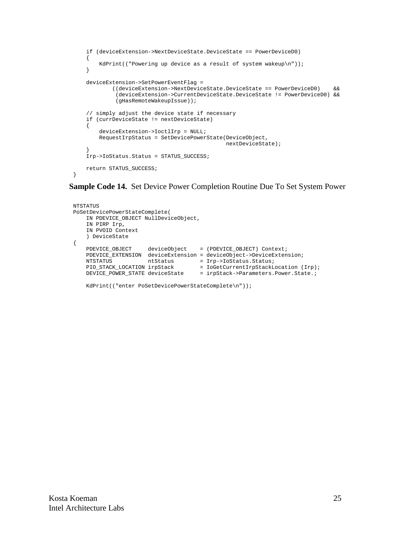```
 if (deviceExtension->NextDeviceState.DeviceState == PowerDeviceD0)
    {
        KdPrint(("Powering up device as a result of system wakeup\n"));
    }
    deviceExtension->SetPowerEventFlag =
            ((deviceExtension->NextDeviceState.DeviceState == PowerDeviceD0) &&
             (deviceExtension->CurrentDeviceState.DeviceState != PowerDeviceD0) &&
             (gHasRemoteWakeupIssue));
    // simply adjust the device state if necessary
    if (currDeviceState != nextDeviceState)
    {
        deviceExtension->IoctlIrp = NULL;
        RequestIrpStatus = SetDevicePowerState(DeviceObject,
                                                nextDeviceState);
 }
    Irp->IoStatus.Status = STATUS_SUCCESS;
    return STATUS_SUCCESS;
```
**Sample Code 14.** Set Device Power Completion Routine Due To Set System Power

```
NTSTATUS
PoSetDevicePowerStateComplete(
    IN PDEVICE_OBJECT NullDeviceObject,
    IN PIRP Irp,
    IN PVOID Context
    ) DeviceState
{
    PDEVICE_OBJECT deviceObject = (PDEVICE_OBJECT) Context;
    PDEVICE_EXTENSION deviceExtension = deviceObject->DeviceExtension;
NTSTATUS ntStatus = Irp->IoStatus.Status;
PIO_STACK_LOCATION irpStack = IoGetCurrentIrpStackLocation (Irp);
    DEVICE_POWER_STATE deviceState = irpStack->Parameters.Power.State.;
    KdPrint(("enter PoSetDevicePowerStateComplete\n"));
```
}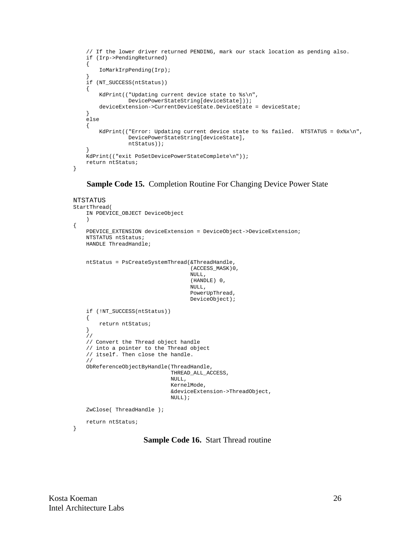```
 // If the lower driver returned PENDING, mark our stack location as pending also.
    if (Irp->PendingReturned)
    {
        IoMarkIrpPending(Irp);
 }
    if (NT_SUCCESS(ntStatus))
    {
        KdPrint(("Updating current device state to %s\n",
                 DevicePowerStateString[deviceState]));
        deviceExtension->CurrentDeviceState.DeviceState = deviceState;
    }
    else
    {
       KdPrint(("Error: Updating current device state to %s failed. NTSTATUS = 0x*x\n",
                 DevicePowerStateString[deviceState],
                 ntStatus));
 }
    KdPrint(("exit PoSetDevicePowerStateComplete\n"));
    return ntStatus;
```
**Sample Code 15.** Completion Routine For Changing Device Power State

```
NTSTATUS
StartThread(
     IN PDEVICE_OBJECT DeviceObject
     )
{
     PDEVICE_EXTENSION deviceExtension = DeviceObject->DeviceExtension;
     NTSTATUS ntStatus;
     HANDLE ThreadHandle;
     ntStatus = PsCreateSystemThread(&ThreadHandle,
                                       (ACCESS_MASK)0,
                                      NIII.
                                       (HANDLE) 0,
                                       NULL,
                                       PowerUpThread,
                                       DeviceObject);
     if (!NT_SUCCESS(ntStatus))
     {
         return ntStatus;
     }
     //
     // Convert the Thread object handle
     // into a pointer to the Thread object
     // itself. Then close the handle.
     //
     ObReferenceObjectByHandle(ThreadHandle,
                                 THREAD_ALL_ACCESS,
                                 NULL,
                                 KernelMode,
                                 &deviceExtension->ThreadObject,
                                 NULL);
     ZwClose( ThreadHandle );
     return ntStatus;
}
```
**Sample Code 16.** Start Thread routine

}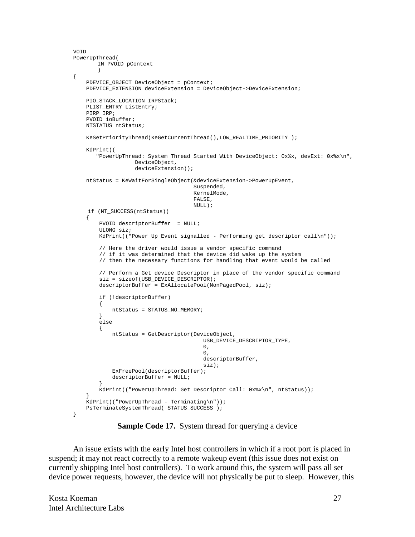```
VOID
PowerUpThread(
      IN PVOID pContext
       \lambda{
    PDEVICE_OBJECT DeviceObject = pContext;
    PDEVICE_EXTENSION deviceExtension = DeviceObject->DeviceExtension;
   PIO_STACK_LOCATION IRPStack;
    PLIST_ENTRY ListEntry;
    PIRP IRP;
    PVOID ioBuffer;
    NTSTATUS ntStatus;
    KeSetPriorityThread(KeGetCurrentThread(),LOW_REALTIME_PRIORITY );
    KdPrint((
       "PowerUpThread: System Thread Started With DeviceObject: 0x%x, devExt: 0x%x\n",
                  DeviceObject,
                   deviceExtension));
    ntStatus = KeWaitForSingleObject(&deviceExtension->PowerUpEvent,
                                    Suspended,
                                    KernelMode,
                                    FALSE,
                                    NULL);
    if (NT_SUCCESS(ntStatus))
     {
        PVOID descriptorBuffer = NULL;
        ULONG siz;
        KdPrint(("Power Up Event signalled - Performing get descriptor call\n"));
        // Here the driver would issue a vendor specific command
        // if it was determined that the device did wake up the system
        // then the necessary functions for handling that event would be called
        // Perform a Get device Descriptor in place of the vendor specific command
        siz = sizeof(USB_DEVICE_DESCRIPTOR);
        descriptorBuffer = ExAllocatePool(NonPagedPool, siz);
        if (!descriptorBuffer)
        {
            ntStatus = STATUS_NO_MEMORY;
        }
        else
        {
            ntStatus = GetDescriptor(DeviceObject,
                                       USB_DEVICE_DESCRIPTOR_TYPE,
\sim 0,
\sim 0,
                                       descriptorBuffer,
 siz);
            ExFreePool(descriptorBuffer);
            descriptorBuffer = NULL;
 }
       KdPrint(("PowerUpThread: Get Descriptor Call: 0x%x\n", ntStatus));
 }
    KdPrint(("PowerUpThread - Terminating\n"));
    PsTerminateSystemThread( STATUS_SUCCESS );
}
```
**Sample Code 17.** System thread for querying a device

An issue exists with the early Intel host controllers in which if a root port is placed in suspend; it may not react correctly to a remote wakeup event (this issue does not exist on currently shipping Intel host controllers). To work around this, the system will pass all set device power requests, however, the device will not physically be put to sleep. However, this

Kosta Koeman 27 Intel Architecture Labs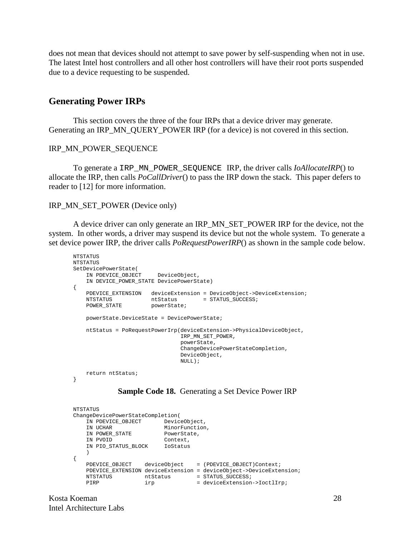does not mean that devices should not attempt to save power by self-suspending when not in use. The latest Intel host controllers and all other host controllers will have their root ports suspended due to a device requesting to be suspended.

#### **Generating Power IRPs**

This section covers the three of the four IRPs that a device driver may generate. Generating an IRP\_MN\_QUERY\_POWER IRP (for a device) is not covered in this section.

#### IRP\_MN\_POWER\_SEQUENCE

To generate a IRP\_MN\_POWER\_SEQUENCE IRP, the driver calls *IoAllocateIRP*() to allocate the IRP, then calls *PoCallDriver*() to pass the IRP down the stack. This paper defers to reader to [12] for more information.

#### IRP\_MN\_SET\_POWER (Device only)

A device driver can only generate an IRP\_MN\_SET\_POWER IRP for the device, not the system. In other words, a driver may suspend its device but not the whole system. To generate a set device power IRP, the driver calls *PoRequestPowerIRP*() as shown in the sample code below.

```
NTSTATUS
NTSTATUS
SetDevicePowerState(
    IN PDEVICE OBJECT DeviceObject,
    IN DEVICE_POWER_STATE DevicePowerState)
{
 PDEVICE_EXTENSION deviceExtension = DeviceObject->DeviceExtension;
NTSTATUS htStatus = STATUS_SUCCESS;
   PDEVICE_EAIL...<br>NTSTATUS ntStatus<br>
mATE powerState;
     powerState.DeviceState = DevicePowerState;
    ntStatus = PoRequestPowerIrp(deviceExtension->PhysicalDeviceObject,
                                  IRP_MN_SET_POWER,
                                  powerState,
                                  ChangeDevicePowerStateCompletion,
                                  DeviceObject,
                                  NULL);
    return ntStatus;
}
```
#### **Sample Code 18.** Generating a Set Device Power IRP

```
NTSTATUS
ChangeDevicePowerStateCompletion(
   IN PDEVICE_OBJECT DeviceObject,
IN UCHAR MinorFunction,
IN POWER_STATE PowerState,
 IN PVOID Context,
  IN PVOID Context,<br>IN PIO_STATUS_BLOCK IoStatus
    )
{
  PDEVICE_OBJECT deviceObject = (PDEVICE_OBJECT)Context;
    PDEVICE_EXTENSION deviceExtension = deviceObject->DeviceExtension;
NTSTATUS htStatus = STATUS_SUCCESS;
PIRP irp = deviceExtension->IoctlIrp;
```
Kosta Koeman 28 Intel Architecture Labs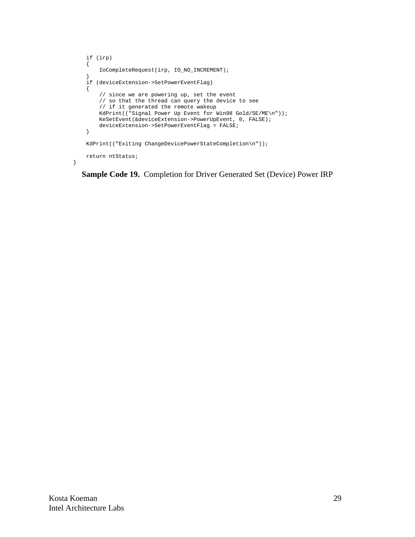```
 if (irp)
    {
        IoCompleteRequest(irp, IO_NO_INCREMENT);
 }
    if (deviceExtension->SetPowerEventFlag)
    {
        // since we are powering up, set the event
 // so that the thread can query the device to see
 // if it generated the remote wakeup
        KdPrint(("Signal Power Up Event for Win98 Gold/SE/ME\n"));
        KeSetEvent(&deviceExtension->PowerUpEvent, 0, FALSE);
        deviceExtension->SetPowerEventFlag = FALSE;
    }
    KdPrint(("Exiting ChangeDevicePowerStateCompletion\n"));
    return ntStatus;
```
**Sample Code 19.** Completion for Driver Generated Set (Device) Power IRP

}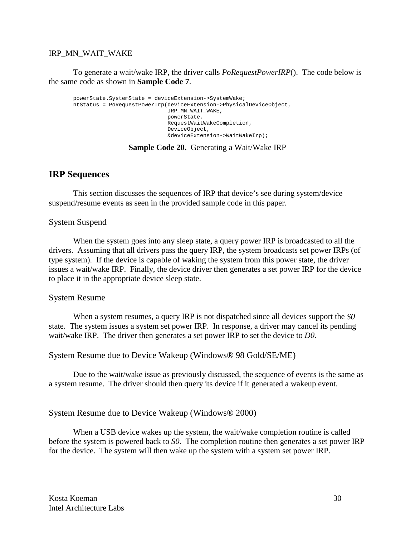#### IRP\_MN\_WAIT\_WAKE

To generate a wait/wake IRP, the driver calls *PoRequestPowerIRP*(). The code below is the same code as shown in **Sample Code 7**.

```
powerState.SystemState = deviceExtension->SystemWake;
ntStatus = PoRequestPowerIrp(deviceExtension->PhysicalDeviceObject,
                             IRP_MN_WAIT_WAKE,
                              powerState,
                              RequestWaitWakeCompletion,
                              DeviceObject,
                              &deviceExtension->WaitWakeIrp);
```
#### **Sample Code 20.** Generating a Wait/Wake IRP

## **IRP Sequences**

This section discusses the sequences of IRP that device's see during system/device suspend/resume events as seen in the provided sample code in this paper.

#### System Suspend

When the system goes into any sleep state, a query power IRP is broadcasted to all the drivers. Assuming that all drivers pass the query IRP, the system broadcasts set power IRPs (of type system). If the device is capable of waking the system from this power state, the driver issues a wait/wake IRP. Finally, the device driver then generates a set power IRP for the device to place it in the appropriate device sleep state.

#### System Resume

When a system resumes, a query IRP is not dispatched since all devices support the *S0* state. The system issues a system set power IRP. In response, a driver may cancel its pending wait/wake IRP. The driver then generates a set power IRP to set the device to *D0*.

#### System Resume due to Device Wakeup (Windows® 98 Gold/SE/ME)

Due to the wait/wake issue as previously discussed, the sequence of events is the same as a system resume. The driver should then query its device if it generated a wakeup event.

#### System Resume due to Device Wakeup (Windows® 2000)

When a USB device wakes up the system, the wait/wake completion routine is called before the system is powered back to *S0*. The completion routine then generates a set power IRP for the device. The system will then wake up the system with a system set power IRP.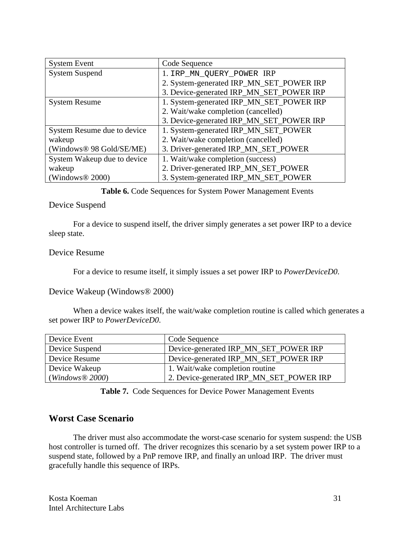| <b>System Event</b>         | Code Sequence                            |
|-----------------------------|------------------------------------------|
| <b>System Suspend</b>       | 1. IRP_MN_QUERY_POWER IRP                |
|                             | 2. System-generated IRP_MN_SET_POWER IRP |
|                             | 3. Device-generated IRP_MN_SET_POWER IRP |
| <b>System Resume</b>        | 1. System-generated IRP_MN_SET_POWER IRP |
|                             | 2. Wait/wake completion (cancelled)      |
|                             | 3. Device-generated IRP_MN_SET_POWER IRP |
| System Resume due to device | 1. System-generated IRP_MN_SET_POWER     |
| wakeup                      | 2. Wait/wake completion (cancelled)      |
| (Windows® 98 Gold/SE/ME)    | 3. Driver-generated IRP_MN_SET_POWER     |
| System Wakeup due to device | 1. Wait/wake completion (success)        |
| wakeup                      | 2. Driver-generated IRP_MN_SET_POWER     |
| (Windows $\&$ 2000)         | 3. System-generated IRP_MN_SET_POWER     |

**Table 6.** Code Sequences for System Power Management Events

#### Device Suspend

For a device to suspend itself, the driver simply generates a set power IRP to a device sleep state.

#### Device Resume

For a device to resume itself, it simply issues a set power IRP to *PowerDeviceD0*.

### Device Wakeup (Windows® 2000)

When a device wakes itself, the wait/wake completion routine is called which generates a set power IRP to *PowerDeviceD0*.

| Device Event   | Code Sequence                            |
|----------------|------------------------------------------|
| Device Suspend | Device-generated IRP_MN_SET_POWER IRP    |
| Device Resume  | Device-generated IRP_MN_SET_POWER IRP    |
| Device Wakeup  | 1. Wait/wake completion routine          |
| (Windows@2000) | 2. Device-generated IRP_MN_SET_POWER IRP |

**Table 7.** Code Sequences for Device Power Management Events

## **Worst Case Scenario**

The driver must also accommodate the worst-case scenario for system suspend: the USB host controller is turned off. The driver recognizes this scenario by a set system power IRP to a suspend state, followed by a PnP remove IRP, and finally an unload IRP. The driver must gracefully handle this sequence of IRPs.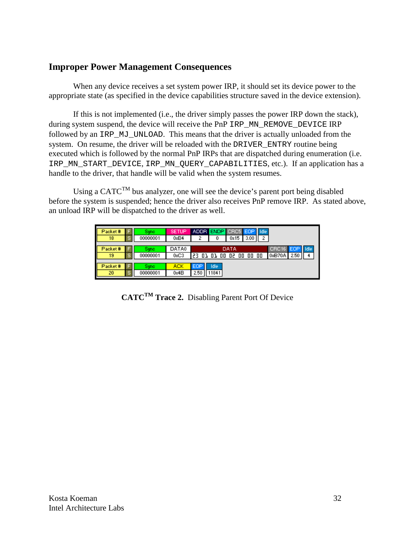# **Improper Power Management Consequences**

When any device receives a set system power IRP, it should set its device power to the appropriate state (as specified in the device capabilities structure saved in the device extension).

If this is not implemented (i.e., the driver simply passes the power IRP down the stack), during system suspend, the device will receive the PnP IRP\_MN\_REMOVE\_DEVICE IRP followed by an IRP\_MJ\_UNLOAD. This means that the driver is actually unloaded from the system. On resume, the driver will be reloaded with the DRIVER ENTRY routine being executed which is followed by the normal PnP IRPs that are dispatched during enumeration (i.e. IRP\_MN\_START\_DEVICE, IRP\_MN\_QUERY\_CAPABILITIES, etc.). If an application has a handle to the driver, that handle will be valid when the system resumes.

Using a CATC<sup>TM</sup> bus analyzer, one will see the device's parent port being disabled before the system is suspended; hence the driver also receives PnP remove IRP. As stated above, an unload IRP will be dispatched to the driver as well.

| Packet#<br>18 | s. | Sunc<br>00000001 | <b>SETUP</b><br>0xB4 | ADDR ENDP CRC5 EOP<br><b>Hidle</b><br>2<br>3.00<br>0x15<br>2<br>0 |
|---------------|----|------------------|----------------------|-------------------------------------------------------------------|
| Packet#       |    | Sunc             | DATA0                | <b>I</b> Idle<br>CRC16 EOP<br>DATA                                |
| 19            | s. | 00000001         | 0xC3                 | 0xB70A<br>2.50<br>23 01 01 00 02 00 00 00                         |
|               |    |                  |                      |                                                                   |
| Packet#       |    | Sunc             | ACK                  | EOP<br>Idle                                                       |
| 20            | s. | 00000001         | 0x4B                 | 2.50<br>11841                                                     |

**CATCTM Trace 2.** Disabling Parent Port Of Device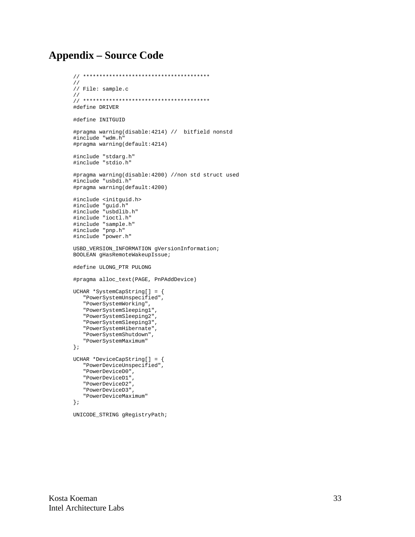# **Appendix – Source Code**

```
// ***************************************
//
// File: sample.c
//
// ***************************************
#define DRIVER
#define INITGUID
#pragma warning(disable:4214) // bitfield nonstd
#include "wdm.h"
#pragma warning(default:4214)
#include "stdarg.h"
#include "stdio.h"
#pragma warning(disable:4200) //non std struct used
#include "usbdi.h"
#pragma warning(default:4200)
#include <initguid.h>
#include "guid.h"
#include "usbdlib.h"
#include "ioctl.h"
#include "sample.h"
#include "pnp.h"
#include "power.h"
USBD_VERSION_INFORMATION gVersionInformation;
BOOLEAN gHasRemoteWakeupIssue;
#define ULONG_PTR PULONG
#pragma alloc_text(PAGE, PnPAddDevice)
UCHAR *SystemCapString[] = {
    "PowerSystemUnspecified",
    "PowerSystemWorking",
    "PowerSystemSleeping1",
    "PowerSystemSleeping2",
    "PowerSystemSleeping3",
    "PowerSystemHibernate",
    "PowerSystemShutdown",
    "PowerSystemMaximum"
};
UCHAR *DeviceCapString[] = {
   "PowerDeviceUnspecified",
    "PowerDeviceD0",
    "PowerDeviceD1",
    "PowerDeviceD2",
    "PowerDeviceD3",
    "PowerDeviceMaximum"
};
```
UNICODE\_STRING gRegistryPath;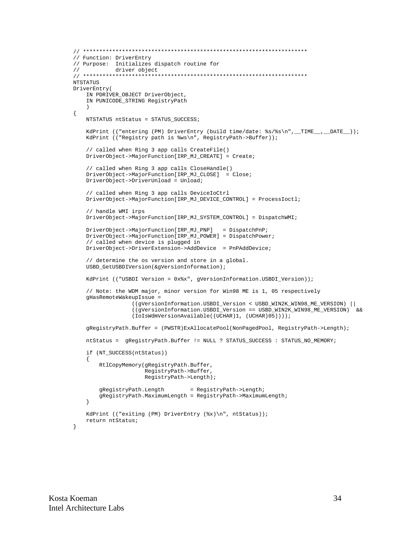```
// *********************************************************************
// Function: DriverEntry
// Purpose: Initializes dispatch routine for<br>// driver object
// driver object
// *********************************************************************
NTSTATUS
DriverEntry(
    IN PDRIVER_OBJECT DriverObject,
    IN PUNICODE_STRING RegistryPath
\qquad \qquad{
    NTSTATUS ntStatus = STATUS_SUCCESS;
    KdPrint (("entering (PM) DriverEntry (build time/date: %s/%s\n", _TIME__, _DATE__));
     KdPrint (("Registry path is %ws\n", RegistryPath->Buffer));
     // called when Ring 3 app calls CreateFile()
     DriverObject->MajorFunction[IRP_MJ_CREATE] = Create;
     // called when Ring 3 app calls CloseHandle()
     DriverObject->MajorFunction[IRP_MJ_CLOSE] = Close;
     DriverObject->DriverUnload = Unload;
     // called when Ring 3 app calls DeviceIoCtrl
     DriverObject->MajorFunction[IRP_MJ_DEVICE_CONTROL] = ProcessIoctl;
     // handle WMI irps
     DriverObject->MajorFunction[IRP_MJ_SYSTEM_CONTROL] = DispatchWMI;
     DriverObject->MajorFunction[IRP_MJ_PNP] = DispatchPnP;
     DriverObject->MajorFunction[IRP_MJ_POWER] = DispatchPower;
     // called when device is plugged in
     DriverObject->DriverExtension->AddDevice = PnPAddDevice;
     // determine the os version and store in a global.
     USBD_GetUSBDIVersion(&gVersionInformation);
    KdPrint (("USBDI Version = 0x%x", gVersionInformation.USBDI_Version));
     // Note: the WDM major, minor version for Win98 ME is 1, 05 respectively
     gHasRemoteWakeupIssue =
                   ((gVersionInformation.USBDI_Version < USBD_WIN2K_WIN98_ME_VERSION) ||
                   ((gVersionInformation.USBDI_Version == USBD_WIN2K_WIN98_ME_VERSION) &&
                   (IoIsWdmVersionAvailable((UCHAR)1, (UCHAR)05))));
     gRegistryPath.Buffer = (PWSTR)ExAllocatePool(NonPagedPool, RegistryPath->Length);
     ntStatus = gRegistryPath.Buffer != NULL ? STATUS_SUCCESS : STATUS_NO_MEMORY;
     if (NT_SUCCESS(ntStatus))
     {
         RtlCopyMemory(gRegistryPath.Buffer,
                       RegistryPath->Buffer,
                       RegistryPath->Length);
         gRegistryPath.Length = RegistryPath->Length;
         gRegistryPath.MaximumLength = RegistryPath->MaximumLength;
     }
     KdPrint (("exiting (PM) DriverEntry (%x)\n", ntStatus));
     return ntStatus;
}
```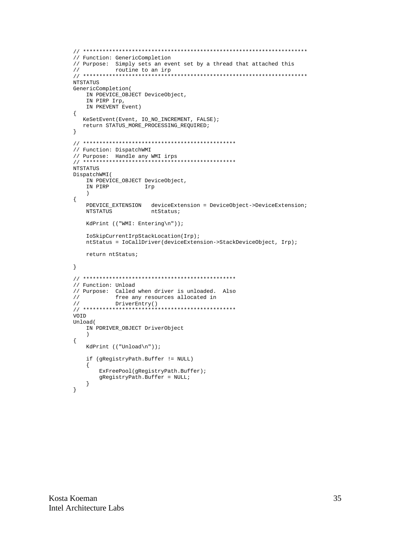```
// *********************************************************************
// Function: GenericCompletion
// Purpose: Simply sets an event set by a thread that attached this \frac{1}{10} routine to an irp
            routine to an irp
// *********************************************************************
NTSTATUS
GenericCompletion(
    IN PDEVICE_OBJECT DeviceObject,
     IN PIRP Irp,
     IN PKEVENT Event)
{
    KeSetEvent(Event, IO_NO_INCREMENT, FALSE);
    return STATUS_MORE_PROCESSING_REQUIRED;
}
// ***********************************************
// Function: DispatchWMI
// Purpose: Handle any WMI irps
// ***********************************************
NTSTATUS
DispatchWMI(
     IN PDEVICE_OBJECT DeviceObject,
     IN PIRP Irp
     )
{
    PDEVICE_EXTENSION deviceExtension = DeviceObject->DeviceExtension;<br>NTSTATUS ntStatus;
                        ntStatus;
     KdPrint (("WMI: Entering\n"));
     IoSkipCurrentIrpStackLocation(Irp);
     ntStatus = IoCallDriver(deviceExtension->StackDeviceObject, Irp);
     return ntStatus;
}
// ***********************************************
// Function: Unload
// Purpose: Called when driver is unloaded. Also<br>// free any resources allocated in
             free any resources allocated in
// DriverEntry()
// ***********************************************
VOID
Unload(
     IN PDRIVER_OBJECT DriverObject
     )
{
     KdPrint (("Unload\n"));
     if (gRegistryPath.Buffer != NULL)
     {
         ExFreePool(gRegistryPath.Buffer);
         gRegistryPath.Buffer = NULL;
     }
}
```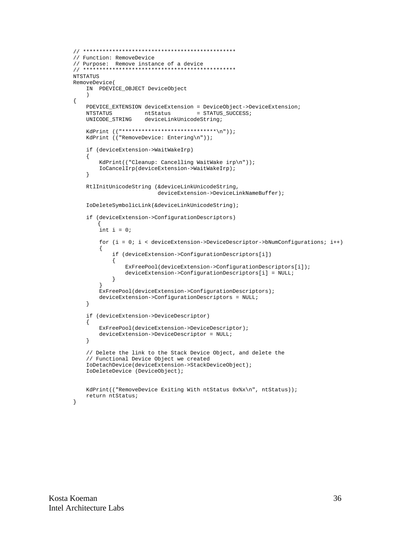```
// ***********************************************
// Function: RemoveDevice
// Purpose: Remove instance of a device
// ***********************************************
NTSTATUS
RemoveDevice(
     IN PDEVICE_OBJECT DeviceObject
     )
     PDEVICE_EXTENSION deviceExtension = DeviceObject->DeviceExtension;
    NTSTATUS ntStatus = STATUS_SUCCESS;
     UNICODE_STRING deviceLinkUnicodeString;
     KdPrint (("*****************************\n"));
     KdPrint (("RemoveDevice: Entering\n"));
     if (deviceExtension->WaitWakeIrp)
     {
          KdPrint(("Cleanup: Cancelling WaitWake irp\n"));
          IoCancelIrp(deviceExtension->WaitWakeIrp);
     }
     RtlInitUnicodeString (&deviceLinkUnicodeString,
                                deviceExtension->DeviceLinkNameBuffer);
     IoDeleteSymbolicLink(&deviceLinkUnicodeString);
     if (deviceExtension->ConfigurationDescriptors)
         {
         int i = 0; for (i = 0; i < deviceExtension->DeviceDescriptor->bNumConfigurations; i++)
\{ if (deviceExtension->ConfigurationDescriptors[i])
\left\{ \begin{array}{ccc} 0 & 0 & 0 \\ 0 & 0 & 0 \\ 0 & 0 & 0 \\ 0 & 0 & 0 \\ 0 & 0 & 0 \\ 0 & 0 & 0 \\ 0 & 0 & 0 \\ 0 & 0 & 0 \\ 0 & 0 & 0 \\ 0 & 0 & 0 \\ 0 & 0 & 0 \\ 0 & 0 & 0 \\ 0 & 0 & 0 \\ 0 & 0 & 0 & 0 \\ 0 & 0 & 0 & 0 \\ 0 & 0 & 0 & 0 \\ 0 & 0 & 0 & 0 & 0 \\ 0 & 0 & 0 & 0 & 0 \\ 0 & 0 & 0 & 0 & 0 \\ 0 & 0 & 0 & 0 ExFreePool(deviceExtension->ConfigurationDescriptors[i]);
               deviceExtension->ConfigurationDescriptors[i] = NULL;
 }
 }
          ExFreePool(deviceExtension->ConfigurationDescriptors);
          deviceExtension->ConfigurationDescriptors = NULL;
     }
     if (deviceExtension->DeviceDescriptor)
     {
          ExFreePool(deviceExtension->DeviceDescriptor);
          deviceExtension->DeviceDescriptor = NULL;
     }
     // Delete the link to the Stack Device Object, and delete the
     // Functional Device Object we created
     IoDetachDevice(deviceExtension->StackDeviceObject);
     IoDeleteDevice (DeviceObject);
    KdPrint(("RemoveDevice Exiting With ntStatus 0x%x\n", ntStatus));
     return ntStatus;
```
}

{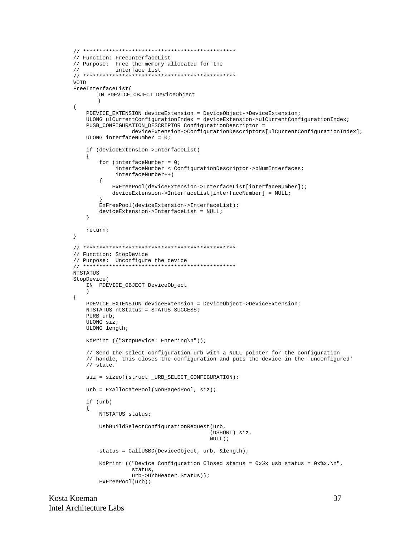```
// Function: FreeInterfaceList
// Purpose: Free the memory allocated for the
\frac{1}{2}interface list
VOID
FreeInterfaceList(
      IN PDEVICE_OBJECT DeviceObject
       \lambda\{PDEVICE_EXTENSION deviceExtension = DeviceObject->DeviceExtension;
   ULONG ulCurrentConfigurationIndex = deviceExtension->ulCurrentConfigurationIndex;
   PUSB_CONFIGURATION_DESCRIPTOR ConfigurationDescriptor =
                deviceExtension->ConfigurationDescriptors[ulCurrentConfigurationIndex];
   ULONG interfaceNumber = 0;
   if (deviceExtension->InterfaceList)
   \{for (interfaceNumber = 0;
            \verb|interfaceNumber & ConfigurationDescription> \verb|+box->bNumInterfaces|;interfaceNumber++)
       ₹
           ExFreePool(deviceExtension->InterfaceList[interfaceNumber]);
           deviceExtension->InterfaceList[interfaceNumber] = NULL;
       ₹
       ExFreePool(deviceExtension->InterfaceList);
       deviceExtension->InterfaceList = NULL;
   \rightarrowreturn;
\}// Function: StopDevice
// Purpose: Unconfigure the device
NTSTATUS
StopDevice(
   IN PDEVICE_OBJECT DeviceObject
   \lambda\{PDEVICE_EXTENSION deviceExtension = DeviceObject->DeviceExtension;
   NTSTATUS ntStatus = STATUS_SUCCESS;
   PURB urb;
   ULONG siz;
   ULONG length;
   KdPrint (("StopDevice: Entering\n"));
   // Send the select configuration urb with a NULL pointer for the configuration
   // handle, this closes the configuration and puts the device in the 'unconfigured'
   // state.
   siz = sizeof(struct _URB_SELECT_CONFIGURATION);
   urb = ExAllocatePool(NonPagedPool, siz);
   if (urb)
   \left\{ \right.NTSTATUS status;
       UsbBuildSelectConfigurationRequest(urb,
                                       (USHORT) siz,
                                       NULL);
       status = CallUSBD(DeviceObject, urb, &length);
       KdPrint (("Device Configuration Closed status = 0x*x usb status = 0x*x.\n",
                status,
                urb->UrbHeader.Status));
       ExFreePool(urb);
```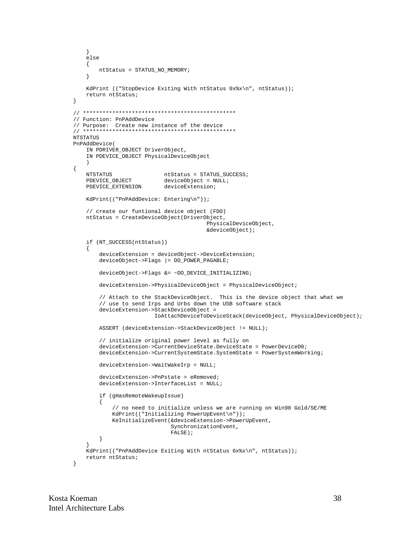```
\}else
   \{ntStatus = STATUS NO MEMORY;
   \}KdPrint (("StopDevice Exiting With ntStatus 0x%x\n", ntStatus));
   return ntStatus;
\}// Function: PnPAddDevice
// Purpose: Create new instance of the device
NTSTATUS
PreaddDevice(
   IN PDRIVER_OBJECT DriverObject,
   IN PDEVICE OBJECT PhysicalDeviceObject
\{NTSTATUS
                          ntStatus = STATUS_SUCCESS;
                          deviceObject = NULL;PDEVICE_OBJECT
   PDEVICE_EXTENSION
                          deviceExtension;
   KdPrint(("PnPAddDevice: Entering\n"));
   // create our funtional device object (FDO)
   ntStatus = CreateDeviceObject(DriverObject,
                                       PhysicalDeviceObject,
                                       &deviceObject);
   if (NT_SUCCESS(ntStatus))
   \{deviceExtension = deviceObject->DeviceExtension;
       deviceObject \rightarrow False = DO\_POWER\_PAGABLE;
       deviceObject->Flags &= ~DO_DEVICE_INITIALIZING;
       deviceExtension->PhysicalDeviceObject = PhysicalDeviceObject;
       // Attach to the StackDeviceObject. This is the device object that what we
       // use to send Irps and Urbs down the USB software stack
       deviceExtension->StackDeviceObject =
                        IoAttachDeviceToDeviceStack(deviceObject, PhysicalDeviceObject);
       ASSERT (deviceExtension->StackDeviceObject != NULL);
       // initialize original power level as fully on
       deviceExtension->CurrentDeviceState.DeviceState = PowerDeviceD0;
       deviceExtension->CurrentSystemState.SystemState = PowerSystemWorking;
       deviceExtension->WaitWakeIrp = NULL;
       deviceExtension->PhPstate = eRemoved;deviceExtension->InterfaceList = NULL;
       if (gHasRemoteWakeupIssue)
       \{// no need to initialize unless we are running on Win98 Gold/SE/ME
           \verb|KdPrint|(\verb|"Initializing PowerUpEvent\n|))|;KeInitializeEvent(&deviceExtension->PowerUpEvent,
                             SynchronizationEvent,
                             FALSE);
       \}KdPrint(("PnPAddDevice Exiting With ntStatus 0x%x\n", ntStatus));
   \texttt{return}ntStatus;
\}
```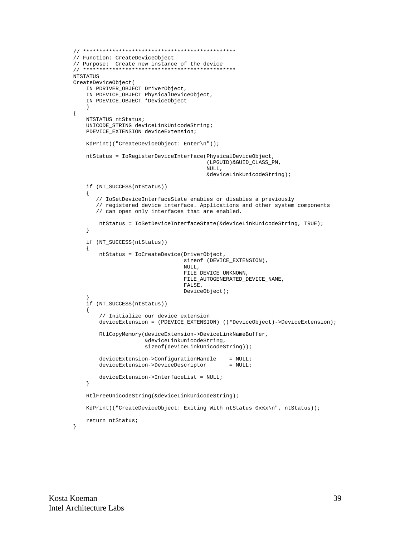```
// ***********************************************
// Function: CreateDeviceObject
// Purpose: Create new instance of the device
// ***********************************************
NTSTATUS
CreateDeviceObject(
     IN PDRIVER_OBJECT DriverObject,
     IN PDEVICE_OBJECT PhysicalDeviceObject,
     IN PDEVICE_OBJECT *DeviceObject
\qquad \qquad{
     NTSTATUS ntStatus;
     UNICODE_STRING deviceLinkUnicodeString;
     PDEVICE_EXTENSION deviceExtension;
     KdPrint(("CreateDeviceObject: Enter\n"));
     ntStatus = IoRegisterDeviceInterface(PhysicalDeviceObject,
                                            (LPGUID)&GUID_CLASS_PM,
                                            NULL,
                                             &deviceLinkUnicodeString);
     if (NT_SUCCESS(ntStatus))
     {
        // IoSetDeviceInterfaceState enables or disables a previously
        // registered device interface. Applications and other system components
        // can open only interfaces that are enabled.
         ntStatus = IoSetDeviceInterfaceState(&deviceLinkUnicodeString, TRUE);
     }
     if (NT_SUCCESS(ntStatus))
     {
         ntStatus = IoCreateDevice(DriverObject,
                                     sizeof (DEVICE_EXTENSION),
                                     NULL,
                                     FILE_DEVICE_UNKNOWN,
                                     FILE_AUTOGENERATED_DEVICE_NAME,
                                     FALSE,
                                     DeviceObject);
 }
     if (NT_SUCCESS(ntStatus))
     {
         // Initialize our device extension
         deviceExtension = (PDEVICE_EXTENSION) ((*DeviceObject)->DeviceExtension);
         RtlCopyMemory(deviceExtension->DeviceLinkNameBuffer,
                        &deviceLinkUnicodeString,
                        sizeof(deviceLinkUnicodeString));
        deviceExtension->ConfigurationHandle = NULL;<br>deviceExtension->DeviceDescriptor = NULL;
        deviceExtension->DeviceDescriptor
         deviceExtension->InterfaceList = NULL;
     }
     RtlFreeUnicodeString(&deviceLinkUnicodeString);
     KdPrint(("CreateDeviceObject: Exiting With ntStatus 0x%x\n", ntStatus));
     return ntStatus;
```
}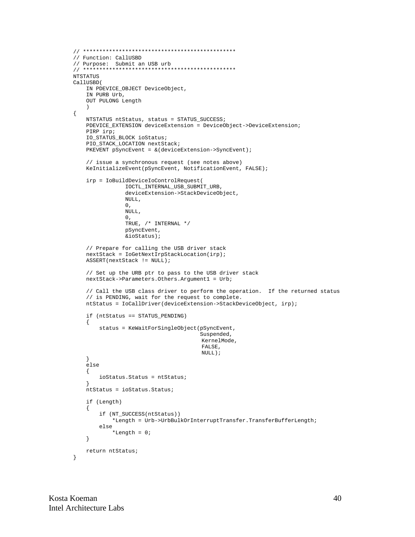```
// Function: CallUSBD
// Purpose: Submit an USB urb
NTSTATUS
CallUSBD(
   IN PDEVICE_OBJECT DeviceObject,
   IN PURB Urb,
   OUT PULONG Length
\{NTSTATUS ntStatus, status = STATUS_SUCCESS;
   PDEVICE_EXTENSION deviceExtension = DeviceObject->DeviceExtension;
   PIRP irp;
   IO_STATUS_BLOCK ioStatus;
   PIO STACK LOCATION nextStack;
   PKEVENT pSyncEvent = & (deviceExtension->SyncEvent);
   // issue a synchronous request (see notes above)
   KeInitializeEvent(pSyncEvent, NotificationEvent, FALSE);
   irp = IoBuildDeviceIoControlRequest(
               IOCTL_INTERNAL_USB_SUBMIT_URB,
               deviceExtension->StackDeviceObject,
               NULL,
               0,NULL,
               \Omega.
               TRUE, /* INTERNAL */pSyncEvent,
               &ioStatus);
   // Prepare for calling the USB driver stack
   nextStack = IoGetNextIrpStackLocation(irp);
   ASSERT(nextStack != NULL);
   // Set up the URB ptr to pass to the USB driver stack
   nextStack->Parameters.Others.Argument1 = Urb;
   // Call the USB class driver to perform the operation. If the returned status
   // is PENDING, wait for the request to complete.
   ntStatus = IoCallDriver(deviceExtension->StackDeviceObject, irp);
   if (ntStatus == STATUS_PENDING)
   \{status = KeWaitForSingleObject(pSyncEvent,
                                      Suspended,
                                      KernelMode,
                                      FALSE.
                                      NULL);
    ₹
   else
    \{ioStatus. Status = ntStatus;
   ntStatus = ioStatus.Status;
   if (Length)
    \left\{ \right.if (NT_SUCCESS(ntStatus))
           *Length = Urb->UrbBulkOrInterruptTransfer.TransferBufferLength;
       else
            *Length = 0;
   \left\{ \right\}return ntStatus;
\mathcal{E}
```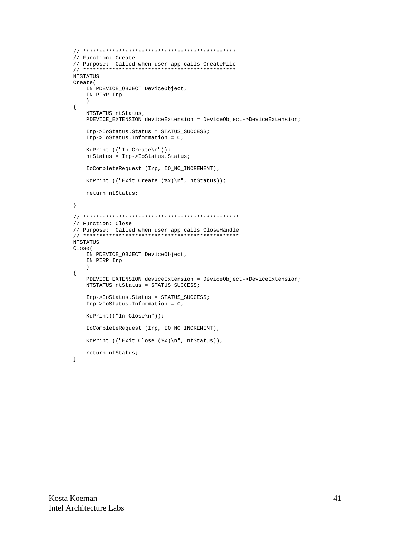```
// Function: Create
NTSTATUS
Create(
   IN PDEVICE_OBJECT DeviceObject,
   IN PIRP Irp
   \rightarrow\{NTSTATUS ntStatus;
   PDEVICE_EXTENSION deviceExtension = DeviceObject->DeviceExtension;
   Irp->IoStatus.Status = STATUS_SUCCESS;
   Irp->IoS status. Information = 0;KdPrint (("In Create\n"));
   ntStatus = Irp->IoStatus.Status;
   IoCompleteRequest (Irp, IO_NO_INCREMENT);
   KdPrint (("Exit Create (\&x)\n", ntStatus));
   return ntStatus;
\left\{ \right.// Function: Close
NTSTATUS
Close(
   IN PDEVICE_OBJECT DeviceObject,
   IN PIRP Irp
   \rightarrow\{PDEVICE_EXTENSION deviceExtension = DeviceObject->DeviceExtension;
   NTSTATUS ntStatus = STATUS SUCCESS;
   Irp->IoStatus.Status = STATUS SUCCESS;
   Irp->IoS status. Information = 0;KdPrint(("In Close\n"));
   IoCompleteRequest (Irp, IO_NO_INCREMENT);
   KdPrint (("Exit Close (%x)\n", ntStatus));
   return ntStatus;
\left\{ \right.
```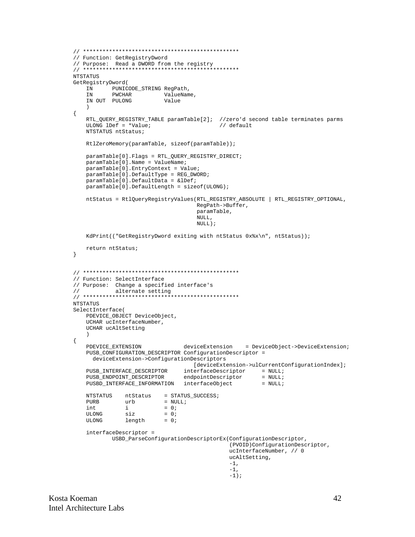```
// Function: GetRegistryDword
// Purpose: Read a DWORD from the registry
NTSTATUS
GetRegistryDword(
         PUNICODE_STRING RegPath,
   IN
                  ValueName,
   IN
         PWCHAR
   IN OUT PULONG
                      Value
\{RTL_QUERY_REGISTRY_TABLE paramTable[2]; //zero'd second table terminates parms
   ULONG lDef = *Value;
                                      // default
   NTSTATUS ntStatus;
   RtlZeroMemory(paramTable, sizeof(paramTable));
   paramTable[0].Flags = RTL OUERY REGISTRY DIRECT;
   paramTable[0].Name = ValueName;
   paramTable[0].EntryContext = Value;
   paramTable[0].DefaultType = REG_DWORD;
   paramTable[0].DefaultData = \&1Def;paramTable[0].DefaultLength = sizeof(ULONG);
   ntStatus = RtlQueryRegistryValues(RTL_REGISTRY_ABSOLUTE | RTL_REGISTRY_OPTIONAL,
                                RegPath->Buffer,
                                paramTable,
                                NULL.
                                \texttt{NULL} ) iKdPrint(("GetRegistryDword exiting with ntStatus 0x%x\n", ntStatus));
   return ntStatus;
\}// Function: SelectInterface
// Purpose: Change a specified interface's
\frac{1}{2}alternate setting
NTSTATUS
SelectInterface(
   PDEVICE_OBJECT DeviceObject,
   UCHAR ucInterfaceNumber,
   UCHAR ucAltSetting
   \rightarrow\{PDEVICE_EXTENSION
                            deviceExtension
                                           = DeviceObject->DeviceExtension;
   PUSB_CONFIGURATION_DESCRIPTOR ConfigurationDescriptor =
     deviceExtension->ConfigurationDescriptors
                               [deviceExtension->ulCurrentConfigurationIndex];
   PUSB_INTERFACE_DESCRIPTOR
   PUSBD_INTERFACE_INFORMATION interfaceObject
                                                 = NULL;
   NTSTATUS
             ntStatus = STATUS_SUCCESS;
   PIJRB
             urb
                      = NULL;
   int
                       = 0;iIII.ONG
                       = 0sizULONG
             length
                       = 0;interfaceDescriptor =
          USBD ParseConfigurationDescriptorEx(ConfigurationDescriptor,
                                         (PVOID)ConfigurationDescriptor,
                                         ucInterfaceNumber, // 0
                                         ucAltSetting,
                                         -1,
                                         -1.
                                         -1);
```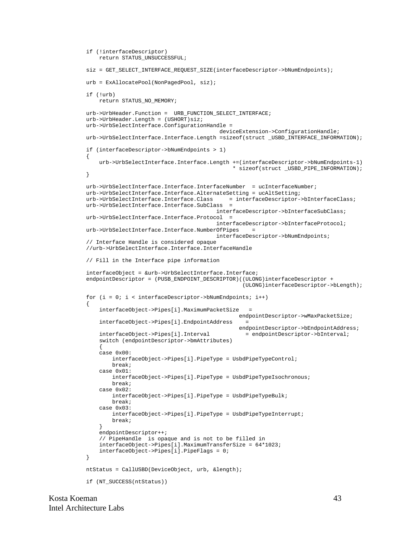```
 if (!interfaceDescriptor)
        return STATUS_UNSUCCESSFUL;
   siz = GET SELECT INTERFACE REQUEST SIZE(interfaceDescriptor->bNumEndpoints);
    urb = ExAllocatePool(NonPagedPool, siz);
    if (!urb)
        return STATUS_NO_MEMORY;
    urb->UrbHeader.Function = URB_FUNCTION_SELECT_INTERFACE;
    urb->UrbHeader.Length = (USHORT)siz;
    urb->UrbSelectInterface.ConfigurationHandle =
                                               deviceExtension->ConfigurationHandle;
    urb->UrbSelectInterface.Interface.Length =sizeof(struct _USBD_INTERFACE_INFORMATION);
    if (interfaceDescriptor->bNumEndpoints > 1)
    {
        urb->UrbSelectInterface.Interface.Length +=(interfaceDescriptor->bNumEndpoints-1)
                                                   * sizeof(struct _USBD_PIPE_INFORMATION);
    }
    urb->UrbSelectInterface.Interface.InterfaceNumber = ucInterfaceNumber;
    urb->UrbSelectInterface.Interface.AlternateSetting = ucAltSetting;
    urb->UrbSelectInterface.Interface.Class = interfaceDescriptor->bInterfaceClass;
    urb->UrbSelectInterface.Interface.SubClass =
                                              interfaceDescriptor->bInterfaceSubClass;
   urb->UrbSelectInterface.Interface.Protocol =
                                              interfaceDescriptor->bInterfaceProtocol;
    urb->UrbSelectInterface.Interface.NumberOfPipes =
                                              interfaceDescriptor->bNumEndpoints;
    // Interface Handle is considered opaque
    //urb->UrbSelectInterface.Interface.InterfaceHandle
    // Fill in the Interface pipe information
    interfaceObject = &urb->UrbSelectInterface.Interface;
   endpointDescriptor = (PUSB_ENDPOINT_DESCRIPTOR)((ULONG)interfaceDescriptor +
                                                      (ULONG)interfaceDescriptor->bLength);
   for (i = 0; i < interfaceDescriptor->bNumEndpoints; i++)
     {
        interfaceObject->Pipes[i].MaximumPacketSize =
                                                     endpointDescriptor->wMaxPacketSize;
        interfaceObject->Pipes[i].EndpointAddress =
       endpointDescriptor->bEndpointAddress;<br>interfaceObject->Pipes[i].Interval = endpointDescriptor->bInterval;
                                                      = endpointDescriptor->bInterval;
        switch (endpointDescriptor->bmAttributes)
\{ case 0x00:
             interfaceObject->Pipes[i].PipeType = UsbdPipeTypeControl;
             break;
        case 0x01:
             interfaceObject->Pipes[i].PipeType = UsbdPipeTypeIsochronous;
            break;
        case 0x02:
             interfaceObject->Pipes[i].PipeType = UsbdPipeTypeBulk;
            break;
        case 0x03:
             interfaceObject->Pipes[i].PipeType = UsbdPipeTypeInterrupt;
             break;
 }
        endpointDescriptor++;
        // PipeHandle is opaque and is not to be filled in
        interfaceObject->Pipes[i].MaximumTransferSize = 64*1023;
        interfaceObject->Pipes[i].PipeFlags = 0;
    }
    ntStatus = CallUSBD(DeviceObject, urb, &length);
    if (NT_SUCCESS(ntStatus))
```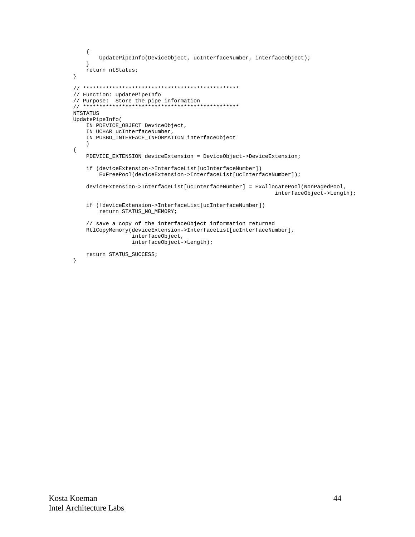```
\{UpdatePipeInfo(DeviceObject, ucInterfaceNumber, interfaceObject);
   \rightarrowreturn ntStatus;
\}// Function: UpdatePipeInfo
NTSTATUS
UpdatePipeInfo(
   IN PDEVICE_OBJECT DeviceObject,
   IN UCHAR ucInterfaceNumber,
   IN PUSBD_INTERFACE_INFORMATION interfaceObject
   \lambda\{PDEVICE_EXTENSION deviceExtension = DeviceObject->DeviceExtension;
   if (deviceExtension->InterfaceList[ucInterfaceNumber])
       ExFreePool(deviceExtension->InterfaceList[ucInterfaceNumber]);
   deviceExtension->InterfaceList[ucInterfaceNumber] = ExAllocatePool(NonPagedPool,
                                                        interfaceObject->Length);
   if (!deviceExtension->InterfaceList[ucInterfaceNumber])
       return STATUS_NO_MEMORY;
   // save a copy of the interfaceObject information returned
   RtlCopyMemory(deviceExtension->InterfaceList[ucInterfaceNumber],
                interfaceObject,
                interfaceObject->Length);
   return STATUS_SUCCESS;
```

```
\left\{ \right.
```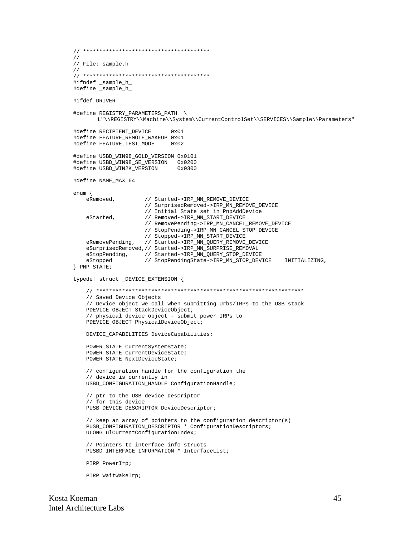```
// ***************************************
//
// File: sample.h
//
// ***************************************
#ifndef _sample_h_
#define _sample_h_
#ifdef DRIVER
#define REGISTRY_PARAMETERS_PATH \
       L"\\REGISTRY\\Machine\\System\\CurrentControlSet\\SERVICES\\Sample\\Parameters"
#define RECIPIENT_DEVICE 0x01
#define FEATURE_REMOTE_WAKEUP 0x01
#define FEATURE_TEST_MODE 0x02
#define USBD WIN98 GOLD VERSION 0x0101
#define USBD_WIN98_SE_VERSION 0x0200
#define USBD_WIN2K_VERSION
#define NAME_MAX 64
enum {
    eRemoved, // Started->IRP_MN_REMOVE_DEVICE
                      // SurprisedRemoved->IRP_MN_REMOVE_DEVICE
                      // Initial State set in PnpAddDevice
   eStarted, \frac{1}{2} Removed->IRP_MN_START_DEVICE
                      // RemovePending->IRP_MN_CANCEL_REMOVE_DEVICE
                      // StopPending->IRP_MN_CANCEL_STOP_DEVICE
                      // Stopped->IRP_MN_START_DEVICE
    eRemovePending, // Started->IRP_MN_QUERY_REMOVE_DEVICE
    eSurprisedRemoved,// Started->IRP_MN_SURPRISE_REMOVAL
   eStopPending, // Started->IRP_MN_QUERY_STOP_DEVICE
   eStopped // StopPendingState->IRP_MN_STOP_DEVICE INITIALIZING,
} PNP_STATE;
typedef struct _DEVICE_EXTENSION {
    // ****************************************************************
    // Saved Device Objects
    // Device object we call when submitting Urbs/IRPs to the USB stack
    PDEVICE_OBJECT StackDeviceObject;
    // physical device object - submit power IRPs to
    PDEVICE_OBJECT PhysicalDeviceObject;
    DEVICE_CAPABILITIES DeviceCapabilities;
    POWER_STATE CurrentSystemState;
    POWER_STATE CurrentDeviceState;
    POWER_STATE NextDeviceState;
    // configuration handle for the configuration the
    // device is currently in
    USBD_CONFIGURATION_HANDLE ConfigurationHandle;
    // ptr to the USB device descriptor
    // for this device
    PUSB_DEVICE_DESCRIPTOR DeviceDescriptor;
    // keep an array of pointers to the configuration descriptor(s)
    PUSB_CONFIGURATION_DESCRIPTOR * ConfigurationDescriptors;
    ULONG ulCurrentConfigurationIndex;
    // Pointers to interface info structs
    PUSBD_INTERFACE_INFORMATION * InterfaceList;
    PIRP PowerIrp;
    PIRP WaitWakeIrp;
```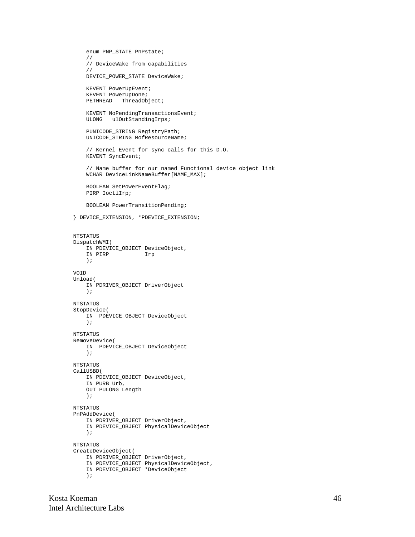```
 enum PNP_STATE PnPstate;
     //
     // DeviceWake from capabilities
     //
     DEVICE_POWER_STATE DeviceWake;
     KEVENT PowerUpEvent;
     KEVENT PowerUpDone;
    PETHREAD ThreadObject;
     KEVENT NoPendingTransactionsEvent;
     ULONG ulOutStandingIrps;
     PUNICODE_STRING RegistryPath;
     UNICODE_STRING MofResourceName;
     // Kernel Event for sync calls for this D.O.
     KEVENT SyncEvent;
     // Name buffer for our named Functional device object link
     WCHAR DeviceLinkNameBuffer[NAME_MAX];
     BOOLEAN SetPowerEventFlag;
     PIRP IoctlIrp;
     BOOLEAN PowerTransitionPending;
} DEVICE_EXTENSION, *PDEVICE_EXTENSION;
NTSTATUS
DispatchWMI(
    IN PDEVICE_OBJECT DeviceObject,
     IN PIRP Irp
     );
VOID
Unload(
     IN PDRIVER_OBJECT DriverObject
     );
NTSTATUS
StopDevice(
     IN PDEVICE_OBJECT DeviceObject
     );
NTSTATUS
RemoveDevice(
     IN PDEVICE_OBJECT DeviceObject
     );
NTSTATUS
CallUSBD(
     IN PDEVICE_OBJECT DeviceObject,
     IN PURB Urb,
     OUT PULONG Length
     );
NTSTATUS
PnPAddDevice(
     IN PDRIVER_OBJECT DriverObject,
     IN PDEVICE_OBJECT PhysicalDeviceObject
     );
NTSTATUS
CreateDeviceObject(
     IN PDRIVER_OBJECT DriverObject,
     IN PDEVICE_OBJECT PhysicalDeviceObject,
     IN PDEVICE_OBJECT *DeviceObject
     );
```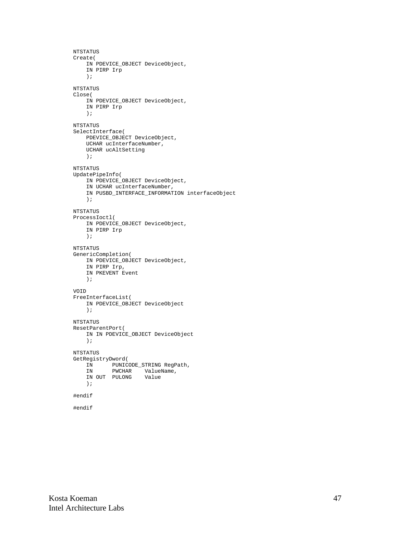```
NTSTATUS
Create(
    IN PDEVICE_OBJECT DeviceObject,
     IN PIRP Irp
     );
NTSTATUS
Close(
    IN PDEVICE_OBJECT DeviceObject,
     IN PIRP Irp
     );
NTSTATUS
SelectInterface(
     PDEVICE_OBJECT DeviceObject,
     UCHAR ucInterfaceNumber,
     UCHAR ucAltSetting
     );
NTSTATUS
UpdatePipeInfo(
     IN PDEVICE_OBJECT DeviceObject,
     IN UCHAR ucInterfaceNumber,
     IN PUSBD_INTERFACE_INFORMATION interfaceObject
     );
NTSTATUS
ProcessIoctl(
    IN PDEVICE_OBJECT DeviceObject,
     IN PIRP Irp
     );
NTSTATUS
GenericCompletion(
     IN PDEVICE_OBJECT DeviceObject,
     IN PIRP Irp,
     IN PKEVENT Event
     );
VOID
FreeInterfaceList(
     IN PDEVICE_OBJECT DeviceObject
     );
NTSTATUS
ResetParentPort(
    IN IN PDEVICE_OBJECT DeviceObject
     );
NTSTATUS
GetRegistryDword(
    IN PUNICODE_STRING RegPath,
     IN PWCHAR ValueName,
     IN OUT PULONG Value
     );
#endif
#endif
```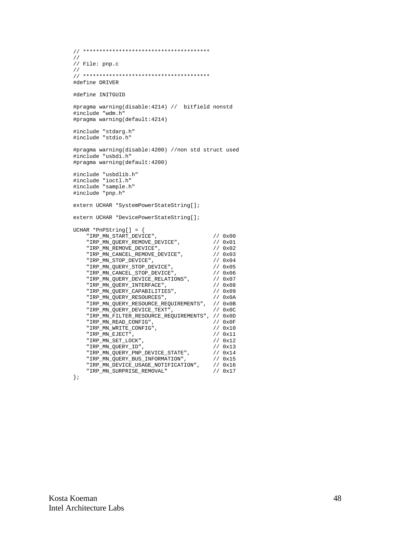```
// ***************************************
//
// File: pnp.c
//
// ***************************************
#define DRIVER
#define INITGUID
#pragma warning(disable:4214) // bitfield nonstd
#include "wdm.h"
#pragma warning(default:4214)
#include "stdarg.h"
#include "stdio.h"
#pragma warning(disable:4200) //non std struct used
#include "usbdi.h"
#pragma warning(default:4200)
#include "usbdlib.h"
#include "ioctl.h"
#include "sample.h"
#include "pnp.h"
extern UCHAR *SystemPowerStateString[];
extern UCHAR *DevicePowerStateString[];
UCHAR *PnPString[] = {
     "IRP_MN_START_DEVICE", <br>"IRP_MN_QUERY_REMOVE_DEVICE", \qquad \qquad // 0x00"IRP_MN_OIARI_DEVICE",<br>"IRP_MN_QUERY_REMOVE_DEVICE", // 0x01<br>"IRP_MN_REMOVE_DEVICE", // 0x02
      "IRP_MN_REMOVE_DEVICE", // 0x02
      "IRP_MN_CANCEL_REMOVE_DEVICE", // 0x03
 "IRP_MN_STOP_DEVICE", // 0x04
 "IRP_MN_QUERY_STOP_DEVICE", // 0x05
 "IRP_MN_CANCEL_STOP_DEVICE", // 0x06
 "IRP_MN_QUERY_DEVICE_RELATIONS", // 0x07
 "IRP_MN_QUERY_INTERFACE", // 0x08
 "IRP_MN_QUERY_CAPABILITIES", // 0x09
 "IRP_MN_QUERY_RESOURCES", // 0x0A
 "IRP_MN_QUERY_RESOURCE_REQUIREMENTS", // 0x0B
     "IRP_MN_QUERY_RESOURCES", \\performal \text{\bmat}}}<br>"IRP_MN_QUERY_RESOURCE_REQUIREMENTS", \text{\bmat}}}<br>"IRP_MN_QUERY_DEVICE_TEXT", \text{\bmat}}}
      "IRP_MN_FILTER_RESOURCE_REQUIREMENTS", // 0x0D
      \begin{array}{lll} \texttt{''IRP\_MN\_READ\_CONF1G''} \; , & \hspace*{1.5cm} & \hspace*{1.5cm} & \hspace*{1.5cm} & \hspace*{1.5cm} & \hspace*{1.5cm} & \hspace*{1.5cm} & \hspace*{1.5cm} & \hspace*{1.5cm} & \hspace*{1.5cm} & \hspace*{1.5cm} & \hspace*{1.5cm} & \hspace*{1.5cm} & \hspace*{1.5cm} & \hspace*{1.5cm} & \hspace*{1.5cm} & \hspace*{1.5cm} & \hspace*{1.5cm} & \hspace*\begin{array}{lll} \texttt{"IRP\_MN\_WRTTE\_CONFIG"}\text{,} & & & \texttt{// 0x10} \\ \texttt{"IRP\_MN\_EJECT"}\text{,} & & & \texttt{// 0x11} \\ \end{array}\begin{array}{lll} \texttt{''IRP\_MN\_EJECT''}\,, & & & & \texttt{// 0x11} \\ \texttt{''IRP\_MN\_SET\_LOCK''}\,, & & & & \texttt{// 0x12} \end{array}\begin{array}{lcl} \texttt{"IRP\_MN\_SET\_LOCK"}\,, & & & & \texttt{ // 0x12} \\ \texttt{"IRP\_MN\_QUERY\_ID"}\,, & & & & \texttt{ // 0x13} \end{array}"IRP_MN_QUERY_ID", "IRP_MN_QUERY_PNP_DEVICE_STATE", // 0x14
 "IRP_MN_QUERY_BUS_INFORMATION", // 0x15
 "IRP_MN_DEVICE_USAGE_NOTIFICATION", // 0x16
      "IRP_MN_DEVICE_USAGE_NOTIFICATION", // 0x16<br>"IRP_MN_DEVICE_USAGE_NOTIFICATION", // 0x16<br>"IRP_MN_SURPRISE_REMOVAL" // 0x17
```
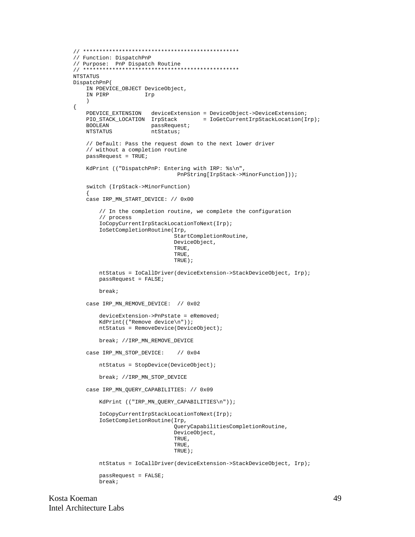```
// ************************************************
// Function: DispatchPnP
// Purpose: PnP Dispatch Routine
// ************************************************
NTSTATUS
DispatchPnP(
    IN PDEVICE_OBJECT DeviceObject,
    IN PIRP Irp
     )
{
    PDEVICE_EXTENSION deviceExtension = DeviceObject->DeviceExtension;
                                       = IoGetCurrentIrpStackLocation(Irp);
    BOOLEAN passRequest;
   NTSTATUS ntStatus;
     // Default: Pass the request down to the next lower driver
     // without a completion routine
   passRequest = TRUE; KdPrint (("DispatchPnP: Entering with IRP: %s\n",
                                 PnPString[IrpStack->MinorFunction]));
     switch (IrpStack->MinorFunction)
\{ case IRP_MN_START_DEVICE: // 0x00
         // In the completion routine, we complete the configuration
         // process
         IoCopyCurrentIrpStackLocationToNext(Irp);
         IoSetCompletionRoutine(Irp,
                                StartCompletionRoutine,
                                DeviceObject,
                                TRUE,
                                TRUE,
                                TRUE);
         ntStatus = IoCallDriver(deviceExtension->StackDeviceObject, Irp);
         passRequest = FALSE;
         break;
     case IRP_MN_REMOVE_DEVICE: // 0x02
         deviceExtension->PnPstate = eRemoved;
         KdPrint(("Remove device\n"));
         ntStatus = RemoveDevice(DeviceObject);
         break; //IRP_MN_REMOVE_DEVICE
     case IRP_MN_STOP_DEVICE: // 0x04
         ntStatus = StopDevice(DeviceObject);
         break; //IRP_MN_STOP_DEVICE
     case IRP_MN_QUERY_CAPABILITIES: // 0x09
         KdPrint (("IRP_MN_QUERY_CAPABILITIES\n"));
         IoCopyCurrentIrpStackLocationToNext(Irp);
         IoSetCompletionRoutine(Irp,
                                QueryCapabilitiesCompletionRoutine,
                                DeviceObject,
                                TRUE,
                                TRUE,
                                TRUE);
         ntStatus = IoCallDriver(deviceExtension->StackDeviceObject, Irp);
         passRequest = FALSE;
         break;
```
Kosta Koeman 49 Intel Architecture Labs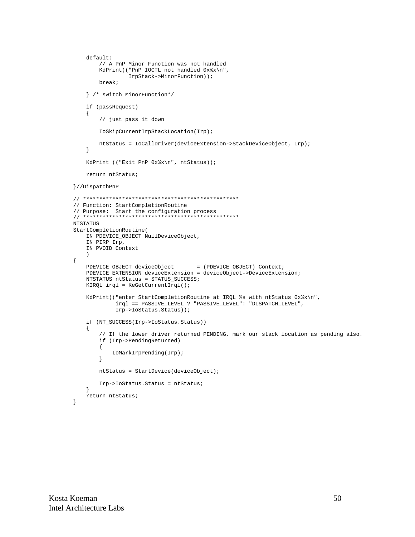```
default:// A PnP Minor Function was not handled
        KdPrint(("PnP IOCTL not handled 0x%x\n",
                 IrpStack->MinorFunction));
        break;
    } /* switch MinorFunction*/
    if (passRequest)
    \left\{ \right.// just pass it down
        IoSkipCurrentIrpStackLocation(Irp);
        ntStatus = IoCallDriver(deviceExtension->StackDeviceObject, Irp);
    \left\{ \right\}KdPrint (("Exit PnP 0x%x\n", ntStatus));
    returnntStatus;
}//DispatchPnP
// Function: StartCompletionRoutine
// Purpose: Start the configuration process<br>// Purpose: Start the configuration process
NTSTATUS
StartCompletionRoutine(
    IN PDEVICE_OBJECT NullDeviceObject,
    IN PIRP Irp,
   IN PVOID Context
    \rightarrow\{PDEVICE_OBJECT deviceObject
                                     = (PDEVICE_OBJECT) Context;
    PDEVICE_EXTENSION deviceExtension = deviceObject->DeviceExtension;
    NTSTATUS ntStatus = STATUS_SUCCESS;
    KIRQL irql = KefetCurrentIrql();
    KdPrint(("enter StartCompletionRoutine at IRQL %s with ntStatus 0x%x\n",
             irql == PASSIVE_LEVEL ? "PASSIVE_LEVEL": "DISPATCH_LEVEL",
             Irp->IoStatus.Status));
    if (NT_SUCCESS(Irp->IoStatus.Status))
    \{// If the lower driver returned PENDING, mark our stack location as pending also.
        if (Irp->PendingReturned)
        \{IoMarkIrpPending(Irp);
        \left\{ \right.ntStatus = StartDevice(deviceObject);
        Irp->IoStatus.Status = ntStatus;
    - }
    return ntStatus;
\}
```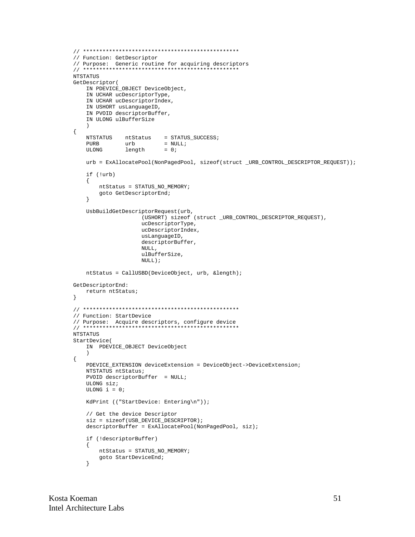```
// Function: GetDescriptor
// Purpose: Generic routine for acquiring descriptors
NTSTATUS
GetDescriptor(
   IN PDEVICE_OBJECT DeviceObject,
   IN UCHAR ucDescriptorType,
   IN UCHAR ucDescriptorIndex,
   IN USHORT usLanguageID,
   IN PVOID descriptorBuffer,
   IN ULONG ulBufferSize
   \lambda\{NTSTATUS
           ntStatus = STATUS_SUCCESS;
   PURB
             urb
                        = NULL;
   ULONG
             length
                        = 0 ;
   urb = ExAllocatePool(NonPagedPool, sizeof(struct_URB_CONTROL_DESCRIPTOR_REQUEST));
   if (!urb)
   \{ntStatus = STATUS_NO_MEMORY;
       goto GetDescriptorEnd;
   \left\{ \right\}UsbBuildGetDescriptorRequest(urb,
                  (USHORT) sizeof (struct _URB_CONTROL_DESCRIPTOR_REQUEST),
                  ucDescriptorType,
                  ucDescriptorIndex,
                  usLanguageID,
                  descriptorBuffer,
                  NULL,
                  ulBufferSize,
                  \texttt{NULL} ) intStatus = CallUSBD(DeviceObject, urb, &length);
GetDescriptorEnd:
   return ntStatus;
\}// Function: StartDevice
NTSTATUS
StartDevice(
   IN PDEVICE_OBJECT DeviceObject
   \lambda\{PDEVICE_EXTENSION deviceExtension = DeviceObject->DeviceExtension;
   NTSTATUS ntStatus;
   PVOID descriptorBuffer = NULLULONG sizeULONG i = 0;
   KdPrint (("StartDevice: Entering\n"));
   // Get the device Descriptor
   size = sizeof(USE\_DECERIPTOR);descriptorBuffer = ExAllocatePool(NonPagedPool, siz);
   if (!descriptorBuffer)
   \{ntStatus = STATUS_NO_MEMORY;
       goto StartDeviceEnd;
   \}
```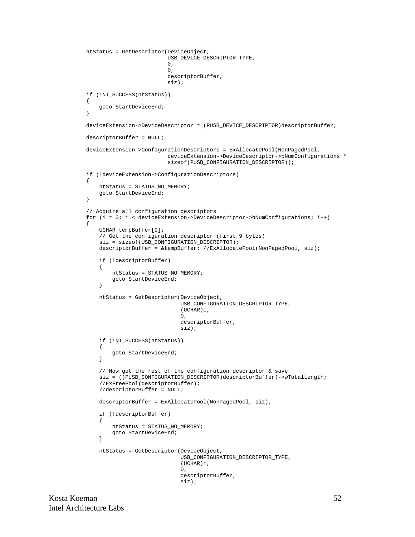```
 ntStatus = GetDescriptor(DeviceObject,
                               USB_DEVICE_DESCRIPTOR_TYPE,
\overline{\mathbf{0}},
\overline{\mathbf{0}},
                               descriptorBuffer,
                               siz);
    if (!NT_SUCCESS(ntStatus))
    {
        goto StartDeviceEnd;
    }
    deviceExtension->DeviceDescriptor = (PUSB_DEVICE_DESCRIPTOR)descriptorBuffer;
    descriptorBuffer = NULL;
    deviceExtension->ConfigurationDescriptors = ExAllocatePool(NonPagedPool,
                               deviceExtension->DeviceDescriptor->bNumConfigurations *
                               sizeof(PUSB_CONFIGURATION_DESCRIPTOR));
    if (!deviceExtension->ConfigurationDescriptors)
 {
        ntStatus = STATUS_NO_MEMORY;
        goto StartDeviceEnd;
    }
    // Acquire all configuration descriptors
    for (i = 0; i < deviceExtension->DeviceDescriptor->bNumConfigurations; i++)
    {
        UCHAR tempBuffer[9];
         // Get the configuration descriptor (first 9 bytes)
         siz = sizeof(USB_CONFIGURATION_DESCRIPTOR);
        descriptorBuffer = &tempBuffer; //ExAllocatePool(NonPagedPool, siz);
         if (!descriptorBuffer)
\left\{ \begin{array}{c} \end{array} \right. ntStatus = STATUS_NO_MEMORY;
             goto StartDeviceEnd;
         }
        ntStatus = GetDescriptor(DeviceObject,
                                   USB_CONFIGURATION_DESCRIPTOR_TYPE,
                                   (UCHAR)i,
\overline{\mathbf{0}},
                                   descriptorBuffer,
                                   siz);
         if (!NT_SUCCESS(ntStatus))
         {
             goto StartDeviceEnd;
         }
         // Now get the rest of the configuration descriptor & save
         siz = ((PUSB_CONFIGURATION_DESCRIPTOR)descriptorBuffer)->wTotalLength;
         //ExFreePool(descriptorBuffer);
         //descriptorBuffer = NULL;
        descriptorBuffer = ExAllocatePool(NonPagedPool, siz);
         if (!descriptorBuffer)
\left\{ \begin{array}{c} \end{array} \right. ntStatus = STATUS_NO_MEMORY;
             goto StartDeviceEnd;
 }
        ntStatus = GetDescriptor(DeviceObject,
                                   USB_CONFIGURATION_DESCRIPTOR_TYPE,
                                   (UCHAR)i,
\overline{\mathbf{0}},
                                   descriptorBuffer,
                                   siz);
```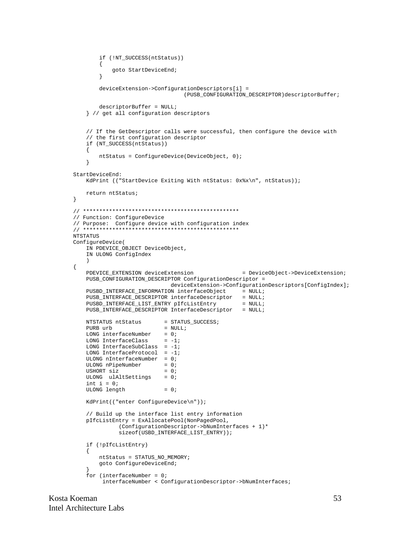```
if (!NT SUCCESS(ntStatus))
       \{qoto StartDeviceEnd;
       \}deviceExtension->ConfigurationDescriptors[i] =
                                 (PUSB_CONFIGURATION_DESCRIPTOR)descriptorBuffer;
       descriptorBuffer = NULL;} // get all configuration descriptors
   // If the GetDescriptor calls were successful, then configure the device with
   // the first configuration descriptor
   if (NT SUCCESS(ntStatus))
   \{ntStatus = ConfigureDevice(DeviceObject, 0);
   \}StartDeviceEnd:
   KdPrint (("StartDevice Exiting With ntStatus: 0x%x\n", ntStatus));
   return ntStatus;
\}// Function: ConfigureDevice
// Purpose: Configure device with configuration index
NTSTATUS
ConfigureDevice(
   IN PDEVICE_OBJECT DeviceObject,
   IN ULONG ConfigIndex
   \lambda\left\{ \right.PDEVICE_EXTENSION deviceExtension
                                                  = DeviceObject->DeviceExtension;
   PUSB_CONFIGURATION_DESCRIPTOR ConfigurationDescriptor =
                            deviceExtension->ConfigurationDescriptors[ConfigIndex];
   PUSBD_INTERFACE_INFORMATION interfaceObject
                                               = NULL;
                                                = NULL;PUSB INTERFACE DESCRIPTOR interfaceDescriptor
   PUSBD_INTERFACE_LIST_ENTRY pIfcListEntry
                                                  = NULL;
   PUSB_INTERFACE_DESCRIPTOR InterfaceDescriptor = NULL;
   NTSTATUS ntStatus
                          = STATUS_SUCCESS;
   PURR urb
                          = NTILL;
   LONG interfaceNumber = 0;
   LONG InterfaceClass = -1;<br>LONG InterfaceSubClass = -1;
   LONG InterfaceProtocol = -1;
   ULONG nInterfaceNumber = 0;
   ULONG nPipeNumber
                          = 0:
   USHORT siz
                          = 0ULONG ulAltSettings = 0;
   int i = 0;ULONG length
                          = 0;KdPrint(("enter ConfigureDevice\n"));
   // Build up the interface list entry information
   pIfcListEntry = ExAllocatePool(NonPagedPool,
             (ConfigurationDescriptor->bNumInterfaces + 1)*
             sizeof(USBD_INTERFACE_LIST_ENTRY));
   if (!pIfcListEntry)
   \left\{ \right.ntStatus = STATUS_NO_MEMORY;
       goto ConfigureDeviceEnd;
   for (interfaceNumber = 0;
        interfaceNumber < ConfigurationDescriptor->bNumInterfaces;
```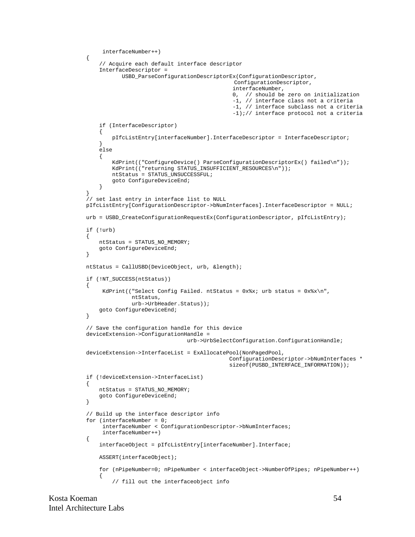```
 interfaceNumber++)
    {
         // Acquire each default interface descriptor
         InterfaceDescriptor =
                USBD_ParseConfigurationDescriptorEx(ConfigurationDescriptor,
                                                      ConfigurationDescriptor,
                                                      interfaceNumber,
                                                      0, // should be zero on initialization
                                                      -1, // interface class not a criteria
                                                      -1, // interface subclass not a criteria
                                                      -1);// interface protocol not a criteria
         if (InterfaceDescriptor)
\left\{ \begin{array}{c} \end{array} \right. pIfcListEntry[interfaceNumber].InterfaceDescriptor = InterfaceDescriptor;
         }
         else
\left\{ \begin{array}{c} \end{array} \right.KdPrint(("ConfigureDevice() ParseConfigurationDescriptorEx() failed\n"));
             KdPrint(("returning STATUS_INSUFFICIENT_RESOURCES\n"));
             ntStatus = STATUS_UNSUCCESSFUL;
             goto ConfigureDeviceEnd;
         }
     }
     // set last entry in interface list to NULL
    pIfcListEntry[ConfigurationDescriptor->bNumInterfaces].InterfaceDescriptor = NULL;
    urb = USBD_CreateConfigurationRequestEx(ConfigurationDescriptor, pIfcListEntry);
    if (!urb)
    \left\{ \right. ntStatus = STATUS_NO_MEMORY;
         goto ConfigureDeviceEnd;
     }
    ntStatus = CallUSBD(DeviceObject, urb, &length);
    if (!NT_SUCCESS(ntStatus))
     {
         KdPrint(("Select Config Failed. ntStatus = 0x*x; urb status = 0x*x\n",
                    ntStatus,
                    urb->UrbHeader.Status));
         goto ConfigureDeviceEnd;
    }
     // Save the configuration handle for this device
    deviceExtension->ConfigurationHandle =
                                      urb->UrbSelectConfiguration.ConfigurationHandle;
    deviceExtension->InterfaceList = ExAllocatePool(NonPagedPool,
                                                    ConfigurationDescriptor->bNumInterfaces *
                                                     sizeof(PUSBD_INTERFACE_INFORMATION));
    if (!deviceExtension->InterfaceList)
    \left\{ \right. ntStatus = STATUS_NO_MEMORY;
         goto ConfigureDeviceEnd;
    }
     // Build up the interface descriptor info
    for (interfaceNumber = 0;
          interfaceNumber < ConfigurationDescriptor->bNumInterfaces;
          interfaceNumber++)
    {
         interfaceObject = pIfcListEntry[interfaceNumber].Interface;
         ASSERT(interfaceObject);
         for (nPipeNumber=0; nPipeNumber < interfaceObject->NumberOfPipes; nPipeNumber++)
\{ // fill out the interfaceobject info
```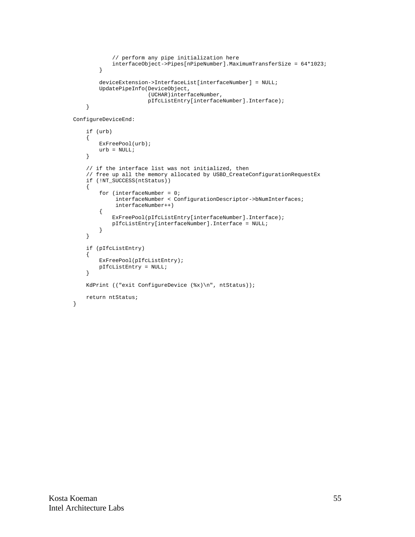```
 // perform any pipe initialization here
     interfaceObject->Pipes[nPipeNumber].MaximumTransferSize = 64*1023;
 }
 deviceExtension->InterfaceList[interfaceNumber] = NULL;
 UpdatePipeInfo(DeviceObject,
                (UCHAR)interfaceNumber,
                pIfcListEntry[interfaceNumber].Interface);
```
ConfigureDeviceEnd:

}

}

```
 if (urb)
 {
     ExFreePool(urb);
   urb = NULL; }
 // if the interface list was not initialized, then
 // free up all the memory allocated by USBD_CreateConfigurationRequestEx
 if (!NT_SUCCESS(ntStatus))
 {
     for (interfaceNumber = 0;
          interfaceNumber < ConfigurationDescriptor->bNumInterfaces;
          interfaceNumber++)
     {
         ExFreePool(pIfcListEntry[interfaceNumber].Interface);
         pIfcListEntry[interfaceNumber].Interface = NULL;
     }
 }
 if (pIfcListEntry)
 {
     ExFreePool(pIfcListEntry);
    pIfcListEntry = NULL;
 }
 KdPrint (("exit ConfigureDevice (%x)\n", ntStatus));
 return ntStatus;
```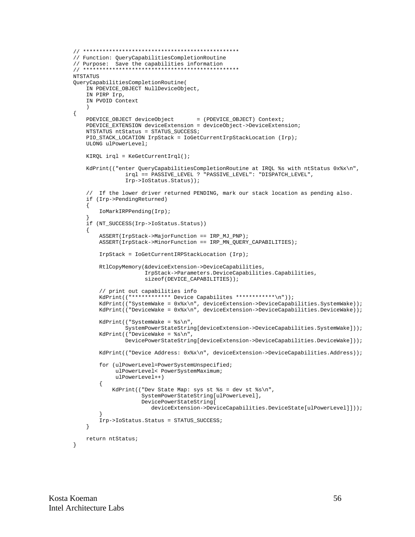```
// Function: QueryCapabilitiesCompletionRoutine
// Purpose: Save the capabilities information
NTSTATUS
QueryCapabilitiesCompletionRoutine(
   IN PDEVICE_OBJECT NullDeviceObject,
   IN PIRP Irp,
   IN PVOID Context
\{PDEVICE_OBJECT deviceObject
                                   = (PDEVICE_OBJECT) Context;
   PDEVICE EXTENSION deviceExtension = deviceObject->DeviceExtension;
   NTSTATUS ntStatus = STATUS_SUCCESS;
   PIO_STACK_LOCATION IrpStack = IoGetCurrentIrpStackLocation (Irp);
   ULONG ulPowerLevel;
   KIROL irgl = KefetCurrentIrgl();
   KdPrint(("enter QueryCapabilitiesCompletionRoutine at IRQL %s with ntStatus 0x%x\n",
               irql == PASSIVE_LEVEL ? "PASSIVE_LEVEL": "DISPATCH_LEVEL",
               Irp->IoStatus.Status));
    // If the lower driver returned PENDING, mark our stack location as pending also.
   if (Irp->PendingReturned)
    \{IoMarkIRPPending(Irp);
   if (NT_SUCCESS(Irp->IoStatus.Status))
   \{ASSERT(IrpStack->MajorFunction == IRP_MJ_PNP);
       ASSERT(IrpStack->MinorFunction == IRP_MN_QUERY_CAPABILITIES);
       IrpStack = IoGetCurrentIRPStackLocation (Irp);
       RtlCopyMemory(&deviceExtension->DeviceCapabilities,
                     IrpStack->Parameters.DeviceCapabilities.Capabilities,
                     sizeof(DEVICE_CAPABILITIES));
        // print out capabilities info
       KdPrint(("************ Device Capabilites ************\n"));
       KdPrint(("SystemWake = 0x%x\n", deviceExtension->DeviceCapabilities.SystemWake));
       KdPrint(("DeviceWake = 0x%x\n", deviceExtension->DeviceCapabilities.DeviceWake));
       KdPrint(("SystemWake = s\n^n,
               SystemPowerStateString[deviceExtension->DeviceCapabilities.SystemWake]));
       KdPrint(("DeviceWake = s\nm",
               DevicePowerStateString[deviceExtension->DeviceCapabilities.DeviceWake]));
       KdPrint(("Device Address: 0x%x\n", deviceExtension->DeviceCapabilities.Address));
       for (ulPowerLevel=PowerSystemUnspecified;
            ulPowerLevel< PowerSystemMaximum;
            ulPowerLevel++)
        {
           KdPrint(("Dev State Map: sys st s = dev st s \nightharpoonup s)n",
                    SystemPowerStateString[ulPowerLevel],
                    DevicePowerStateString[
                       deviceExtension->DeviceCapabilities.DeviceState[ulPowerLevel]]));
       Irp->IoStatus.Status = STATUS_SUCCESS;
   - }
   return ntStatus;
\mathcal{E}
```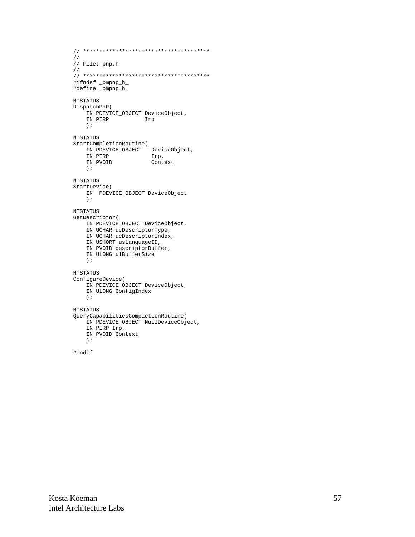```
// ***************************************
//
// File: pnp.h
//
// ***************************************
#ifndef _pmpnp_h_
#define _pmpnp_h_
NTSTATUS
DispatchPnP(
   IN PDEVICE_OBJECT DeviceObject,<br>IN PIRP lrp
               Irp
     );
NTSTATUS
StartCompletionRoutine(
 IN PDEVICE_OBJECT DeviceObject,
 IN PIRP Irp,
   IN PIRP<br>IN PVOID Context
    );
NTSTATUS
StartDevice(
    IN PDEVICE_OBJECT DeviceObject
     );
NTSTATUS
GetDescriptor(
    IN PDEVICE_OBJECT DeviceObject,
    IN UCHAR ucDescriptorType,
    IN UCHAR ucDescriptorIndex,
    IN USHORT usLanguageID,
    IN PVOID descriptorBuffer,
     IN ULONG ulBufferSize
     );
NTSTATUS
ConfigureDevice(
    IN PDEVICE_OBJECT DeviceObject,
     IN ULONG ConfigIndex
     );
NTSTATUS
QueryCapabilitiesCompletionRoutine(
     IN PDEVICE_OBJECT NullDeviceObject,
     IN PIRP Irp,
    IN PVOID Context
     );
```

```
#endif
```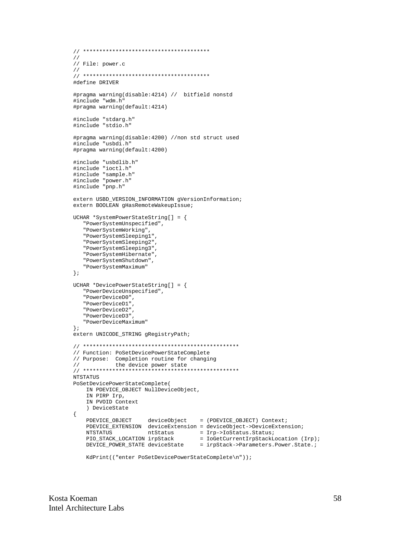```
\frac{1}{2}// File: power.c
\frac{1}{2}#define DRIVER
#pragma warning(disable: 4214) // bitfield nonstd
#include "wdm.h"
#pragma warning(default: 4214)
#include "stdarg.h"
#include "stdio.h"
#pragma warning(disable: 4200) //non std struct used
#include "usbdi.h"
#pragma warning(default: 4200)
#include "usbdlib.h"
#include "ioctl.h"
#include "sample.h"
#include "power.h"
#include "pnp.h"
extern USBD_VERSION_INFORMATION gVersionInformation;
extern BOOLEAN gHasRemoteWakeupIssue;
UCHAR *SystemPowerStateString[] = {
   "PowerSystemUnspecified",
  "PowerSystemWorking",
   "PowerSystemSleeping1",
   "PowerSystemSleeping2",
  "PowerSystemSleeping3",
   "PowerSystemHibernate",
   "PowerSystemShutdown",
  "PowerSystemMaximum"
\} ;
UCHAR *DevicePowerStateString[] = {
  "PowerDeviceUnspecified",
   "PowerDeviceD0",
   "PowerDeviceD1",
  "PowerDeviceD2",
  "PowerDeviceD3"
   "PowerDeviceMaximum"
\} ;
extern UNICODE_STRING gRegistryPath;
// Function: PoSetDevicePowerStateComplete
// Purpose: Completion routine for changing
           the device power state
\frac{1}{2}NTSTATUS
PoSetDevicePowerStateComplete(
   IN PDEVICE_OBJECT NullDeviceObject,
   IN PIRP Irp,
   IN PVOID Context
   ) DeviceState
\{PDEVICE_OBJECT deviceObject = (PDEVICE_OBJECT) Context;
   PDEVICE_EXTENSION deviceExtension = deviceObject->DeviceExtension;
                     ntStatus = Irp->IoStatus.Status;<br>
irpStack = IoGetCurrentIrpStackLocation (Irp);
   NTSTATUS
   PIO STACK LOCATION irpStack
   \texttt{DEVICE\_POWER\_STATE} \texttt{ deviceState} \texttt{ = } \texttt{irpStack->Parameters.Power.State.}KdPrint(("enter PoSetDevicePowerStateComplete\n"));
```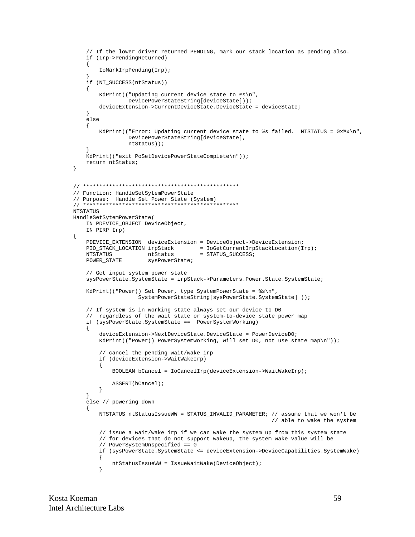```
// If the lower driver returned PENDING, mark our stack location as pending also.
   if (Irp->PendingReturned)
   \{IoMarkIrpPending(Irp);
   if (NT_SUCCESS(ntStatus))
   \{KdPrint(("Updating current device state to %s\n",
                DevicePowerStateString[deviceState]));
       deviceExtension->CurrentDeviceState.DeviceState = deviceState;
   }
   else
   \left\{ \right.KdPrint(("Error: Updating current device state to %s failed. NTSTATUS = 0x%x\n",
                DevicePowerStateString[deviceState],
               ntStatus);
   .<br>KdPrint(("exit PoSetDevicePowerStateComplete\n"));
   return ntStatus;
// Function: HandleSetSytemPowerState
// Purpose: Handle Set Power State (System)
NTSTATUS
HandleSetSytemPowerState(
   IN PDEVICE_OBJECT DeviceObject,
   IN PIRP Irp)
\{PDEVICE_EXTENSION deviceExtension = DeviceObject->DeviceExtension;
   NTSTATUS
                                    = STATUS_SUCCESS;
                     ntStatus
   POWER_STATE
                     sysPowerState;
   // Get input system power state
   sysPowerState.SystemState = irpStack->Parameters.Power.State.SystemState;
   KdPrint(("Power() Set Power, type SystemPowerState = %s\n",
                  SystemPowerStateString[sysPowerState.SystemState]));
   // If system is in working state always set our device to DO
   // regardless of the wait state or system-to-device state power map
   if (sysPowerState.SystemState == PowerSystemWorking)
       deviceExtension->NextDeviceState.DeviceState = PowerDeviceD0;
       KdPrint(("Power() PowerSystemWorking, will set D0, not use state map\n"));
       // cancel the pending wait/wake irp
       if (deviceExtension->WaitWakeIrp)
       \{BOOLEAN bCancel = IoCancelIrp(deviceExtension->WaitWakeIrp);
           ASSERT(bCancel);
       \}else // powering down
   \left\{ \right.NTSTATUS ntStatusIssueWW = STATUS_INVALID_PARAMETER; // assume that we won't be
                                                         // able to wake the system
       // issue a wait/wake irp if we can wake the system up from this system state
       // for devices that do not support wakeup, the system wake value will be
       // PowerSystemUnspecified == 0
       if (sysPowerState.SystemState <= deviceExtension->DeviceCapabilities.SystemWake)
       \{ntStatusIssueWW = IssueWaitWake(DeviceObject);
       \}
```
 $\}$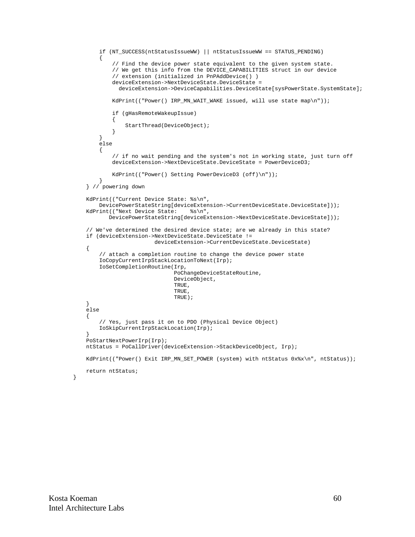```
 if (NT_SUCCESS(ntStatusIssueWW) || ntStatusIssueWW == STATUS_PENDING)
\{ // Find the device power state equivalent to the given system state.
               // We get this info from the DEVICE_CAPABILITIES struct in our device
               // extension (initialized in PnPAddDevice() )
               deviceExtension->NextDeviceState.DeviceState =
                deviceExtension->DeviceCapabilities.DeviceState[sysPowerState.SystemState];
               KdPrint(("Power() IRP_MN_WAIT_WAKE issued, will use state map\n"));
               if (gHasRemoteWakeupIssue)
\left\{ \begin{array}{ccc} 0 & 0 & 0 \\ 0 & 0 & 0 \\ 0 & 0 & 0 \\ 0 & 0 & 0 \\ 0 & 0 & 0 \\ 0 & 0 & 0 \\ 0 & 0 & 0 \\ 0 & 0 & 0 \\ 0 & 0 & 0 \\ 0 & 0 & 0 \\ 0 & 0 & 0 \\ 0 & 0 & 0 \\ 0 & 0 & 0 \\ 0 & 0 & 0 & 0 \\ 0 & 0 & 0 & 0 \\ 0 & 0 & 0 & 0 \\ 0 & 0 & 0 & 0 & 0 \\ 0 & 0 & 0 & 0 & 0 \\ 0 & 0 & 0 & 0 & 0 \\ 0 & 0 & 0 & 0 StartThread(DeviceObject);
 }
          }
          else
\left\{ \begin{array}{c} \end{array} \right. // if no wait pending and the system's not in working state, just turn off
               deviceExtension->NextDeviceState.DeviceState = PowerDeviceD3;
               KdPrint(("Power() Setting PowerDeviceD3 (off)\n"));
 }
     } // powering down
     KdPrint(("Current Device State: %s\n",
         DevicePowerStateString[deviceExtension->CurrentDeviceState.DeviceState]));<br>cint(("Next Device State: %s\n",
    KdPrint(("Next Device State:
              DevicePowerStateString[deviceExtension->NextDeviceState.DeviceState]));
     // We've determined the desired device state; are we already in this state?
     if (deviceExtension->NextDeviceState.DeviceState !=
                               deviceExtension->CurrentDeviceState.DeviceState)
     {
          // attach a completion routine to change the device power state
          IoCopyCurrentIrpStackLocationToNext(Irp);
          IoSetCompletionRoutine(Irp,
                                       PoChangeDeviceStateRoutine,
                                       DeviceObject,
                                       TRUE,
                                       TRUE,
                                       TRUE);
     }
     else
     {
          // Yes, just pass it on to PDO (Physical Device Object)
          IoSkipCurrentIrpStackLocation(Irp);
 }
     PoStartNextPowerIrp(Irp);
     ntStatus = PoCallDriver(deviceExtension->StackDeviceObject, Irp);
    KdPrint(("Power() Exit IRP_MN_SET_POWER (system) with ntStatus 0x%x\n", ntStatus));
     return ntStatus;
```
}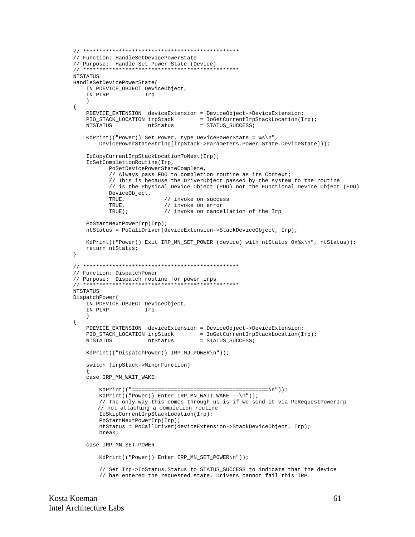```
// Function: HandleSetDevicePowerState
// Purpose: Handle Set Power State (Device)
NTSTATUS
HandleSetDevicePowerState(
   IN PDEVICE_OBJECT DeviceObject,
                    Irp
   IN PIRP
   \lambda\{PDEVICE_EXTENSION deviceExtension = DeviceObject->DeviceExtension;
   {\tt PIO\_STACK\_LOCATION} \text{ inpStack} \newline \hspace*{2.5cm} = \text{IOGetCurrentIrpStackLocation(Irp)} \text{ ;}= STATUS_SUCCESS;
   NTSTATUS
                     ntStatus
   KdPrint(("Power() Set Power, type DevicePowerState = s\n",
       DevicePowerStateString[irpStack->Parameters.Power.State.DeviceState]));
   IoCopyCurrentIrpStackLocationToNext(Irp);
   IoSetCompletionRoutine(Irp,
          PoSetDevicePowerStateComplete,
          // Always pass FDO to completion routine as its Context;
          // This is because the DriverObject passed by the system to the routine
          // is the Physical Device Object (PDO) not the Functional Device Object (FDO)
          DeviceObject,
          \operatorname{\mathsf{TRUE}} ,
                           // invoke on success
          TRUE.
                          // invoke on error
          TRUE);
                          // invoke on cancellation of the Irp
   PoStartNextPowerIrp(Irp);
   ntStatus = PoCallDriver(deviceExtension->StackDeviceObject, Irp);
   KdPrint(("Power() Exit IRP_MN_SET_POWER (device) with ntStatus 0x%x\n", ntStatus));
   return ntStatus;
\}// Function: DispatchPower
// Purpose: Dispatch routine for power irps
. . . . . . . .
NTSTATUS
DispatchPower(
   IN PDEVICE_OBJECT DeviceObject,
   IN PIRP
                    Irp
   \lambda\{PDEVICE_EXTENSION deviceExtension = DeviceObject->DeviceExtension;
   {\tt PIO\_STACK\_LOCALION} \text{ irpStack } \newline \hspace*{1.5em} {\tt iofetCurrent IrpStackLocation(Irp)} \text{ ;}= STATUS_SUCCESS;
   NTSTATUS
                     ntStatus
   KdPrint(("DispatchPower() IRP_MJ_POWER\n"));
   switch (irpStack->MinorFunction)
   case IRP_MN_WAIT_WAKE:
       KdPrint(("Power() Enter IRP_MN_WAIT_WAKE --\n"));
       // The only way this comes through us is if we send it via PoRequestPowerIrp
       // not attaching a completion routine
       IoSkipCurrentIrpStackLocation(Irp);
       PoStartNextPowerIrp(Irp);
       ntStatus = PoCallDriver(deviceExtension->StackDeviceObject, Irp);
       hreak:
   case IRP_MN_SET_POWER:
       KdPrint(("Power() Enter IRP_MN_SET_POWER\n"));
        // Set Irp->IoStatus.Status to STATUS_SUCCESS to indicate that the device
       // has entered the requested state. Drivers cannot fail this IRP.
```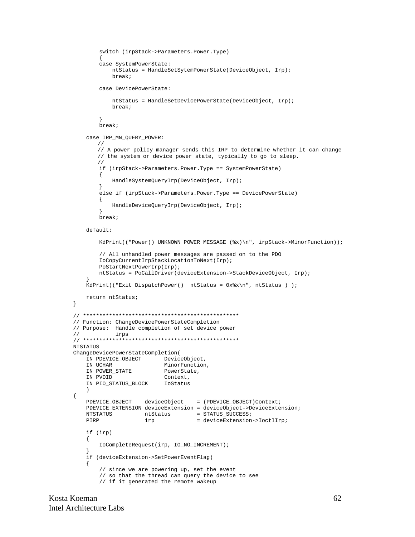```
 switch (irpStack->Parameters.Power.Type)
\{ case SystemPowerState:
            ntStatus = HandleSetSytemPowerState(DeviceObject, Irp);
             break;
         case DevicePowerState:
             ntStatus = HandleSetDevicePowerState(DeviceObject, Irp);
             break;
         }
         break;
     case IRP_MN_QUERY_POWER:
       //
       // A power policy manager sends this IRP to determine whether it can change
       // the system or device power state, typically to go to sleep.
       //
         if (irpStack->Parameters.Power.Type == SystemPowerState)
         {
             HandleSystemQueryIrp(DeviceObject, Irp);
 }
         else if (irpStack->Parameters.Power.Type == DevicePowerState)
         {
             HandleDeviceQueryIrp(DeviceObject, Irp);
 }
         break;
     default:
        KdPrint(("Power() UNKNOWN POWER MESSAGE (*x)\n, irpStack->MinorFunction));
         // All unhandled power messages are passed on to the PDO
         IoCopyCurrentIrpStackLocationToNext(Irp);
         PoStartNextPowerIrp(Irp);
         ntStatus = PoCallDriver(deviceExtension->StackDeviceObject, Irp);
 }
     KdPrint(("Exit DispatchPower() ntStatus = 0x%x\n", ntStatus ) );
     return ntStatus;
// ************************************************
// Function: ChangeDevicePowerStateCompletion
// Purpose: Handle completion of set device power
// irps
// ************************************************
NTSTATUS
ChangeDevicePowerStateCompletion(
   IN PDEVICE_OBJECT DeviceObject,<br>IN UCHAR MinorFunction
                           MinorFunction,
   IN POWER_STATE PowerState,
    IN PVOID Context,
    IN PIO_STATUS_BLOCK IoStatus
\overline{\phantom{a}}PDEVICE_OBJECT deviceObject = (PDEVICE_OBJECT)Context;
     PDEVICE_EXTENSION deviceExtension = deviceObject->DeviceExtension;
   NTSTATUS ntStatus = STATUS_SUCCESS;<br>PIRP irp = deviceExtension
                      irp = deviceExtension->IoctlIrp;
     if (irp)
     {
         IoCompleteRequest(irp, IO_NO_INCREMENT);
 }
     if (deviceExtension->SetPowerEventFlag)
     {
         // since we are powering up, set the event
         // so that the thread can query the device to see
```

```
 // if it generated the remote wakeup
```
}

{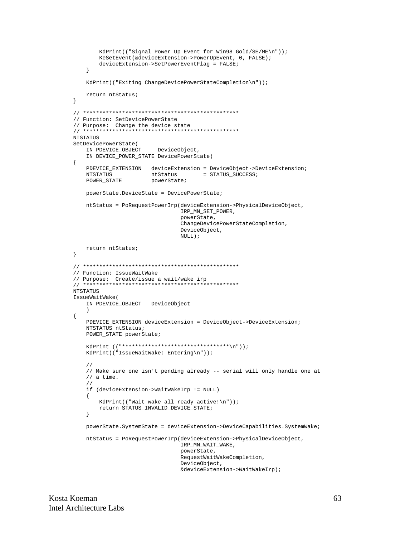```
KdPrint(("Signal Power Up Event for Win98 Gold/SE/ME\n"));
       KeSetEvent(&deviceExtension->PowerUpEvent, 0, FALSE);
       deviceExtension->SetPowerEventFlag = FALSE;
   \left\{ \right.KdPrint(("Exiting ChangeDevicePowerStateCompletion\n"));
   return ntStatus;
\}// Function: SetDevicePowerState
// Purpose: Change the device state
NTSTATUS
SetDevicePowerState(
   IN PDEVICE_OBJECT
                        DeviceObject,
   IN DEVICE_POWER_STATE DevicePowerState)
\{PDEVICE_EXTENSION deviceExtension = DeviceObject->DeviceExtension;
   NTSTATUS
                      ntStatus
                                     = STATUS_SUCCESS;
   POWER_STATE
                      powerState;
   powerState.DeviceState = DevicePowerState;
   ntStatus = PoRequestPowerIrp(deviceExtension->PhysicalDeviceObject,
                               IRP MN SET POWER,
                               powerState.
                               ChangeDevicePowerStateCompletion,
                               DeviceObject,
                               NULL);
   return ntStatus;
\}// Function: IssueWaitWake
.<br>ماه اساس ماه ماه ماه ماه ماه ماه ماه ماه .
NTSTATUS
IssueWaitWake(
   IN PDEVICE_OBJECT DeviceObject
   \rightarrow\{PDEVICE_EXTENSION deviceExtension = DeviceObject->DeviceExtension;
   NTSTATUS ntStatus;
   POWER_STATE powerState;
   KdPrint (("********************************\n"));
   KdPrint(("IssueWaitWake: Entering\n"));
   \frac{1}{2}// Make sure one isn't pending already -- serial will only handle one at
   // a time.
   \frac{1}{2}if (deviceExtension->WaitWakeIrp != NULL)
   \mathcal{A}KdPrint(("Wait wake all ready active!\n"));
       return STATUS_INVALID_DEVICE_STATE;
   \left\{ \right\}powerState.SystemState = deviceExtension->DeviceCapabilities.SystemWake;
   ntStatus = PoRequestPowerIrp(deviceExtension->PhysicalDeviceObject,
                               IRP_MN_WAIT_WAKE,
                               powerState,
                               RequestWaitWakeCompletion,
                               DeviceObject,
                               &deviceExtension->WaitWakeIrp);
```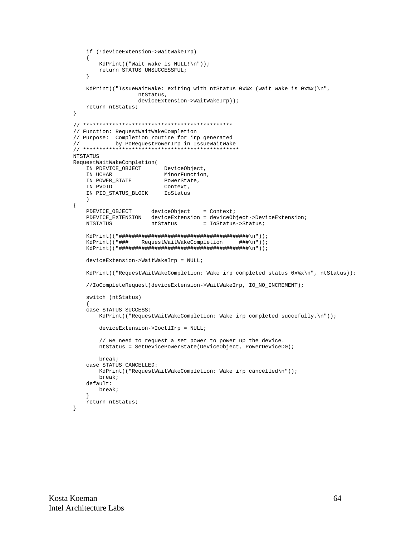```
if (!deviceExtension->WaitWakeIrp)
   \{KdPrint(("Wait wake is NULL!\n"));
       return STATUS UNSUCCESSFUL;
   \}KdPrint(("IssueWaitWake: exiting with ntStatus 0x%x (wait wake is 0x%x)\n",
                 ntStatus,
                 deviceExtension->WaitWakeIrp));
   return ntStatus;
\}// Function: RequestWaitWakeCompletion
// Purpose: Completion routine for irp generated
\frac{1}{2}by PoRequestPowerIrp in IssueWaitWake
NTSTATUS
RequestWaitWakeCompletion(
   IN PDEVICE_OBJECT
                        DeviceObject,
   IN UCHAR
                        MinorFunction,
                   PowerState,
   IN POWER_STATE
   IN PVOID
                        Context,
   IN PIO_STATUS_BLOCK
                        IoStatus
   \rightarrow\{PDEVICE_OBJECT deviceObject = Context;<br>PDEVICE_EXTENSION deviceExtension = deviceObject->DeviceExtension;
                                  = IoStatus->Status;
   NTSTATUS
                    ntStatus
   KdPrint(("### RequestWaitWakeCompletion
                                            ###\n"));
   deviceExtension->WaitWakeIrp = NULL;
   KdPrint(("RequestWaitWakeCompletion: Wake irp completed status 0x%x\n", ntStatus));
   //IoCompleteRequest(deviceExtension->WaitWakeIrp, IO_NO_INCREMENT);
   switch (ntStatus)
   case STATUS_SUCCESS:
       KdPrint(("RequestWaitWakeCompletion: Wake irp completed succefully.\n"));
       deviceExtension->IoctlIrp = NULL;
       // We need to request a set power to power up the device.
       ntStatus = SetDevicePowerState(DeviceObject, PowerDeviceD0);
      break;
   case STATUS_CANCELLED:
      KdPrint(("RequestWaitWakeCompletion: Wake irp cancelled\n"));
      break;
   default:
      break;
   return ntStatus;
\}
```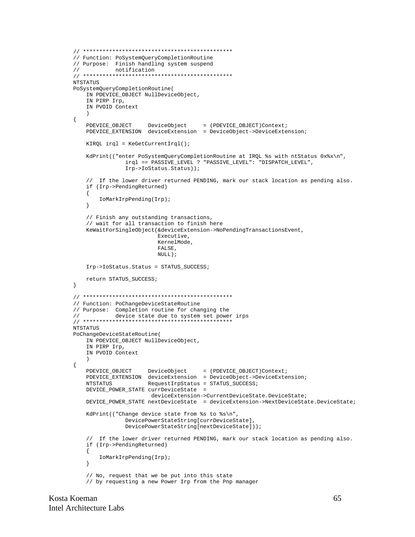```
// Function: PoSystemQueryCompletionRoutine
// Purpose: Finish handling system suspend
\frac{1}{2}notification
NTSTATUS
PoSystemQueryCompletionRoutine(
    IN PDEVICE_OBJECT NullDeviceObject,
    IN PIRP Irp,
    IN PVOID Context
    \lambda\{\begin{tabular}{lllllll} \bf PDEVICE\_OBJECT & \tt DerVICE\_OBiECT & \tt DerVICE\_EXI EN SION & \tt deviceExtension & \tt = (PDEVICE\_OBiECT) \tt Context \it \it : \tt PDEVICE\_EXTENSION & \tt deviceExtension & \tt = (PDEVICE\_OBiect->DeviceExtension \it \it : \tt PDEVICE\_EXIEN SION & \tt deviceExtension & \tt PNEVICE\_CAVEDS. \end{tabular}KIROL irgl = KefetCurrentIrgl();
    KdPrint(("enter PoSystemOueryCompletionRoutine at IROL %s with ntStatus 0x%x\n",
                 irql == PASSIVE_LEVEL ? "PASSIVE_LEVEL": "DISPATCH_LEVEL",
                 Irp->IoStatus.Status));
    // If the lower driver returned PENDING, mark our stack location as pending also.
    if (Irp->PendingReturned)
    \left\{ \right.IoMarkIrpPending(Irp);
    \left\{ \right\}// Finish any outstanding transactions,
    // wait for all transaction to finish here
    KeWaitForSingleObject(&deviceExtension->NoPendingTransactionsEvent,
                           Executive,
                           KernelMode.
                           FALSE,
                           NULL);
    Irp->IoStatus.Status = STATUS_SUCCESS;
    return STATUS_SUCCESS;
\}// Function: PoChangeDeviceStateRoutine
// Purpose: Completion routine for changing the
\frac{1}{2}device state due to system set power irps
NTSTATIIS
PoChangeDeviceStateRoutine(
    IN PDEVICE_OBJECT NullDeviceObject,
    IN PIRP Irp,
    IN PVOID Context
    \lambda\{PDEVICE_OBJECT
                     DeviceObject = (PDEVICE_OBJECT)Context;
    PDEVICE_EXTENSION deviceExtension = DeviceObject->DeviceExtension;
                       RequestIrpStatus = STATUS_SUCCESS;
    NTSTATUS
    DEVICE_POWER_STATE currDeviceState =
                        deviceExtension->CurrentDeviceState.DeviceState;
    DEVICE_POWER_STATE nextDeviceState = deviceExtension->NextDeviceState.DeviceState;
    KdPrint(("Change device state from %s to %s\n",
                 DevicePowerStateString[currDeviceState],
                 DevicePowerStateString[nextDeviceState]));
    // If the lower driver returned PENDING, mark our stack location as pending also.
    if (Irp->PendingReturned)
    \{IoMarkIrpPending(Irp);
    \}// No, request that we be put into this state
    // by requesting a new Power Irp from the Pnp manager
```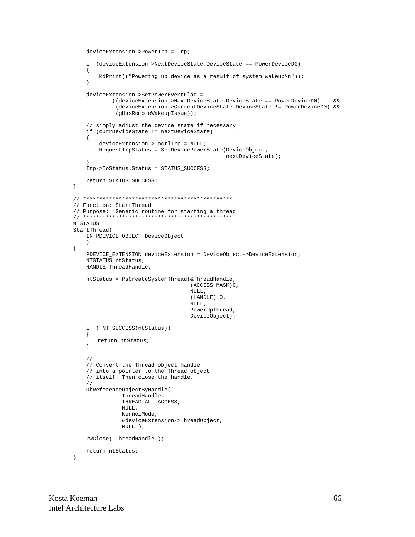```
deviceExtension->PowerIrp = Irp;
   if (deviceExtension->NextDeviceState.DeviceState == PowerDeviceD0)
   \{KdPrint(("Powering up device as a result of system wakeup\n"));
   \}deviceExtension->SetPowerEventFlag =
           ((deviceExtension->NextDeviceState.DeviceState == PowerDeviceD0)
                                                                             \delta x(deviceExtension->CurrentDeviceState.DeviceState != PowerDeviceD0) &&
            (gHasRemoteWakeupIssue));
   // simply adjust the device state if necessary
   if (currDeviceState != nextDeviceState)
   \{deviceExtension->IoctlIrp = NULL;
       RequestIrpStatus = SetDevicePowerState(DeviceObject,
                                             nextDeviceState);
   Irp->IoStatus.Status = STATUS_SUCCESS;
   return STATUS_SUCCESS;
\}// Function: StartThread
NTSTATUS
StartThread(
   IN PDEVICE_OBJECT DeviceObject
   \lambda\{PDEVICE_EXTENSION deviceExtension = DeviceObject->DeviceExtension;
   NTSTATUS ntStatus;
   HANDLE ThreadHandle;
   ntStatus = PsCreateSystemThread(&ThreadHandle,
                                  (ACCESS_MASK)0,
                                  NULL,
                                  (HANDLE) 0,
                                  NULL,
                                  PowerUpThread,
                                  DeviceObject);
   if (!NT_SUCCESS(ntStatus))
   \{return ntStatus;
   \left\{ \right\}\frac{1}{2}// Convert the Thread object handle
   // into a pointer to the Thread object
   // itself. Then close the handle.
   \frac{1}{2}ObReferenceObjectByHandle(
              ThreadHandle,
              THREAD_ALL_ACCESS,
              NULL,
              KernelMode,
              &deviceExtension->ThreadObject,
              NULL ) ;
   ZwClose(ThreadHandle);
   return ntStatus;
```

```
\}
```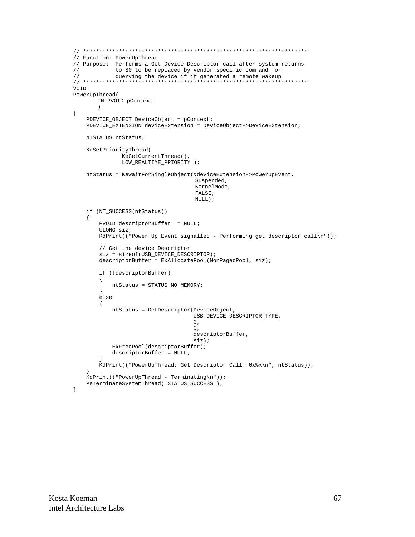```
// Function: PowerUpThread
// Purpose: Performs a Get Device Descriptor call after system returns
           to S0 to be replaced by vendor specific command for
\frac{1}{2}\frac{1}{2}querying the device if it generated a remote wakeup
VOID
PowerUpThread(
      IN PVOID pContext
       \lambda\{PDEVICE_OBJECT DeviceObject = pContext;
   PDEVICE_EXTENSION deviceExtension = DeviceObject->DeviceExtension;
   NTSTATUS ntStatus;
   KeSetPriorityThread(
             KeGetCurrentThread(),
              LOW_REALTIME_PRIORITY );
   ntStatus = KeWaitForSingleObject(&deviceExtension->PowerUpEvent,
                                   Suspended,
                                   KernelMode,
                                   FALSE,
                                   NULL);
   if (NT SUCCESS(ntStatus))
   \{PVOID descriptorBuffer = NULL;
       ULONG siz;
       Kdrrint ("Power Up Event signalled - Performing get descriptor call\ln"));
       // Get the device Descriptor
       size = sizeof(USB_DEVICE_DESCRIPTOR);descriptorBuffer = ExAllocatePool(NonPagedPool, siz);
       if (!descriptorBuffer)
       \left\{ \right.ntStatus = STATUS_NO_MEMORY;
       \left\{ \right.else
       \{ntStatus = GetDescriptor(DeviceObject,
                                   USB_DEVICE_DESCRIPTOR_TYPE,
                                   0,\Omega.
                                   descriptorBuffer,
                                   siz;
           ExFreePool(descriptorBuffer);
           descriptorBuffer = NULL;ļ
       KdPrint(("PowerUpThread: Get Descriptor Call: 0x%x\n", ntStatus));
   KdPrint(("PowerUpThread - Terminating\n"));
   {\tt PsTerminatesystemThread(~STATUS\_SUCCES~)}:\}
```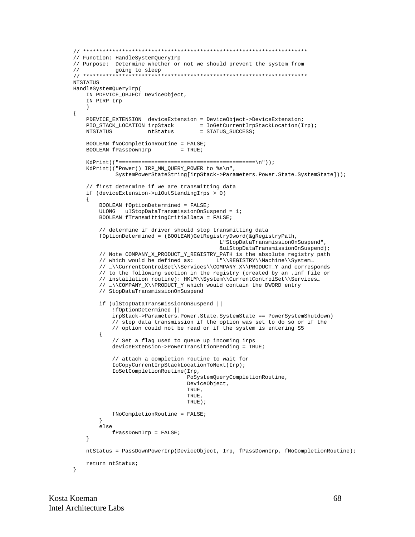```
// Function: HandleSystemQueryIrp
// Purpose: Determine whether or not we should prevent the system from
           going to sleep
\frac{1}{2}NTSTATUS
HandleSystemQueryIrp(
   IN PDEVICE_OBJECT DeviceObject,
   IN PIRP Irp
\{PDEVICE_EXTENSION deviceExtension = DeviceObject->DeviceExtension;
                               = IoGetCurrentIrpStackLocation(Irp);<br>= STATUS_SUCCESS;
   PIO_STACK_LOCATION irpStack
   NTSTATUS
                    ntStatus
   BOOLEAN fNoCompletionRoutine = FALSE;
   BOOLEAN fPassDownIrp
                              = TRUE;
   KdPrint(("Power() IRP_MN_QUERY_POWER to %s\n",
            SystemPowerStateString[irpStack->Parameters.Power.State.SystemState]));
   // first determine if we are transmitting data
   if (deviceExtension->ulOutStandingIrps > 0)
   \{BOOLEAN fOptionDetermined = FALSE;
       ULONG ulstopDataTransmissionOnSuspend = 1;
       BOOLEAN fTransmittingCritialData = FALSE;
       // determine if driver should stop transmitting data
       fOptionDetermined = (BOOLEAN)GetRegistryDword(&gRegistryPath,
                                          L"StopDataTransmissionOnSuspend",
                                          &ulStopDataTransmissionOnSuspend);
       // Note COMPANY_X_PRODUCT_Y_REGISTRY_PATH is the absolute registry path
       // which would be defined as:
                                        L"\\REGISTRY\\Machine\\System...
       // ...\\CurrentControlSet\\Services\\COMPANY_X\\PRODUCT_Y and corresponds
       // to the following section in the registry (created by an .inf file or
       // installation routine): HKLM\\System\\CurrentControlSet\\Services...
       // ...\\COMPANY_X\\PRODUCT_Y which would contain the DWORD entry
       // StopDataTransmissionOnSuspend
       if (ulStopDataTransmissionOnSuspend ||
           !fOptionDetermined ||
           irpStack->Parameters.Power.State.SystemState == PowerSystemShutdown)
           // stop data transmission if the option was set to do so or if the
           // option could not be read or if the system is entering S5
       \{// Set a flag used to queue up incoming irps
           deviceExtension-Power TransitionPending = TRUE;// attach a completion routine to wait for
           IoCopyCurrentIrpStackLocationToNext(Irp);
           IoSetCompletionRoutine(Irp,
                                PoSystemQueryCompletionRoutine,
                                DeviceObject,
                                 TRUE,
                                TRUE.
                                TRUE);
           fNoCompletionRoutine = FALSE;\left\{ \right.else
           fPassDownIrp = FALSE;
   \left\{ \right\}ntStatus = PassDownPowerIrp(DeviceObject, Irp, fPassDownIrp, fNoCompletionRoutine);
   return ntStatus;
\}
```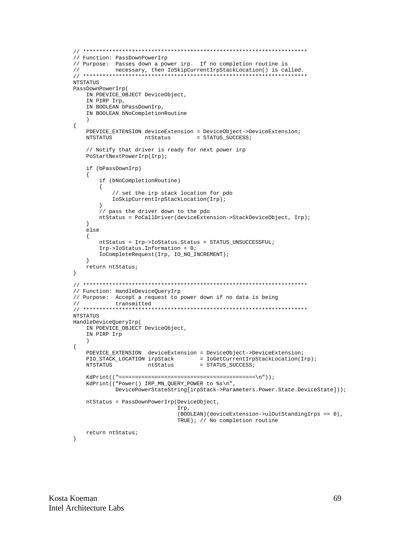```
// Function: PassDownPowerIrp
// Purpose: Passes down a power irp. If no completion routine is
\frac{1}{2}necessary, then IoSkipCurrentIrpStackLocation() is called.
NTSTATUS
PassDownPowerIrp(
   IN PDEVICE_OBJECT DeviceObject,
   IN PIRP Irp,
   IN BOOLEAN bPassDownIrp,
   IN BOOLEAN bNoCompletionRoutine
   \rightarrow\{PDEVICE_EXTENSION deviceExtension = DeviceObject->DeviceExtension;
                   ntStatus
                                  = STATUS SUCCESS;
   NTSTATUS
   // Notify that driver is ready for next power irp
   PoStartNextPowerIrp(Irp);
   if (bPassDownIrp)
   \{if (bNoCompletionRoutine)
       \left\{ \right.// set the irp stack location for pdo
          IoSkipCurrentIrpStackLocation(Irp);
       \hat{U}/\hat{P} pass the driver down to the pdo
       ntStatus = PoCallDriver(deviceExtension->StackDeviceObject, Irp);
   \left\{ \right\}else
   \{ntStatus = Irp->IoStatus.Status = STATUS_UNSUCCESSFUL;
       Irp->IoS status. Information = 0;IoCompleteRequest(Irp, IO_NO_INCREMENT);
   \rightarrowreturn ntStatus;
\}// Function: HandleDeviceQueryIrp
// Purpose: Accept a request to power down if no data is being
\frac{1}{2}transmitted
NTSTATUS
HandleDeviceQueryIrp(
   IN PDEVICE_OBJECT DeviceObject,
   IN PIRP Irp
   \rightarrow\{PDEVICE_EXTENSION deviceExtension = DeviceObject->DeviceExtension;
   PIO_STACK_LOCATION irpStack = IoGetCurrentIrpStackLocation(Irp);
   NTSTATUS
                    ntStatus
                                  = STATUS_SUCCESS;
   \verb|KdPrint|(\verb|"Power|) \; \texttt{IRP\_MN\_QUERY\_POWER to } \$s\ \texttt{n",}DevicePowerStateString[irpStack->Parameters.Power.State.DeviceState]));
   ntStatus = PassDownPowerIrp(DeviceObject,
                            Irp.
                            (BOOLEAN) (deviceExtension->ulOutStandingIrps == 0),
                            TRUE); // No completion routine
   return ntStatus;
\}
```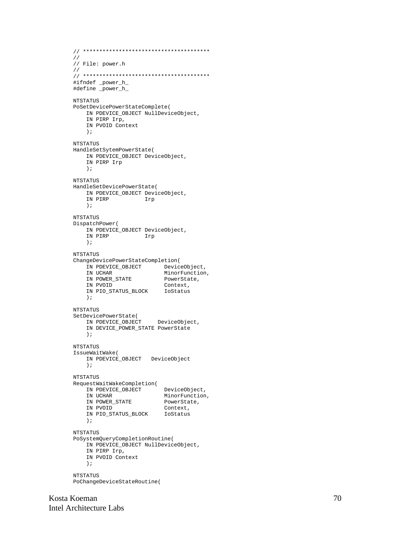```
// ***************************************
//
// File: power.h
//
// ***************************************
#ifndef _power_h_
#define _power_h_
NTSTATUS
PoSetDevicePowerStateComplete(
    IN PDEVICE_OBJECT NullDeviceObject,
    IN PIRP Irp,
    IN PVOID Context
    );
NTSTATUS
HandleSetSytemPowerState(
    IN PDEVICE_OBJECT DeviceObject,
    IN PIRP Irp
    );
NTSTATUS
HandleSetDevicePowerState(
    IN PDEVICE_OBJECT DeviceObject,
   IN PIRP
    );
NTSTATUS
DispatchPower(
    IN PDEVICE_OBJECT DeviceObject,
               IN PIRP Irp
    );
NTSTATUS
ChangeDevicePowerStateCompletion(
    IN PDEVICE_OBJECT DeviceObject,
IN UCHAR MinorFunction,
IN POWER_STATE PowerState,
 IN PVOID Context,
    IN PIO_STATUS_BLOCK IoStatus
    );
NTSTATUS
SetDevicePowerState(
    IN PDEVICE_OBJECT DeviceObject,
    IN DEVICE_POWER_STATE PowerState
    );
NTSTATUS
IssueWaitWake(
    IN PDEVICE_OBJECT DeviceObject
    );
NTSTATUS
RequestWaitWakeCompletion(
 IN PDEVICE_OBJECT DeviceObject,
IN UCHAR MinorFunction,
IN POWER_STATE PowerState,
 IN PVOID Context,
    IN PIO_STATUS_BLOCK IoStatus
    );
NTSTATUS
PoSystemQueryCompletionRoutine(
    IN PDEVICE_OBJECT NullDeviceObject,
    IN PIRP Irp,
    IN PVOID Context
    );
NTSTATUS
PoChangeDeviceStateRoutine(
```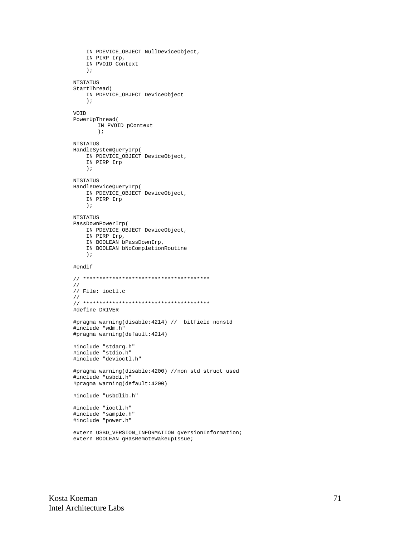```
IN PDEVICE_OBJECT NullDeviceObject,
    IN PIRP Irp,
    IN PVOID Context
    \rightarrow \rightarrowNTSTATUS
StartThread(
   IN PDEVICE_OBJECT DeviceObject
    \rightarrowVOID
PowerUpThread(
       IN PVOID pContext
       \rightarrow ;
NTSTATUS
HandleSystemQueryIrp(
   IN PDEVICE_OBJECT DeviceObject,
    IN PIRP Irp
    \rightarrowNTSTATUS
HandleDeviceQueryIrp(
    IN PDEVICE_OBJECT DeviceObject,
    IN PIRP Irp
    \rightarrow ;
NTSTATIS
PassDownPowerIrp(
   IN PDEVICE_OBJECT DeviceObject,
    IN PIRP Irp,
    IN BOOLEAN bPassDownIrp,
    IN BOOLEAN bNoCompletionRoutine
    \rightarrow#endif
\frac{1}{2}// File: ioctl.c
\frac{1}{2}#define DRIVER
#pragma warning(disable: 4214) // bitfield nonstd
#include "wdm.h"
#pragma warning(default:4214)
#include "stdarg.h"
#include "stdio.h"
#include "devioctl.h"
#pragma warning(disable:4200) //non std struct used
#include "usbdi.h"
#pragma warning(default:4200)
#include "usbdlib.h"
#include "ioctl.h"<br>#include "sample.h"
#include "power.h"
extern USBD_VERSION_INFORMATION gVersionInformation;
```
extern BOOLEAN qHasRemoteWakeupIssue;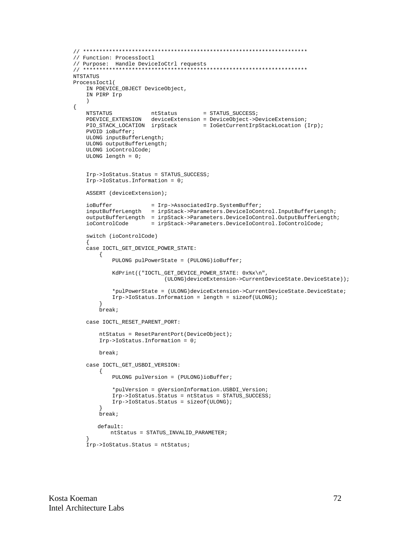```
// Function: ProcessIoctl
// Purpose: Handle DeviceIoCtrl requests
NTSTATUS
ProcessIoctl(
    IN PDEVICE_OBJECT DeviceObject,
    IN PIRP Irp
    \rightarrow\{NTSTATUS
                                            = STATUS_SUCCESS;
                          ntStatus
    PDEVICE_EXTENSION deviceExtension = DeviceObject->DeviceExtension;
    PIO_STACK_LOCATION irpStack = IoGetCurrentIrpStackLocation (Irp);
    PVOID ioBuffer;
    ULONG inputBufferLength;
    ULONG outputBufferLength;
    ULONG ioControlCode;
    ULONG length = 0;
    Irp->IoStatus.Status = STATUS_SUCCESS;
    Irp->IoS status. Information = 0;ASSERT (deviceExtension);
    {\small \begin{aligned} i{\small \texttt{obulfer}} & = {\small \texttt{Irp-}3} \texttt{associatedIrp.} \texttt{SystemBuffer} \textit{;} \\ i{\small \texttt{inputBufferLength}} & = {\small \texttt{irpStack-&}3} \texttt{Parameters.} \texttt{DeviceToControl.} \texttt{InputBufferLength} \textit{;} \\ outputBufferLength & = {\small \texttt{irpStack-&}3} \texttt{Parameters.} \texttt{DeviceToControl.} \texttt{OutputBufferLength} \textit{;} \end{aligned}}= irpStack->Parameters.DeviceIoControl.IoControlCode;
    ioControlCode
    switch (ioControlCode)
    case IOCTL_GET_DEVICE_POWER_STATE:
         \left\{ \right.PULONG pulPowerState = (PULONG)ioBuffer;
              KdPrint(("IOCTL_GET_DEVICE_POWER_STATE: 0x%x\n",
                                 (ULONG)deviceExtension->CurrentDeviceState.DeviceState));
              *pulPowerState = (ULONG)deviceExtension->CurrentDeviceState.DeviceState;
              Irp\rightarrow IoStatus. Information = length = sizeof(ULONG);ł
         break;
    case IOCTL_RESET_PARENT_PORT:
         ntStatus = ResetParentPort(DeviceObject);
         Irp->IoS status. Information = 0;break;
    case IOCTL_GET_USBDI_VERSION:
         \{PULONG pulVersion = (PULONG)ioBuffer;
              *pulVersion = gVersionInformation.USBDI_Version;
              Irp->IoStatus.Status = ntStatus = STATUS_SUCCESS;
              Irp->IoStatus.Status = sizeof(ULONG);
         break;
        default:
             ntStatus = STATUS_INVALID_PARAMETER;Irp->IoStatus.Status = ntStatus;
```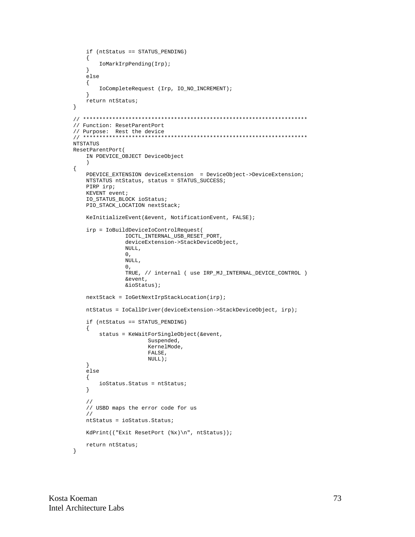```
if (ntStatus == STATUS_PENDING)
   \{IoMarkIrpPending(Irp);
   \}else
   \left\{ \right.IoCompleteRequest (Irp, IO_NO_INCREMENT);
   }
   return ntStatus;
\}// Function: ResetParentPort
// Purpose: Rest the device
NTSTATUS
ResetParentPort(
   IN PDEVICE_OBJECT DeviceObject
   \rightarrow\{PDEVICE_EXTENSION deviceExtension = DeviceObject->DeviceExtension;
   NTSTATUS ntStatus, status = STATUS_SUCCESS;
   PIRP irp;
   KEVENT event;
   IO_STATUS_BLOCK ioStatus;
   PIO_STACK_LOCATION nextStack;
   KeInitializeEvent(&event, NotificationEvent, FALSE);
   irp = IoBuildDeviceIoControlRequest(
               IOCTL_INTERNAL_USB_RESET_PORT,
               deviceExtension->StackDeviceObject,
               NULL,
               0,NULL,
               0,TRUE, // internal ( use IRP_MJ_INTERNAL_DEVICE_CONTROL )
               &event,
               \&ioStatus);
   nextStack = IoGetNextIrpStackLocation(irp);
   ntStatus = IoCallDriver(deviceExtension->StackDeviceObject, irp);
   if (ntStatus == STATUS_PENDING)
   \{status = KeWaitForSingleObject(&event,
                     Suspended,
                     KernelMode,
                     FALSE,
                     NULL);
   \left\{ \right\}else
   \{ioStatus. Status = ntStatus;
   \}\hspace{0.1cm}\mathcal{N}// USBD maps the error code for us
   \frac{1}{2}ntStatus = iostatus.Status.KdPrint(("Exit ResetPort (%x)\n", ntStatus));
   return ntStatus;
\}
```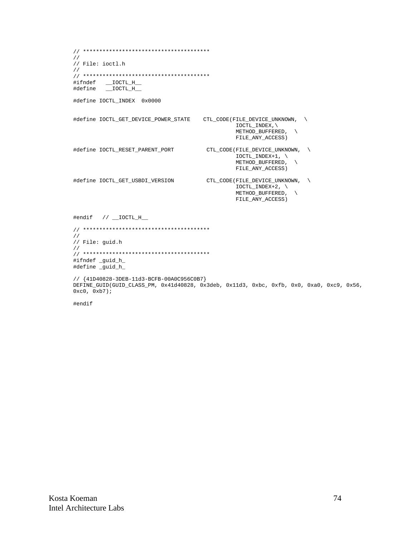```
\frac{1}{2}// File: ioctl.h
\frac{1}{2}#define IOCTL_INDEX 0x0000
IOCTL_INDEX,\
                                    METHOD_BUFFERED,
                                    FILE_ANY_ACCESS)
#define IOCTL_RESET_PARENT_PORT
                             CTL_CODE(FILE_DEVICE_UNKNOWN,
                                    \overline{\text{IOCTL}} INDEX+1,
                                    METHOD_BUFFERED,
                                    FILE_ANY_ACCESS)
#define IOCTL_GET_USBDI_VERSION
                              CTL_CODE(FILE_DEVICE_UNKNOWN,
                                    IOCTL_INDEX+2, \
                                    METHOD_BUFFERED,
                                                  \setminusFILE_ANY_ACCESS)
#endif // \_\text{IOCTL_H\_}\frac{1}{2}// File: guid.h
\frac{1}{2}#ifndef _guid_h_
#define _guid_h_
// {41D40828-3DEB-11d3-BCFB-00A0C956C0B7}
DEFINE_GUID(GUID_CLASS_PM, 0x41d40828, 0x3deb, 0x11d3, 0xbc, 0xfb, 0x0, 0xa0, 0xc9, 0x56,
0xc0, 0xb7);
```
#endif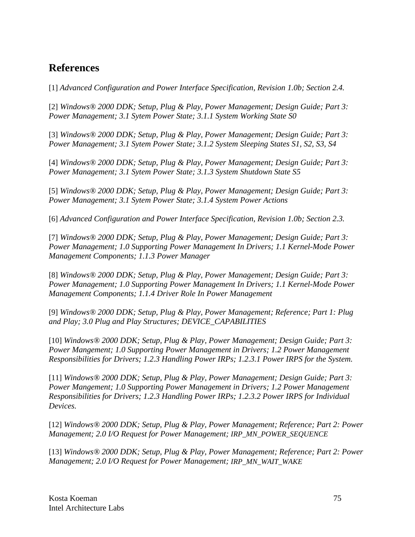## **References**

[1] *Advanced Configuration and Power Interface Specification, Revision 1.0b; Section 2.4.*

[2] *Windows® 2000 DDK; Setup, Plug & Play, Power Management; Design Guide; Part 3: Power Management; 3.1 Sytem Power State; 3.1.1 System Working State S0*

[3] *Windows® 2000 DDK; Setup, Plug & Play, Power Management; Design Guide; Part 3: Power Management; 3.1 Sytem Power State; 3.1.2 System Sleeping States S1, S2, S3, S4*

[4] *Windows® 2000 DDK; Setup, Plug & Play, Power Management; Design Guide; Part 3: Power Management; 3.1 Sytem Power State; 3.1.3 System Shutdown State S5*

[5] *Windows® 2000 DDK; Setup, Plug & Play, Power Management; Design Guide; Part 3: Power Management; 3.1 Sytem Power State; 3.1.4 System Power Actions*

[6] *Advanced Configuration and Power Interface Specification, Revision 1.0b; Section 2.3.*

[7] *Windows® 2000 DDK; Setup, Plug & Play, Power Management; Design Guide; Part 3: Power Management; 1.0 Supporting Power Management In Drivers; 1.1 Kernel-Mode Power Management Components; 1.1.3 Power Manager*

[8] *Windows® 2000 DDK; Setup, Plug & Play, Power Management; Design Guide; Part 3: Power Management; 1.0 Supporting Power Management In Drivers; 1.1 Kernel-Mode Power Management Components; 1.1.4 Driver Role In Power Management*

[9] *Windows® 2000 DDK; Setup, Plug & Play, Power Management; Reference; Part 1: Plug and Play; 3.0 Plug and Play Structures; DEVICE\_CAPABILITIES*

[10] *Windows® 2000 DDK; Setup, Plug & Play, Power Management; Design Guide; Part 3: Power Mangement; 1.0 Supporting Power Management in Drivers; 1.2 Power Management Responsibilities for Drivers; 1.2.3 Handling Power IRPs; 1.2.3.1 Power IRPS for the System.*

[11] *Windows® 2000 DDK; Setup, Plug & Play, Power Management; Design Guide; Part 3: Power Mangement; 1.0 Supporting Power Management in Drivers; 1.2 Power Management Responsibilities for Drivers; 1.2.3 Handling Power IRPs; 1.2.3.2 Power IRPS for Individual Devices.*

[12] *Windows® 2000 DDK; Setup, Plug & Play, Power Management; Reference; Part 2: Power Management; 2.0 I/O Request for Power Management; IRP\_MN\_POWER\_SEQUENCE*

[13] *Windows® 2000 DDK; Setup, Plug & Play, Power Management; Reference; Part 2: Power Management; 2.0 I/O Request for Power Management; IRP\_MN\_WAIT\_WAKE*